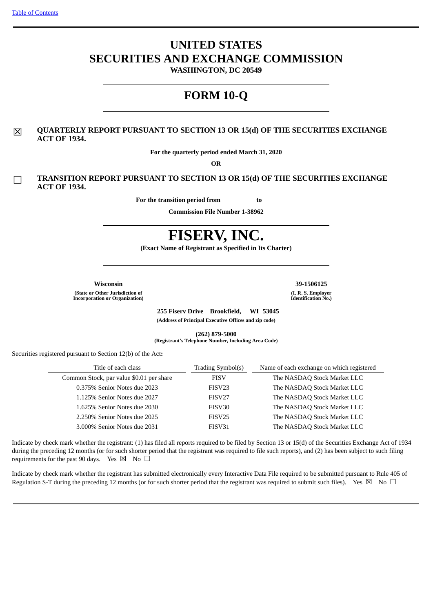## **UNITED STATES SECURITIES AND EXCHANGE COMMISSION**

**WASHINGTON, DC 20549**

## **FORM 10-Q**

## ☒ **QUARTERLY REPORT PURSUANT TO SECTION 13 OR 15(d) OF THE SECURITIES EXCHANGE ACT OF 1934.**

**For the quarterly period ended March 31, 2020**

**OR**

## ☐ **TRANSITION REPORT PURSUANT TO SECTION 13 OR 15(d) OF THE SECURITIES EXCHANGE ACT OF 1934.**

**For the transition period from to**

**Commission File Number 1-38962**

# **FISERV, INC.**

**(Exact Name of Registrant as Specified in Its Charter)**

**(State or Other Jurisdiction of Incorporation or Organization)**

**Wisconsin 39-1506125**

**(I. R. S. Employer Identification No.)**

**255 Fiserv Drive Brookfield, WI 53045 (Address of Principal Executive Offices and zip code)**

**(262) 879-5000 (Registrant's Telephone Number, Including Area Code)**

Securities registered pursuant to Section 12(b) of the Act**:**

| Title of each class                      | Trading Symbol(s)  | Name of each exchange on which registered |
|------------------------------------------|--------------------|-------------------------------------------|
| Common Stock, par value \$0.01 per share | <b>FISV</b>        | The NASDAQ Stock Market LLC               |
| 0.375% Senior Notes due 2023             | FISV <sub>23</sub> | The NASDAQ Stock Market LLC               |
| 1.125% Senior Notes due 2027             | FISV <sub>27</sub> | The NASDAQ Stock Market LLC               |
| 1.625% Senior Notes due 2030             | FISV <sub>30</sub> | The NASDAQ Stock Market LLC               |
| 2.250% Senior Notes due 2025             | FISV <sub>25</sub> | The NASDAQ Stock Market LLC               |
| 3.000% Senior Notes due 2031             | FISV <sub>31</sub> | The NASDAQ Stock Market LLC               |

Indicate by check mark whether the registrant: (1) has filed all reports required to be filed by Section 13 or 15(d) of the Securities Exchange Act of 1934 during the preceding 12 months (or for such shorter period that the registrant was required to file such reports), and (2) has been subject to such filing requirements for the past 90 days. Yes  $\boxtimes$  No  $\Box$ 

Indicate by check mark whether the registrant has submitted electronically every Interactive Data File required to be submitted pursuant to Rule 405 of Regulation S-T during the preceding 12 months (or for such shorter period that the registrant was required to submit such files). Yes  $\boxtimes$  No  $\Box$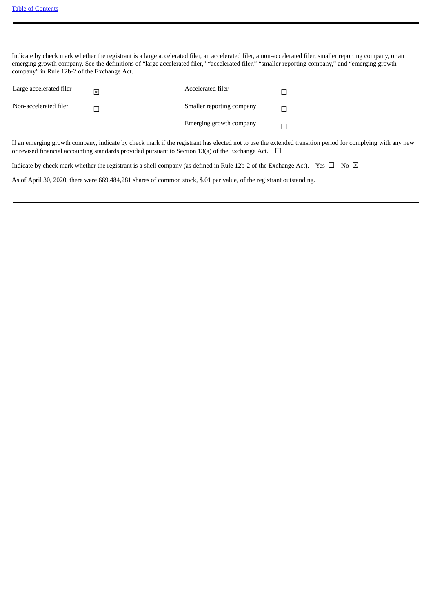Indicate by check mark whether the registrant is a large accelerated filer, an accelerated filer, a non-accelerated filer, smaller reporting company, or an emerging growth company. See the definitions of "large accelerated filer," "accelerated filer," "smaller reporting company," and "emerging growth company" in Rule 12b-2 of the Exchange Act.

| Large accelerated filer | ⋉ | Accelerated filer         |  |
|-------------------------|---|---------------------------|--|
| Non-accelerated filer   |   | Smaller reporting company |  |
|                         |   | Emerging growth company   |  |

If an emerging growth company, indicate by check mark if the registrant has elected not to use the extended transition period for complying with any new or revised financial accounting standards provided pursuant to Section 13(a) of the Exchange Act.  $\Box$ 

Indicate by check mark whether the registrant is a shell company (as defined in Rule 12b-2 of the Exchange Act). Yes  $\Box$  No  $\boxtimes$ 

As of April 30, 2020, there were 669,484,281 shares of common stock, \$.01 par value, of the registrant outstanding.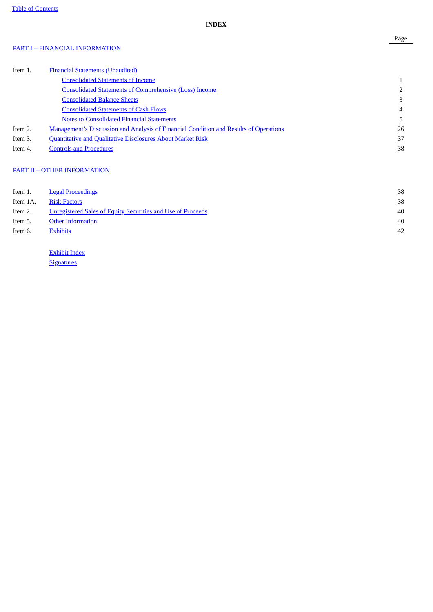## <span id="page-2-0"></span>PART I – FINANCIAL [INFORMATION](#page-3-0)

| Item 1. | <b>Financial Statements (Unaudited)</b>                                                      |                |
|---------|----------------------------------------------------------------------------------------------|----------------|
|         | <b>Consolidated Statements of Income</b>                                                     |                |
|         | <b>Consolidated Statements of Comprehensive (Loss) Income</b>                                | $\overline{2}$ |
|         | <b>Consolidated Balance Sheets</b>                                                           | 3              |
|         | <b>Consolidated Statements of Cash Flows</b>                                                 | $\overline{4}$ |
|         | <b>Notes to Consolidated Financial Statements</b>                                            | 5.             |
| Item 2. | <b>Management's Discussion and Analysis of Financial Condition and Results of Operations</b> | 26             |
| Item 3. | <b>Quantitative and Qualitative Disclosures About Market Risk</b>                            | 37             |
| Item 4. | <b>Controls and Procedures</b>                                                               | 38             |
|         |                                                                                              |                |

## PART II – OTHER [INFORMATION](#page-40-1)

| Item 1.  | <b>Legal Proceedings</b>                                           | 38 |
|----------|--------------------------------------------------------------------|----|
| Item 1A. | <b>Risk Factors</b>                                                | 38 |
| Item 2.  | <b>Unregistered Sales of Equity Securities and Use of Proceeds</b> | 40 |
| Item 5.  | <b>Other Information</b>                                           | 40 |
| Item 6.  | <b>Exhibits</b>                                                    | 42 |
|          |                                                                    |    |

[Exhibit](#page-44-1) Index **[Signatures](#page-45-0)**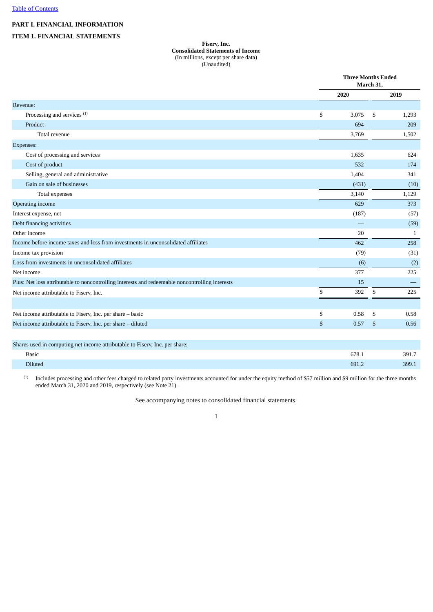## <span id="page-3-0"></span>**PART I. FINANCIAL INFORMATION**

## <span id="page-3-2"></span><span id="page-3-1"></span>**ITEM 1. FINANCIAL STATEMENTS**

#### **Fiserv, Inc. Consolidated Statements of Incom**e (In millions, except per share data) (Unaudited)

|                                                                                                 |              | <b>Three Months Ended</b><br>March 31, |    |              |
|-------------------------------------------------------------------------------------------------|--------------|----------------------------------------|----|--------------|
|                                                                                                 |              | 2020                                   |    | 2019         |
| Revenue:                                                                                        |              |                                        |    |              |
| Processing and services <sup>(1)</sup>                                                          | \$           | 3,075                                  | \$ | 1,293        |
| Product                                                                                         |              | 694                                    |    | 209          |
| Total revenue                                                                                   |              | 3,769                                  |    | 1,502        |
| Expenses:                                                                                       |              |                                        |    |              |
| Cost of processing and services                                                                 |              | 1,635                                  |    | 624          |
| Cost of product                                                                                 |              | 532                                    |    | 174          |
| Selling, general and administrative                                                             |              | 1,404                                  |    | 341          |
| Gain on sale of businesses                                                                      |              | (431)                                  |    | (10)         |
| Total expenses                                                                                  |              | 3,140                                  |    | 1,129        |
| Operating income                                                                                |              | 629                                    |    | 373          |
| Interest expense, net                                                                           |              | (187)                                  |    | (57)         |
| Debt financing activities                                                                       |              |                                        |    | (59)         |
| Other income                                                                                    |              | 20                                     |    | $\mathbf{1}$ |
| Income before income taxes and loss from investments in unconsolidated affiliates               |              | 462                                    |    | 258          |
| Income tax provision                                                                            |              | (79)                                   |    | (31)         |
| Loss from investments in unconsolidated affiliates                                              |              | (6)                                    |    | (2)          |
| Net income                                                                                      |              | 377                                    |    | 225          |
| Plus: Net loss attributable to noncontrolling interests and redeemable noncontrolling interests |              | 15                                     |    |              |
| Net income attributable to Fiserv, Inc.                                                         | \$           | 392                                    | \$ | 225          |
|                                                                                                 |              |                                        |    |              |
| Net income attributable to Fiserv, Inc. per share - basic                                       | \$           | 0.58                                   | \$ | 0.58         |
| Net income attributable to Fiserv, Inc. per share - diluted                                     | $\mathbb{S}$ | 0.57                                   | \$ | 0.56         |
| Shares used in computing net income attributable to Fiserv, Inc. per share:                     |              |                                        |    |              |
| <b>Basic</b>                                                                                    |              | 678.1                                  |    | 391.7        |
| Diluted                                                                                         |              | 691.2                                  |    | 399.1        |
|                                                                                                 |              |                                        |    |              |

 $<sup>(1)</sup>$  Includes processing and other fees charged to related party investments accounted for under the equity method of \$57 million and \$9 million for the three months</sup> ended March 31, 2020 and 2019, respectively (see Note 21).

See accompanying notes to consolidated financial statements.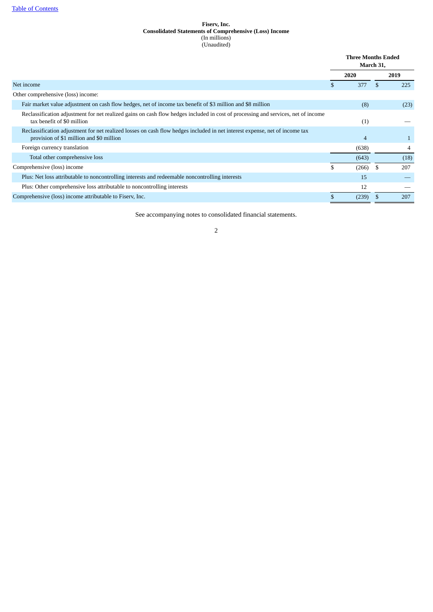#### **Fiserv, Inc. Consolidated Statements of Comprehensive (Loss) Income** (In millions) (Unaudited)

<span id="page-4-0"></span>

|                                                                                                                                                                         | <b>Three Months Ended</b><br>March 31, |   |      |
|-------------------------------------------------------------------------------------------------------------------------------------------------------------------------|----------------------------------------|---|------|
|                                                                                                                                                                         | 2020                                   |   | 2019 |
| Net income                                                                                                                                                              | 377                                    |   | 225  |
| Other comprehensive (loss) income:                                                                                                                                      |                                        |   |      |
| Fair market value adjustment on cash flow hedges, net of income tax benefit of \$3 million and \$8 million                                                              | (8)                                    |   | (23) |
| Reclassification adjustment for net realized gains on cash flow hedges included in cost of processing and services, net of income<br>tax benefit of \$0 million         | (1)                                    |   |      |
| Reclassification adjustment for net realized losses on cash flow hedges included in net interest expense, net of income tax<br>provision of \$1 million and \$0 million | $\overline{4}$                         |   |      |
| Foreign currency translation                                                                                                                                            | (638)                                  |   | 4    |
| Total other comprehensive loss                                                                                                                                          | (643)                                  |   | (18) |
| Comprehensive (loss) income                                                                                                                                             | \$<br>(266)                            | S | 207  |
| Plus: Net loss attributable to noncontrolling interests and redeemable noncontrolling interests                                                                         | 15                                     |   |      |
| Plus: Other comprehensive loss attributable to noncontrolling interests                                                                                                 | 12                                     |   |      |
| Comprehensive (loss) income attributable to Fisery, Inc.                                                                                                                | (239)                                  |   | 207  |

See accompanying notes to consolidated financial statements.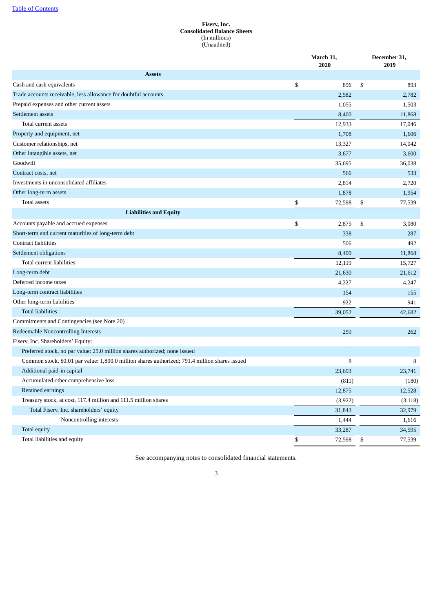#### **Fiserv, Inc. Consolidated Balance Sheets** (In millions) (Unaudited)

<span id="page-5-0"></span>

|                                                                                                | March 31,<br>2020 | December 31,<br>2019 |
|------------------------------------------------------------------------------------------------|-------------------|----------------------|
| <b>Assets</b>                                                                                  |                   |                      |
| Cash and cash equivalents                                                                      | \$<br>896         | \$<br>893            |
| Trade accounts receivable, less allowance for doubtful accounts                                | 2,582             | 2,782                |
| Prepaid expenses and other current assets                                                      | 1,055             | 1,503                |
| Settlement assets                                                                              | 8,400             | 11,868               |
| Total current assets                                                                           | 12,933            | 17,046               |
| Property and equipment, net                                                                    | 1,708             | 1,606                |
| Customer relationships, net                                                                    | 13,327            | 14,042               |
| Other intangible assets, net                                                                   | 3,677             | 3,600                |
| Goodwill                                                                                       | 35,695            | 36,038               |
| Contract costs, net                                                                            | 566               | 533                  |
| Investments in unconsolidated affiliates                                                       | 2,814             | 2,720                |
| Other long-term assets                                                                         | 1,878             | 1,954                |
| <b>Total assets</b>                                                                            | \$<br>72,598      | \$<br>77,539         |
| <b>Liabilities and Equity</b>                                                                  |                   |                      |
| Accounts payable and accrued expenses                                                          | \$<br>2,875       | \$<br>3,080          |
| Short-term and current maturities of long-term debt                                            | 338               | 287                  |
| <b>Contract liabilities</b>                                                                    | 506               | 492                  |
| Settlement obligations                                                                         | 8,400             | 11,868               |
| Total current liabilities                                                                      | 12,119            | 15,727               |
| Long-term debt                                                                                 | 21,630            | 21,612               |
| Deferred income taxes                                                                          | 4,227             | 4,247                |
| Long-term contract liabilities                                                                 | 154               | 155                  |
| Other long-term liabilities                                                                    | 922               | 941                  |
| <b>Total liabilities</b>                                                                       | 39,052            | 42,682               |
| Commitments and Contingencies (see Note 20)                                                    |                   |                      |
| Redeemable Noncontrolling Interests                                                            | 259               | 262                  |
| Fiserv, Inc. Shareholders' Equity:                                                             |                   |                      |
| Preferred stock, no par value: 25.0 million shares authorized; none issued                     |                   |                      |
| Common stock, \$0.01 par value: 1,800.0 million shares authorized; 791.4 million shares issued | 8                 | 8                    |
| Additional paid-in capital                                                                     | 23,693            | 23,741               |
| Accumulated other comprehensive loss                                                           | (811)             | (180)                |
| Retained earnings                                                                              | 12,875            | 12,528               |
| Treasury stock, at cost, 117.4 million and 111.5 million shares                                | (3,922)           | (3, 118)             |
| Total Fiserv, Inc. shareholders' equity                                                        | 31,843            | 32,979               |
| Noncontrolling interests                                                                       | 1,444             | 1,616                |
| Total equity                                                                                   | 33,287            | 34,595               |
| Total liabilities and equity                                                                   | \$<br>72,598      | \$<br>77,539         |

See accompanying notes to consolidated financial statements.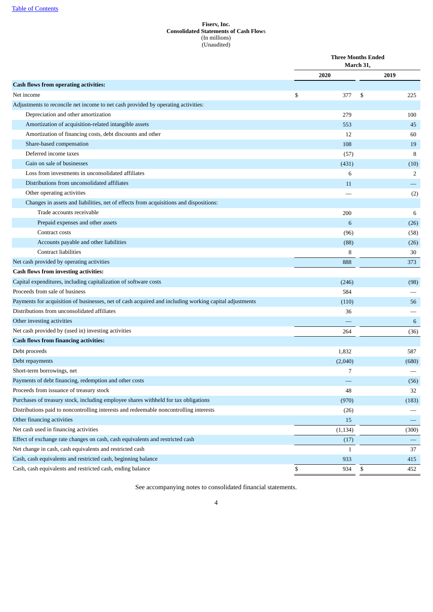#### **Fiserv, Inc. Consolidated Statements of Cash Flow**s (In millions) (Unaudited)

<span id="page-6-0"></span>

|                                                                                                        | <b>Three Months Ended</b><br>March 31, |    |       |  |  |  |
|--------------------------------------------------------------------------------------------------------|----------------------------------------|----|-------|--|--|--|
|                                                                                                        | 2020                                   |    | 2019  |  |  |  |
| <b>Cash flows from operating activities:</b>                                                           |                                        |    |       |  |  |  |
| Net income                                                                                             | \$<br>377                              | \$ | 225   |  |  |  |
| Adjustments to reconcile net income to net cash provided by operating activities:                      |                                        |    |       |  |  |  |
| Depreciation and other amortization                                                                    | 279                                    |    | 100   |  |  |  |
| Amortization of acquisition-related intangible assets                                                  | 553                                    |    | 45    |  |  |  |
| Amortization of financing costs, debt discounts and other                                              | 12                                     |    | 60    |  |  |  |
| Share-based compensation                                                                               | 108                                    |    | 19    |  |  |  |
| Deferred income taxes                                                                                  | (57)                                   |    | 8     |  |  |  |
| Gain on sale of businesses                                                                             | (431)                                  |    | (10)  |  |  |  |
| Loss from investments in unconsolidated affiliates                                                     | 6                                      |    | 2     |  |  |  |
| Distributions from unconsolidated affiliates                                                           | 11                                     |    |       |  |  |  |
| Other operating activities                                                                             |                                        |    | (2)   |  |  |  |
| Changes in assets and liabilities, net of effects from acquisitions and dispositions:                  |                                        |    |       |  |  |  |
| Trade accounts receivable                                                                              | 200                                    |    | 6     |  |  |  |
| Prepaid expenses and other assets                                                                      | 6                                      |    | (26)  |  |  |  |
| Contract costs                                                                                         | (96)                                   |    | (58)  |  |  |  |
| Accounts payable and other liabilities                                                                 | (88)                                   |    | (26)  |  |  |  |
| <b>Contract liabilities</b>                                                                            | 8                                      |    | 30    |  |  |  |
| Net cash provided by operating activities                                                              | 888                                    |    | 373   |  |  |  |
| <b>Cash flows from investing activities:</b>                                                           |                                        |    |       |  |  |  |
| Capital expenditures, including capitalization of software costs                                       | (246)                                  |    | (98)  |  |  |  |
| Proceeds from sale of business                                                                         | 584                                    |    |       |  |  |  |
| Payments for acquisition of businesses, net of cash acquired and including working capital adjustments | (110)                                  |    | 56    |  |  |  |
| Distributions from unconsolidated affiliates                                                           | 36                                     |    |       |  |  |  |
| Other investing activities                                                                             |                                        |    | 6     |  |  |  |
| Net cash provided by (used in) investing activities                                                    | 264                                    |    | (36)  |  |  |  |
| <b>Cash flows from financing activities:</b>                                                           |                                        |    |       |  |  |  |
| Debt proceeds                                                                                          | 1,832                                  |    | 587   |  |  |  |
| Debt repayments                                                                                        | (2,040)                                |    | (680) |  |  |  |
| Short-term borrowings, net                                                                             | 7                                      |    |       |  |  |  |
| Payments of debt financing, redemption and other costs                                                 |                                        |    | (56)  |  |  |  |
| Proceeds from issuance of treasury stock                                                               | 48                                     |    | 32    |  |  |  |
| Purchases of treasury stock, including employee shares withheld for tax obligations                    | (970)                                  |    | (183) |  |  |  |
| Distributions paid to noncontrolling interests and redeemable noncontrolling interests                 | (26)                                   |    |       |  |  |  |
| Other financing activities                                                                             | 15                                     |    |       |  |  |  |
| Net cash used in financing activities                                                                  | (1, 134)                               |    | (300) |  |  |  |
| Effect of exchange rate changes on cash, cash equivalents and restricted cash                          | (17)                                   |    |       |  |  |  |
| Net change in cash, cash equivalents and restricted cash                                               | $\mathbf{1}$                           |    | 37    |  |  |  |
| Cash, cash equivalents and restricted cash, beginning balance                                          | 933                                    |    | 415   |  |  |  |
| Cash, cash equivalents and restricted cash, ending balance                                             | \$<br>934                              | \$ | 452   |  |  |  |

See accompanying notes to consolidated financial statements.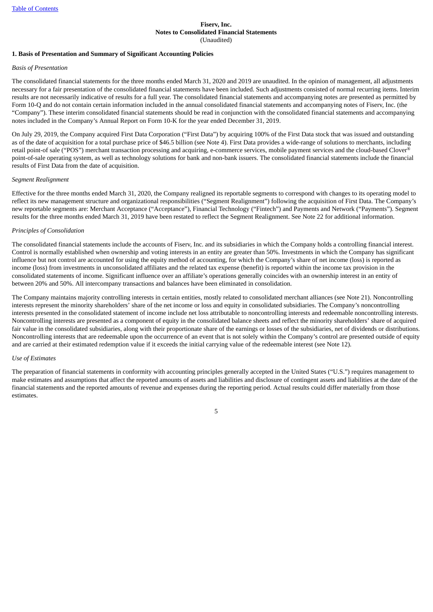#### **Fiserv, Inc. Notes to Consolidated Financial Statements** (Unaudited)

#### <span id="page-7-0"></span>**1. Basis of Presentation and Summary of Significant Accounting Policies**

#### *Basis of Presentation*

The consolidated financial statements for the three months ended March 31, 2020 and 2019 are unaudited. In the opinion of management, all adjustments necessary for a fair presentation of the consolidated financial statements have been included. Such adjustments consisted of normal recurring items. Interim results are not necessarily indicative of results for a full year. The consolidated financial statements and accompanying notes are presented as permitted by Form 10-Q and do not contain certain information included in the annual consolidated financial statements and accompanying notes of Fiserv, Inc. (the "Company"). These interim consolidated financial statements should be read in conjunction with the consolidated financial statements and accompanying notes included in the Company's Annual Report on Form 10-K for the year ended December 31, 2019.

On July 29, 2019, the Company acquired First Data Corporation ("First Data") by acquiring 100% of the First Data stock that was issued and outstanding as of the date of acquisition for a total purchase price of \$46.5 billion (see Note 4). First Data provides a wide-range of solutions to merchants, including retail point-of sale ("POS") merchant transaction processing and acquiring, e-commerce services, mobile payment services and the cloud-based Clover® point-of-sale operating system, as well as technology solutions for bank and non-bank issuers. The consolidated financial statements include the financial results of First Data from the date of acquisition.

#### *Segment Realignment*

Effective for the three months ended March 31, 2020, the Company realigned its reportable segments to correspond with changes to its operating model to reflect its new management structure and organizational responsibilities ("Segment Realignment") following the acquisition of First Data. The Company's new reportable segments are: Merchant Acceptance ("Acceptance"), Financial Technology ("Fintech") and Payments and Network ("Payments"). Segment results for the three months ended March 31, 2019 have been restated to reflect the Segment Realignment. See Note 22 for additional information.

#### *Principles of Consolidation*

The consolidated financial statements include the accounts of Fiserv, Inc. and its subsidiaries in which the Company holds a controlling financial interest. Control is normally established when ownership and voting interests in an entity are greater than 50%. Investments in which the Company has significant influence but not control are accounted for using the equity method of accounting, for which the Company's share of net income (loss) is reported as income (loss) from investments in unconsolidated affiliates and the related tax expense (benefit) is reported within the income tax provision in the consolidated statements of income. Significant influence over an affiliate's operations generally coincides with an ownership interest in an entity of between 20% and 50%. All intercompany transactions and balances have been eliminated in consolidation.

The Company maintains majority controlling interests in certain entities, mostly related to consolidated merchant alliances (see Note 21). Noncontrolling interests represent the minority shareholders' share of the net income or loss and equity in consolidated subsidiaries. The Company's noncontrolling interests presented in the consolidated statement of income include net loss attributable to noncontrolling interests and redeemable noncontrolling interests. Noncontrolling interests are presented as a component of equity in the consolidated balance sheets and reflect the minority shareholders' share of acquired fair value in the consolidated subsidiaries, along with their proportionate share of the earnings or losses of the subsidiaries, net of dividends or distributions. Noncontrolling interests that are redeemable upon the occurrence of an event that is not solely within the Company's control are presented outside of equity and are carried at their estimated redemption value if it exceeds the initial carrying value of the redeemable interest (see Note 12).

#### *Use of Estimates*

The preparation of financial statements in conformity with accounting principles generally accepted in the United States ("U.S.") requires management to make estimates and assumptions that affect the reported amounts of assets and liabilities and disclosure of contingent assets and liabilities at the date of the financial statements and the reported amounts of revenue and expenses during the reporting period. Actual results could differ materially from those estimates.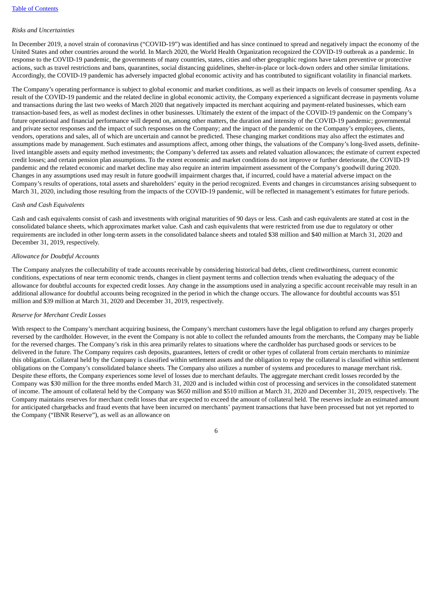#### *Risks and Uncertainties*

In December 2019, a novel strain of coronavirus ("COVID-19") was identified and has since continued to spread and negatively impact the economy of the United States and other countries around the world. In March 2020, the World Health Organization recognized the COVID-19 outbreak as a pandemic. In response to the COVID-19 pandemic, the governments of many countries, states, cities and other geographic regions have taken preventive or protective actions, such as travel restrictions and bans, quarantines, social distancing guidelines, shelter-in-place or lock-down orders and other similar limitations. Accordingly, the COVID-19 pandemic has adversely impacted global economic activity and has contributed to significant volatility in financial markets.

The Company's operating performance is subject to global economic and market conditions, as well as their impacts on levels of consumer spending. As a result of the COVID-19 pandemic and the related decline in global economic activity, the Company experienced a significant decrease in payments volume and transactions during the last two weeks of March 2020 that negatively impacted its merchant acquiring and payment-related businesses, which earn transaction-based fees, as well as modest declines in other businesses. Ultimately the extent of the impact of the COVID-19 pandemic on the Company's future operational and financial performance will depend on, among other matters, the duration and intensity of the COVID-19 pandemic; governmental and private sector responses and the impact of such responses on the Company; and the impact of the pandemic on the Company's employees, clients, vendors, operations and sales, all of which are uncertain and cannot be predicted. These changing market conditions may also affect the estimates and assumptions made by management. Such estimates and assumptions affect, among other things, the valuations of the Company's long-lived assets, definitelived intangible assets and equity method investments; the Company's deferred tax assets and related valuation allowances; the estimate of current expected credit losses; and certain pension plan assumptions. To the extent economic and market conditions do not improve or further deteriorate, the COVID-19 pandemic and the related economic and market decline may also require an interim impairment assessment of the Company's goodwill during 2020. Changes in any assumptions used may result in future goodwill impairment charges that, if incurred, could have a material adverse impact on the Company's results of operations, total assets and shareholders' equity in the period recognized. Events and changes in circumstances arising subsequent to March 31, 2020, including those resulting from the impacts of the COVID-19 pandemic, will be reflected in management's estimates for future periods.

#### *Cash and Cash Equivalents*

Cash and cash equivalents consist of cash and investments with original maturities of 90 days or less. Cash and cash equivalents are stated at cost in the consolidated balance sheets, which approximates market value. Cash and cash equivalents that were restricted from use due to regulatory or other requirements are included in other long-term assets in the consolidated balance sheets and totaled \$38 million and \$40 million at March 31, 2020 and December 31, 2019, respectively.

#### *Allowance for Doubtful Accounts*

The Company analyzes the collectability of trade accounts receivable by considering historical bad debts, client creditworthiness, current economic conditions, expectations of near term economic trends, changes in client payment terms and collection trends when evaluating the adequacy of the allowance for doubtful accounts for expected credit losses. Any change in the assumptions used in analyzing a specific account receivable may result in an additional allowance for doubtful accounts being recognized in the period in which the change occurs. The allowance for doubtful accounts was \$51 million and \$39 million at March 31, 2020 and December 31, 2019, respectively.

#### *Reserve for Merchant Credit Losses*

With respect to the Company's merchant acquiring business, the Company's merchant customers have the legal obligation to refund any charges properly reversed by the cardholder. However, in the event the Company is not able to collect the refunded amounts from the merchants, the Company may be liable for the reversed charges. The Company's risk in this area primarily relates to situations where the cardholder has purchased goods or services to be delivered in the future. The Company requires cash deposits, guarantees, letters of credit or other types of collateral from certain merchants to minimize this obligation. Collateral held by the Company is classified within settlement assets and the obligation to repay the collateral is classified within settlement obligations on the Company's consolidated balance sheets. The Company also utilizes a number of systems and procedures to manage merchant risk. Despite these efforts, the Company experiences some level of losses due to merchant defaults. The aggregate merchant credit losses recorded by the Company was \$30 million for the three months ended March 31, 2020 and is included within cost of processing and services in the consolidated statement of income. The amount of collateral held by the Company was \$650 million and \$510 million at March 31, 2020 and December 31, 2019, respectively. The Company maintains reserves for merchant credit losses that are expected to exceed the amount of collateral held. The reserves include an estimated amount for anticipated chargebacks and fraud events that have been incurred on merchants' payment transactions that have been processed but not yet reported to the Company ("IBNR Reserve"), as well as an allowance on

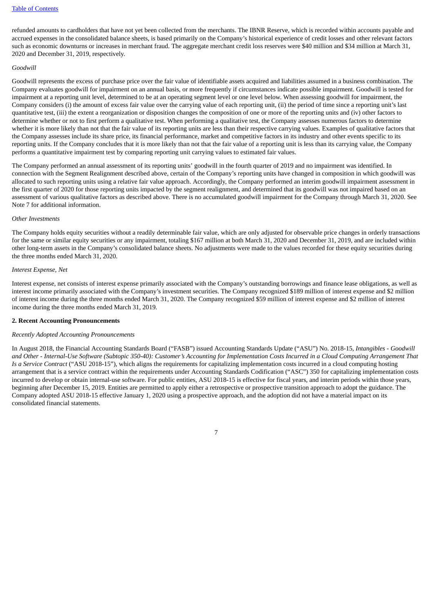refunded amounts to cardholders that have not yet been collected from the merchants. The IBNR Reserve, which is recorded within accounts payable and accrued expenses in the consolidated balance sheets, is based primarily on the Company's historical experience of credit losses and other relevant factors such as economic downturns or increases in merchant fraud. The aggregate merchant credit loss reserves were \$40 million and \$34 million at March 31, 2020 and December 31, 2019, respectively.

#### *Goodwill*

Goodwill represents the excess of purchase price over the fair value of identifiable assets acquired and liabilities assumed in a business combination. The Company evaluates goodwill for impairment on an annual basis, or more frequently if circumstances indicate possible impairment. Goodwill is tested for impairment at a reporting unit level, determined to be at an operating segment level or one level below. When assessing goodwill for impairment, the Company considers (i) the amount of excess fair value over the carrying value of each reporting unit, (ii) the period of time since a reporting unit's last quantitative test, (iii) the extent a reorganization or disposition changes the composition of one or more of the reporting units and (iv) other factors to determine whether or not to first perform a qualitative test. When performing a qualitative test, the Company assesses numerous factors to determine whether it is more likely than not that the fair value of its reporting units are less than their respective carrying values. Examples of qualitative factors that the Company assesses include its share price, its financial performance, market and competitive factors in its industry and other events specific to its reporting units. If the Company concludes that it is more likely than not that the fair value of a reporting unit is less than its carrying value, the Company performs a quantitative impairment test by comparing reporting unit carrying values to estimated fair values.

The Company performed an annual assessment of its reporting units' goodwill in the fourth quarter of 2019 and no impairment was identified. In connection with the Segment Realignment described above, certain of the Company's reporting units have changed in composition in which goodwill was allocated to such reporting units using a relative fair value approach. Accordingly, the Company performed an interim goodwill impairment assessment in the first quarter of 2020 for those reporting units impacted by the segment realignment, and determined that its goodwill was not impaired based on an assessment of various qualitative factors as described above. There is no accumulated goodwill impairment for the Company through March 31, 2020. See Note 7 for additional information.

#### *Other Investments*

The Company holds equity securities without a readily determinable fair value, which are only adjusted for observable price changes in orderly transactions for the same or similar equity securities or any impairment, totaling \$167 million at both March 31, 2020 and December 31, 2019, and are included within other long-term assets in the Company's consolidated balance sheets. No adjustments were made to the values recorded for these equity securities during the three months ended March 31, 2020.

#### *Interest Expense, Net*

Interest expense, net consists of interest expense primarily associated with the Company's outstanding borrowings and finance lease obligations, as well as interest income primarily associated with the Company's investment securities. The Company recognized \$189 million of interest expense and \$2 million of interest income during the three months ended March 31, 2020. The Company recognized \$59 million of interest expense and \$2 million of interest income during the three months ended March 31, 2019.

#### **2. Recent Accounting Pronouncements**

#### *Recently Adopted Accounting Pronouncements*

In August 2018, the Financial Accounting Standards Board ("FASB") issued Accounting Standards Update ("ASU") No. 2018-15, *Intangibles - Goodwill* and Other - Internal-Use Software (Subtopic 350-40): Customer's Accounting for Implementation Costs Incurred in a Cloud Computing Arrangement That *Is a Service Contract* ("ASU 2018-15"), which aligns the requirements for capitalizing implementation costs incurred in a cloud computing hosting arrangement that is a service contract within the requirements under Accounting Standards Codification ("ASC") 350 for capitalizing implementation costs incurred to develop or obtain internal-use software. For public entities, ASU 2018-15 is effective for fiscal years, and interim periods within those years, beginning after December 15, 2019. Entities are permitted to apply either a retrospective or prospective transition approach to adopt the guidance. The Company adopted ASU 2018-15 effective January 1, 2020 using a prospective approach, and the adoption did not have a material impact on its consolidated financial statements.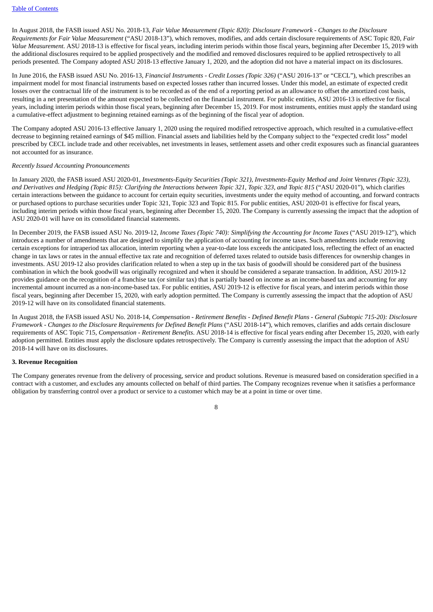In August 2018, the FASB issued ASU No. 2018-13, *Fair Value Measurement (Topic 820): Disclosure Framework - Changes to the Disclosure Requirements for Fair Value Measurement* ("ASU 2018-13"), which removes, modifies, and adds certain disclosure requirements of ASC Topic 820, *Fair Value Measurement*. ASU 2018-13 is effective for fiscal years, including interim periods within those fiscal years, beginning after December 15, 2019 with the additional disclosures required to be applied prospectively and the modified and removed disclosures required to be applied retrospectively to all periods presented. The Company adopted ASU 2018-13 effective January 1, 2020, and the adoption did not have a material impact on its disclosures.

In June 2016, the FASB issued ASU No. 2016-13, *Financial Instruments - Credit Losses (Topic 326)* ("ASU 2016-13" or "CECL"), which prescribes an impairment model for most financial instruments based on expected losses rather than incurred losses. Under this model, an estimate of expected credit losses over the contractual life of the instrument is to be recorded as of the end of a reporting period as an allowance to offset the amortized cost basis, resulting in a net presentation of the amount expected to be collected on the financial instrument. For public entities, ASU 2016-13 is effective for fiscal years, including interim periods within those fiscal years, beginning after December 15, 2019. For most instruments, entities must apply the standard using a cumulative-effect adjustment to beginning retained earnings as of the beginning of the fiscal year of adoption.

The Company adopted ASU 2016-13 effective January 1, 2020 using the required modified retrospective approach, which resulted in a cumulative-effect decrease to beginning retained earnings of \$45 million. Financial assets and liabilities held by the Company subject to the "expected credit loss" model prescribed by CECL include trade and other receivables, net investments in leases, settlement assets and other credit exposures such as financial guarantees not accounted for as insurance.

#### *Recently Issued Accounting Pronouncements*

In January 2020, the FASB issued ASU 2020-01, *Investments-Equity Securities (Topic 321), Investments-Equity Method and Joint Ventures (Topic 323),* and Derivatives and Hedging (Topic 815): Clarifying the Interactions between Topic 321, Topic 323, and Topic 815 ("ASU 2020-01"), which clarifies certain interactions between the guidance to account for certain equity securities, investments under the equity method of accounting, and forward contracts or purchased options to purchase securities under Topic 321, Topic 323 and Topic 815. For public entities, ASU 2020-01 is effective for fiscal years, including interim periods within those fiscal years, beginning after December 15, 2020. The Company is currently assessing the impact that the adoption of ASU 2020-01 will have on its consolidated financial statements.

In December 2019, the FASB issued ASU No. 2019-12, *Income Taxes (Topic 740): Simplifying the Accounting for Income Taxes* ("ASU 2019-12"), which introduces a number of amendments that are designed to simplify the application of accounting for income taxes. Such amendments include removing certain exceptions for intraperiod tax allocation, interim reporting when a year-to-date loss exceeds the anticipated loss, reflecting the effect of an enacted change in tax laws or rates in the annual effective tax rate and recognition of deferred taxes related to outside basis differences for ownership changes in investments. ASU 2019-12 also provides clarification related to when a step up in the tax basis of goodwill should be considered part of the business combination in which the book goodwill was originally recognized and when it should be considered a separate transaction. In addition, ASU 2019-12 provides guidance on the recognition of a franchise tax (or similar tax) that is partially based on income as an income-based tax and accounting for any incremental amount incurred as a non-income-based tax. For public entities, ASU 2019-12 is effective for fiscal years, and interim periods within those fiscal years, beginning after December 15, 2020, with early adoption permitted. The Company is currently assessing the impact that the adoption of ASU 2019-12 will have on its consolidated financial statements.

In August 2018, the FASB issued ASU No. 2018-14, Compensation - Retirement Benefits - Defined Benefit Plans - General (Subtopic 715-20): Disclosure *Framework - Changes to the Disclosure Requirements for Defined Benefit Plans* ("ASU 2018-14"), which removes, clarifies and adds certain disclosure requirements of ASC Topic 715, *Compensation - Retirement Benefits*. ASU 2018-14 is effective for fiscal years ending after December 15, 2020, with early adoption permitted. Entities must apply the disclosure updates retrospectively. The Company is currently assessing the impact that the adoption of ASU 2018-14 will have on its disclosures.

#### **3. Revenue Recognition**

The Company generates revenue from the delivery of processing, service and product solutions. Revenue is measured based on consideration specified in a contract with a customer, and excludes any amounts collected on behalf of third parties. The Company recognizes revenue when it satisfies a performance obligation by transferring control over a product or service to a customer which may be at a point in time or over time.

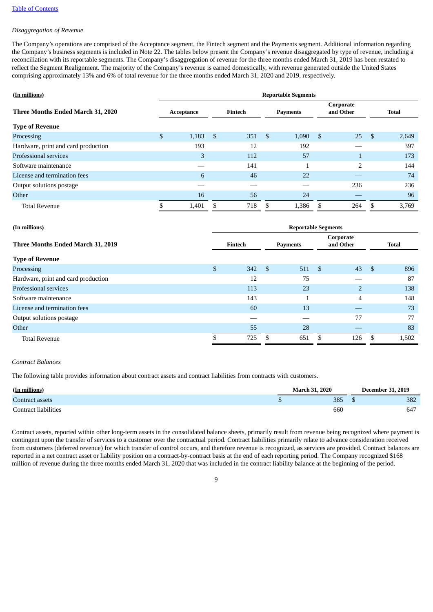#### *Disaggregation of Revenue*

The Company's operations are comprised of the Acceptance segment, the Fintech segment and the Payments segment. Additional information regarding the Company's business segments is included in Note 22. The tables below present the Company's revenue disaggregated by type of revenue, including a reconciliation with its reportable segments. The Company's disaggregation of revenue for the three months ended March 31, 2019 has been restated to reflect the Segment Realignment. The majority of the Company's revenue is earned domestically, with revenue generated outside the United States comprising approximately 13% and 6% of total revenue for the three months ended March 31, 2020 and 2019, respectively.

| (In millions)                       | <b>Reportable Segments</b>               |       |    |     |     |                      |                        |     |            |              |
|-------------------------------------|------------------------------------------|-------|----|-----|-----|----------------------|------------------------|-----|------------|--------------|
| Three Months Ended March 31, 2020   | Fintech<br><b>Payments</b><br>Acceptance |       |    |     |     |                      | Corporate<br>and Other |     |            | <b>Total</b> |
| <b>Type of Revenue</b>              |                                          |       |    |     |     |                      |                        |     |            |              |
| Processing                          | \$                                       | 1,183 | \$ | 351 | -\$ | 1,090                | \$                     | 25  | $^{\circ}$ | 2,649        |
| Hardware, print and card production |                                          | 193   |    | 12  |     | 192                  |                        |     |            | 397          |
| Professional services               |                                          | 3     |    | 112 |     | 57                   |                        |     |            | 173          |
| Software maintenance                |                                          |       |    | 141 |     | $\blacktriangleleft$ |                        | 2   |            | 144          |
| License and termination fees        |                                          | 6     |    | 46  |     | 22                   |                        |     |            | 74           |
| Output solutions postage            |                                          |       |    |     |     |                      |                        | 236 |            | 236          |
| Other                               |                                          | 16    |    | 56  |     | 24                   |                        |     |            | 96           |
| <b>Total Revenue</b>                |                                          | 1,401 |    | 718 |     | 1,386                |                        | 264 |            | 3,769        |

| (In millions)                       | <b>Reportable Segments</b> |     |      |                 |                        |                |            |              |
|-------------------------------------|----------------------------|-----|------|-----------------|------------------------|----------------|------------|--------------|
| Three Months Ended March 31, 2019   | Fintech                    |     |      | <b>Payments</b> | Corporate<br>and Other |                |            | <b>Total</b> |
| <b>Type of Revenue</b>              |                            |     |      |                 |                        |                |            |              |
| Processing                          | \$                         | 342 | - \$ | 511             | \$                     | 43             | $^{\circ}$ | 896          |
| Hardware, print and card production |                            | 12  |      | 75              |                        |                |            | 87           |
| Professional services               |                            | 113 |      | 23              |                        | $\overline{2}$ |            | 138          |
| Software maintenance                |                            | 143 |      | 1               |                        | 4              |            | 148          |
| License and termination fees        |                            | 60  |      | 13              |                        |                |            | 73           |
| Output solutions postage            |                            |     |      |                 |                        | 77             |            | 77           |
| Other                               |                            | 55  |      | 28              |                        |                |            | 83           |
| <b>Total Revenue</b>                |                            | 725 |      | 651             |                        | 126            | \$.        | 1,502        |

#### *Contract Balances*

The following table provides information about contract assets and contract liabilities from contracts with customers.

| (In millions)          | March 31, 2020 | <b>December 31, 2019</b> |
|------------------------|----------------|--------------------------|
| <b>Contract assets</b> | 385            | 382                      |
| Contract liabilities   | 660            | 647                      |

Contract assets, reported within other long-term assets in the consolidated balance sheets, primarily result from revenue being recognized where payment is contingent upon the transfer of services to a customer over the contractual period. Contract liabilities primarily relate to advance consideration received from customers (deferred revenue) for which transfer of control occurs, and therefore revenue is recognized, as services are provided. Contract balances are reported in a net contract asset or liability position on a contract-by-contract basis at the end of each reporting period. The Company recognized \$168 million of revenue during the three months ended March 31, 2020 that was included in the contract liability balance at the beginning of the period.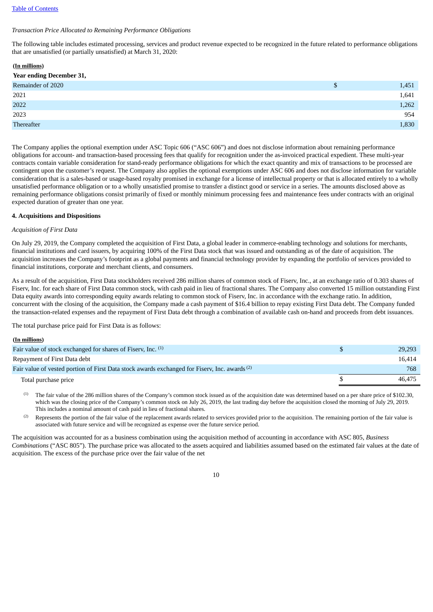#### *Transaction Price Allocated to Remaining Performance Obligations*

The following table includes estimated processing, services and product revenue expected to be recognized in the future related to performance obligations that are unsatisfied (or partially unsatisfied) at March 31, 2020:

| (In millions)                   |   |       |
|---------------------------------|---|-------|
| <b>Year ending December 31,</b> |   |       |
| Remainder of 2020               | S | 1,451 |
| 2021                            |   | 1,641 |
| 2022                            |   | 1,262 |
| 2023                            |   | 954   |
| Thereafter                      |   | 1,830 |

The Company applies the optional exemption under ASC Topic 606 ("ASC 606") and does not disclose information about remaining performance obligations for account- and transaction-based processing fees that qualify for recognition under the as-invoiced practical expedient. These multi-year contracts contain variable consideration for stand-ready performance obligations for which the exact quantity and mix of transactions to be processed are contingent upon the customer's request. The Company also applies the optional exemptions under ASC 606 and does not disclose information for variable consideration that is a sales-based or usage-based royalty promised in exchange for a license of intellectual property or that is allocated entirely to a wholly unsatisfied performance obligation or to a wholly unsatisfied promise to transfer a distinct good or service in a series. The amounts disclosed above as remaining performance obligations consist primarily of fixed or monthly minimum processing fees and maintenance fees under contracts with an original expected duration of greater than one year.

#### **4. Acquisitions and Dispositions**

#### *Acquisition of First Data*

On July 29, 2019, the Company completed the acquisition of First Data, a global leader in commerce-enabling technology and solutions for merchants, financial institutions and card issuers, by acquiring 100% of the First Data stock that was issued and outstanding as of the date of acquisition. The acquisition increases the Company's footprint as a global payments and financial technology provider by expanding the portfolio of services provided to financial institutions, corporate and merchant clients, and consumers.

As a result of the acquisition, First Data stockholders received 286 million shares of common stock of Fiserv, Inc., at an exchange ratio of 0.303 shares of Fiserv, Inc. for each share of First Data common stock, with cash paid in lieu of fractional shares. The Company also converted 15 million outstanding First Data equity awards into corresponding equity awards relating to common stock of Fiserv, Inc. in accordance with the exchange ratio. In addition, concurrent with the closing of the acquisition, the Company made a cash payment of \$16.4 billion to repay existing First Data debt. The Company funded the transaction-related expenses and the repayment of First Data debt through a combination of available cash on-hand and proceeds from debt issuances.

The total purchase price paid for First Data is as follows:

#### **(In millions)**

| Fair value of stock exchanged for shares of Fisery, Inc. (1)                                             | 29,293 |
|----------------------------------------------------------------------------------------------------------|--------|
| Repayment of First Data debt                                                                             | 16.414 |
| Fair value of vested portion of First Data stock awards exchanged for Fisery, Inc. awards <sup>(2)</sup> | 768    |
| Total purchase price                                                                                     | 46.475 |

<sup>(1)</sup> The fair value of the 286 million shares of the Company's common stock issued as of the acquisition date was determined based on a per share price of \$102.30, which was the closing price of the Company's common stock on July 26, 2019, the last trading day before the acquisition closed the morning of July 29, 2019. This includes a nominal amount of cash paid in lieu of fractional shares.

(2) Represents the portion of the fair value of the replacement awards related to services provided prior to the acquisition. The remaining portion of the fair value is associated with future service and will be recognized as expense over the future service period.

The acquisition was accounted for as a business combination using the acquisition method of accounting in accordance with ASC 805, *Business Combinations* ("ASC 805"). The purchase price was allocated to the assets acquired and liabilities assumed based on the estimated fair values at the date of acquisition. The excess of the purchase price over the fair value of the net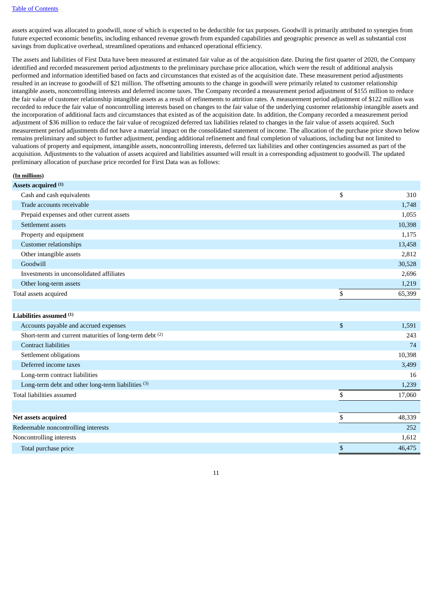assets acquired was allocated to goodwill, none of which is expected to be deductible for tax purposes. Goodwill is primarily attributed to synergies from future expected economic benefits, including enhanced revenue growth from expanded capabilities and geographic presence as well as substantial cost savings from duplicative overhead, streamlined operations and enhanced operational efficiency.

The assets and liabilities of First Data have been measured at estimated fair value as of the acquisition date. During the first quarter of 2020, the Company identified and recorded measurement period adjustments to the preliminary purchase price allocation, which were the result of additional analysis performed and information identified based on facts and circumstances that existed as of the acquisition date. These measurement period adjustments resulted in an increase to goodwill of \$21 million. The offsetting amounts to the change in goodwill were primarily related to customer relationship intangible assets, noncontrolling interests and deferred income taxes. The Company recorded a measurement period adjustment of \$155 million to reduce the fair value of customer relationship intangible assets as a result of refinements to attrition rates. A measurement period adjustment of \$122 million was recorded to reduce the fair value of noncontrolling interests based on changes to the fair value of the underlying customer relationship intangible assets and the incorporation of additional facts and circumstances that existed as of the acquisition date. In addition, the Company recorded a measurement period adjustment of \$36 million to reduce the fair value of recognized deferred tax liabilities related to changes in the fair value of assets acquired. Such measurement period adjustments did not have a material impact on the consolidated statement of income. The allocation of the purchase price shown below remains preliminary and subject to further adjustment, pending additional refinement and final completion of valuations, including but not limited to valuations of property and equipment, intangible assets, noncontrolling interests, deferred tax liabilities and other contingencies assumed as part of the acquisition. Adjustments to the valuation of assets acquired and liabilities assumed will result in a corresponding adjustment to goodwill. The updated preliminary allocation of purchase price recorded for First Data was as follows:

#### **(In millions)**

| Assets acquired (1)                       |    |        |
|-------------------------------------------|----|--------|
| Cash and cash equivalents                 | \$ | 310    |
| Trade accounts receivable                 |    | 1,748  |
| Prepaid expenses and other current assets |    | 1,055  |
| Settlement assets                         |    | 10,398 |
| Property and equipment                    |    | 1,175  |
| Customer relationships                    |    | 13,458 |
| Other intangible assets                   |    | 2,812  |
| Goodwill                                  |    | 30,528 |
| Investments in unconsolidated affiliates  |    | 2,696  |
| Other long-term assets                    |    | 1,219  |
| Total assets acquired                     | đ  | 65,399 |
|                                           |    |        |

#### **Liabilities assumed (1)**

| Accounts payable and accrued expenses                   | \$<br>1,591  |
|---------------------------------------------------------|--------------|
| Short-term and current maturities of long-term debt (2) | 243          |
| <b>Contract liabilities</b>                             | 74           |
| Settlement obligations                                  | 10,398       |
| Deferred income taxes                                   | 3,499        |
| Long-term contract liabilities                          | 16           |
| Long-term debt and other long-term liabilities (3)      | 1,239        |
| Total liabilities assumed                               | 17,060       |
|                                                         |              |
| Net assets acquired                                     | 48,339       |
| Redeemable noncontrolling interests                     | 252          |
| Noncontrolling interests                                | 1,612        |
| Total purchase price                                    | \$<br>46,475 |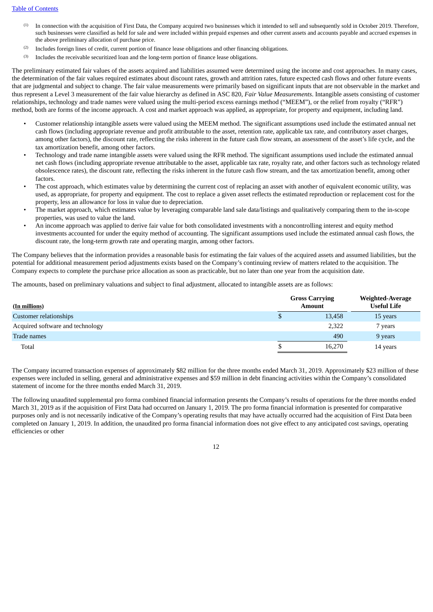- <sup>(1)</sup> In connection with the acquisition of First Data, the Company acquired two businesses which it intended to sell and subsequently sold in October 2019. Therefore, such businesses were classified as held for sale and were included within prepaid expenses and other current assets and accounts payable and accrued expenses in the above preliminary allocation of purchase price.
- (2) Includes foreign lines of credit, current portion of finance lease obligations and other financing obligations.
- $^{(3)}$  Includes the receivable securitized loan and the long-term portion of finance lease obligations.

The preliminary estimated fair values of the assets acquired and liabilities assumed were determined using the income and cost approaches. In many cases, the determination of the fair values required estimates about discount rates, growth and attrition rates, future expected cash flows and other future events that are judgmental and subject to change. The fair value measurements were primarily based on significant inputs that are not observable in the market and thus represent a Level 3 measurement of the fair value hierarchy as defined in ASC 820, *Fair Value Measurements*. Intangible assets consisting of customer relationships, technology and trade names were valued using the multi-period excess earnings method ("MEEM"), or the relief from royalty ("RFR") method, both are forms of the income approach. A cost and market approach was applied, as appropriate, for property and equipment, including land.

- Customer relationship intangible assets were valued using the MEEM method. The significant assumptions used include the estimated annual net cash flows (including appropriate revenue and profit attributable to the asset, retention rate, applicable tax rate, and contributory asset charges, among other factors), the discount rate, reflecting the risks inherent in the future cash flow stream, an assessment of the asset's life cycle, and the tax amortization benefit, among other factors.
- Technology and trade name intangible assets were valued using the RFR method. The significant assumptions used include the estimated annual net cash flows (including appropriate revenue attributable to the asset, applicable tax rate, royalty rate, and other factors such as technology related obsolescence rates), the discount rate, reflecting the risks inherent in the future cash flow stream, and the tax amortization benefit, among other factors.
- The cost approach, which estimates value by determining the current cost of replacing an asset with another of equivalent economic utility, was used, as appropriate, for property and equipment. The cost to replace a given asset reflects the estimated reproduction or replacement cost for the property, less an allowance for loss in value due to depreciation.
- The market approach, which estimates value by leveraging comparable land sale data/listings and qualitatively comparing them to the in-scope properties, was used to value the land.
- An income approach was applied to derive fair value for both consolidated investments with a noncontrolling interest and equity method investments accounted for under the equity method of accounting. The significant assumptions used include the estimated annual cash flows, the discount rate, the long-term growth rate and operating margin, among other factors.

The Company believes that the information provides a reasonable basis for estimating the fair values of the acquired assets and assumed liabilities, but the potential for additional measurement period adjustments exists based on the Company's continuing review of matters related to the acquisition. The Company expects to complete the purchase price allocation as soon as practicable, but no later than one year from the acquisition date.

The amounts, based on preliminary valuations and subject to final adjustment, allocated to intangible assets are as follows:

| (In millions)                    | <b>Gross Carrying</b><br><b>Amount</b> | Weighted-Average<br><b>Useful Life</b> |
|----------------------------------|----------------------------------------|----------------------------------------|
| Customer relationships           | 13,458                                 | 15 years                               |
| Acquired software and technology | 2,322                                  | 7 years                                |
| Trade names                      | 490                                    | 9 years                                |
| Total                            | 16,270                                 | 14 years                               |

The Company incurred transaction expenses of approximately \$82 million for the three months ended March 31, 2019. Approximately \$23 million of these expenses were included in selling, general and administrative expenses and \$59 million in debt financing activities within the Company's consolidated statement of income for the three months ended March 31, 2019.

The following unaudited supplemental pro forma combined financial information presents the Company's results of operations for the three months ended March 31, 2019 as if the acquisition of First Data had occurred on January 1, 2019. The pro forma financial information is presented for comparative purposes only and is not necessarily indicative of the Company's operating results that may have actually occurred had the acquisition of First Data been completed on January 1, 2019. In addition, the unaudited pro forma financial information does not give effect to any anticipated cost savings, operating efficiencies or other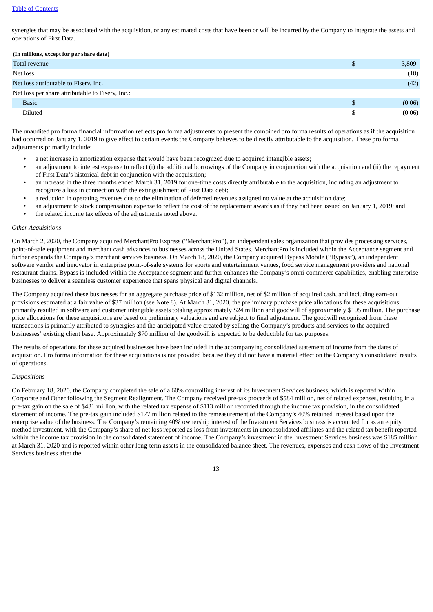synergies that may be associated with the acquisition, or any estimated costs that have been or will be incurred by the Company to integrate the assets and operations of First Data.

| (In millions, except for per share data)         |        |
|--------------------------------------------------|--------|
| Total revenue                                    | 3,809  |
| Net loss                                         | (18)   |
| Net loss attributable to Fiserv, Inc.            | (42)   |
| Net loss per share attributable to Fiserv, Inc.: |        |
| <b>Basic</b>                                     | (0.06) |
| Diluted                                          | (0.06) |

The unaudited pro forma financial information reflects pro forma adjustments to present the combined pro forma results of operations as if the acquisition had occurred on January 1, 2019 to give effect to certain events the Company believes to be directly attributable to the acquisition. These pro forma adjustments primarily include:

- a net increase in amortization expense that would have been recognized due to acquired intangible assets;
- an adjustment to interest expense to reflect (i) the additional borrowings of the Company in conjunction with the acquisition and (ii) the repayment of First Data's historical debt in conjunction with the acquisition;
- an increase in the three months ended March 31, 2019 for one-time costs directly attributable to the acquisition, including an adjustment to recognize a loss in connection with the extinguishment of First Data debt;
- a reduction in operating revenues due to the elimination of deferred revenues assigned no value at the acquisition date;
- an adjustment to stock compensation expense to reflect the cost of the replacement awards as if they had been issued on January 1, 2019; and
- the related income tax effects of the adjustments noted above.

#### *Other Acquisitions*

On March 2, 2020, the Company acquired MerchantPro Express ("MerchantPro"), an independent sales organization that provides processing services, point-of-sale equipment and merchant cash advances to businesses across the United States. MerchantPro is included within the Acceptance segment and further expands the Company's merchant services business. On March 18, 2020, the Company acquired Bypass Mobile ("Bypass"), an independent software vendor and innovator in enterprise point-of-sale systems for sports and entertainment venues, food service management providers and national restaurant chains. Bypass is included within the Acceptance segment and further enhances the Company's omni-commerce capabilities, enabling enterprise businesses to deliver a seamless customer experience that spans physical and digital channels.

The Company acquired these businesses for an aggregate purchase price of \$132 million, net of \$2 million of acquired cash, and including earn-out provisions estimated at a fair value of \$37 million (see Note 8). At March 31, 2020, the preliminary purchase price allocations for these acquisitions primarily resulted in software and customer intangible assets totaling approximately \$24 million and goodwill of approximately \$105 million. The purchase price allocations for these acquisitions are based on preliminary valuations and are subject to final adjustment. The goodwill recognized from these transactions is primarily attributed to synergies and the anticipated value created by selling the Company's products and services to the acquired businesses' existing client base. Approximately \$70 million of the goodwill is expected to be deductible for tax purposes.

The results of operations for these acquired businesses have been included in the accompanying consolidated statement of income from the dates of acquisition. Pro forma information for these acquisitions is not provided because they did not have a material effect on the Company's consolidated results of operations.

#### *Dispositions*

On February 18, 2020, the Company completed the sale of a 60% controlling interest of its Investment Services business, which is reported within Corporate and Other following the Segment Realignment. The Company received pre-tax proceeds of \$584 million, net of related expenses, resulting in a pre-tax gain on the sale of \$431 million, with the related tax expense of \$113 million recorded through the income tax provision, in the consolidated statement of income. The pre-tax gain included \$177 million related to the remeasurement of the Company's 40% retained interest based upon the enterprise value of the business. The Company's remaining 40% ownership interest of the Investment Services business is accounted for as an equity method investment, with the Company's share of net loss reported as loss from investments in unconsolidated affiliates and the related tax benefit reported within the income tax provision in the consolidated statement of income. The Company's investment in the Investment Services business was \$185 million at March 31, 2020 and is reported within other long-term assets in the consolidated balance sheet. The revenues, expenses and cash flows of the Investment Services business after the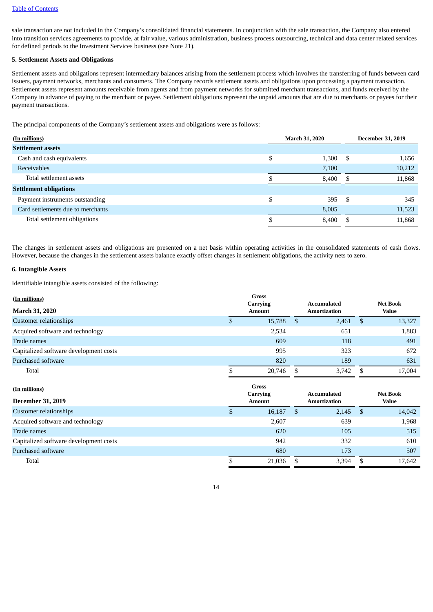sale transaction are not included in the Company's consolidated financial statements. In conjunction with the sale transaction, the Company also entered into transition services agreements to provide, at fair value, various administration, business process outsourcing, technical and data center related services for defined periods to the Investment Services business (see Note 21).

### **5. Settlement Assets and Obligations**

Settlement assets and obligations represent intermediary balances arising from the settlement process which involves the transferring of funds between card issuers, payment networks, merchants and consumers. The Company records settlement assets and obligations upon processing a payment transaction. Settlement assets represent amounts receivable from agents and from payment networks for submitted merchant transactions, and funds received by the Company in advance of paying to the merchant or payee. Settlement obligations represent the unpaid amounts that are due to merchants or payees for their payment transactions.

The principal components of the Company's settlement assets and obligations were as follows:

| (In millions)                     | <b>March 31, 2020</b> |       |      | <b>December 31, 2019</b> |
|-----------------------------------|-----------------------|-------|------|--------------------------|
| <b>Settlement assets</b>          |                       |       |      |                          |
| Cash and cash equivalents         | D                     | 1,300 | - \$ | 1,656                    |
| Receivables                       |                       | 7,100 |      | 10,212                   |
| Total settlement assets           |                       | 8.400 |      | 11,868                   |
| <b>Settlement obligations</b>     |                       |       |      |                          |
| Payment instruments outstanding   | \$                    | 395   | - \$ | 345                      |
| Card settlements due to merchants |                       | 8,005 |      | 11,523                   |
| Total settlement obligations      |                       | 8.400 |      | 11,868                   |

The changes in settlement assets and obligations are presented on a net basis within operating activities in the consolidated statements of cash flows. However, because the changes in the settlement assets balance exactly offset changes in settlement obligations, the activity nets to zero.

#### **6. Intangible Assets**

Identifiable intangible assets consisted of the following:

| (In millions)                          | <b>Gross</b><br><b>Carrying</b> |      | Accumulated         |      | <b>Net Book</b> |
|----------------------------------------|---------------------------------|------|---------------------|------|-----------------|
| <b>March 31, 2020</b>                  | <b>Amount</b>                   |      | <b>Amortization</b> |      | <b>Value</b>    |
| <b>Customer relationships</b>          | 15,788                          | - \$ | 2,461               | - \$ | 13,327          |
| Acquired software and technology       | 2,534                           |      | 651                 |      | 1,883           |
| Trade names                            | 609                             |      | 118                 |      | 491             |
| Capitalized software development costs | 995                             |      | 323                 |      | 672             |
| Purchased software                     | 820                             |      | 189                 |      | 631             |
| Total                                  | 20,746                          | -S   | $3,742$ \$          |      | 17,004          |
| (In millions)                          | Gross<br>Carrying               |      | <b>Accumulated</b>  |      | <b>Net Book</b> |

| (111111110110)                         |   | Carrying |    | Accumulated  | <b>Net Book</b> |
|----------------------------------------|---|----------|----|--------------|-----------------|
| <b>December 31, 2019</b>               |   | Amount   |    | Amortization | Value           |
| Customer relationships                 | Φ | 16,187   | S. | $2,145$ \$   | 14,042          |
| Acquired software and technology       |   | 2,607    |    | 639          | 1,968           |
| Trade names                            |   | 620      |    | 105          | 515             |
| Capitalized software development costs |   | 942      |    | 332          | 610             |
| Purchased software                     |   | 680      |    | 173          | 507             |
| Total                                  |   | 21,036   |    | 3,394        | 17,642          |

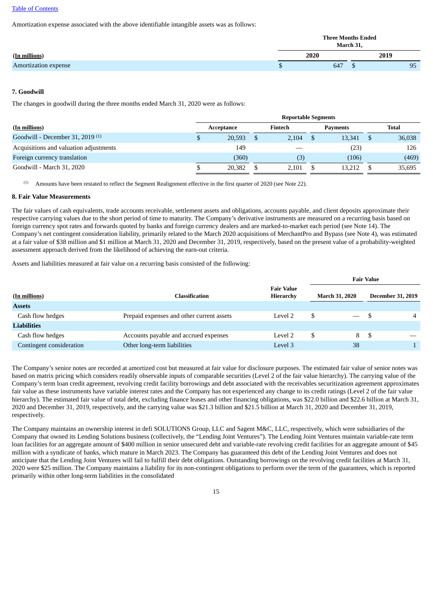Amortization expense associated with the above identifiable intangible assets was as follows:

|                             | <b>Three Months Ended</b><br>March 31, |     |      |    |
|-----------------------------|----------------------------------------|-----|------|----|
| (In millions)               | 2020                                   |     | 2019 |    |
| <b>Amortization expense</b> |                                        | 647 |      | 95 |

#### **7. Goodwill**

The changes in goodwill during the three months ended March 31, 2020 were as follows:

|                                        | <b>Reportable Segments</b> |            |  |         |  |          |  |              |
|----------------------------------------|----------------------------|------------|--|---------|--|----------|--|--------------|
| (In millions)                          |                            | Acceptance |  | Fintech |  | Payments |  | <b>Total</b> |
| Goodwill - December 31, 2019 $(1)$     |                            | 20,593     |  | 2,104   |  | 13,341   |  | 36,038       |
| Acquisitions and valuation adjustments |                            | 149        |  |         |  | (23)     |  | 126          |
| Foreign currency translation           |                            | (360)      |  | (3)     |  | (106)    |  | (469)        |
| Goodwill - March 31, 2020              |                            | 20,382     |  | 2,101   |  | 13.212   |  | 35,695       |

(1) Amounts have been restated to reflect the Segment Realignment effective in the first quarter of 2020 (see Note 22).

#### **8. Fair Value Measurements**

The fair values of cash equivalents, trade accounts receivable, settlement assets and obligations, accounts payable, and client deposits approximate their respective carrying values due to the short period of time to maturity. The Company's derivative instruments are measured on a recurring basis based on foreign currency spot rates and forwards quoted by banks and foreign currency dealers and are marked-to-market each period (see Note 14). The Company's net contingent consideration liability, primarily related to the March 2020 acquisitions of MerchantPro and Bypass (see Note 4), was estimated at a fair value of \$38 million and \$1 million at March 31, 2020 and December 31, 2019, respectively, based on the present value of a probability-weighted assessment approach derived from the likelihood of achieving the earn-out criteria.

Assets and liabilities measured at fair value on a recurring basis consisted of the following:

|                          |                                           |                                |                       |                          | <b>Fair Value</b>        |                |
|--------------------------|-------------------------------------------|--------------------------------|-----------------------|--------------------------|--------------------------|----------------|
| (In millions)            | <b>Classification</b>                     | <b>Fair Value</b><br>Hierarchy | <b>March 31, 2020</b> |                          | <b>December 31, 2019</b> |                |
| <b>Assets</b>            |                                           |                                |                       |                          |                          |                |
| Cash flow hedges         | Prepaid expenses and other current assets | Level 2                        | \$                    | $\overline{\phantom{0}}$ | - \$                     | $\overline{4}$ |
| <b>Liabilities</b>       |                                           |                                |                       |                          |                          |                |
| Cash flow hedges         | Accounts payable and accrued expenses     | Level 2                        | S                     | 8                        | - S                      |                |
| Contingent consideration | Other long-term liabilities               | Level 3                        |                       | 38                       |                          |                |

The Company's senior notes are recorded at amortized cost but measured at fair value for disclosure purposes. The estimated fair value of senior notes was based on matrix pricing which considers readily observable inputs of comparable securities (Level 2 of the fair value hierarchy). The carrying value of the Company's term loan credit agreement, revolving credit facility borrowings and debt associated with the receivables securitization agreement approximates fair value as these instruments have variable interest rates and the Company has not experienced any change to its credit ratings (Level 2 of the fair value hierarchy). The estimated fair value of total debt, excluding finance leases and other financing obligations, was \$22.0 billion and \$22.6 billion at March 31, 2020 and December 31, 2019, respectively, and the carrying value was \$21.3 billion and \$21.5 billion at March 31, 2020 and December 31, 2019, respectively.

The Company maintains an ownership interest in defi SOLUTIONS Group, LLC and Sagent M&C, LLC, respectively, which were subsidiaries of the Company that owned its Lending Solutions business (collectively, the "Lending Joint Ventures"). The Lending Joint Ventures maintain variable-rate term loan facilities for an aggregate amount of \$400 million in senior unsecured debt and variable-rate revolving credit facilities for an aggregate amount of \$45 million with a syndicate of banks, which mature in March 2023. The Company has guaranteed this debt of the Lending Joint Ventures and does not anticipate that the Lending Joint Ventures will fail to fulfill their debt obligations. Outstanding borrowings on the revolving credit facilities at March 31, 2020 were \$25 million. The Company maintains a liability for its non-contingent obligations to perform over the term of the guarantees, which is reported primarily within other long-term liabilities in the consolidated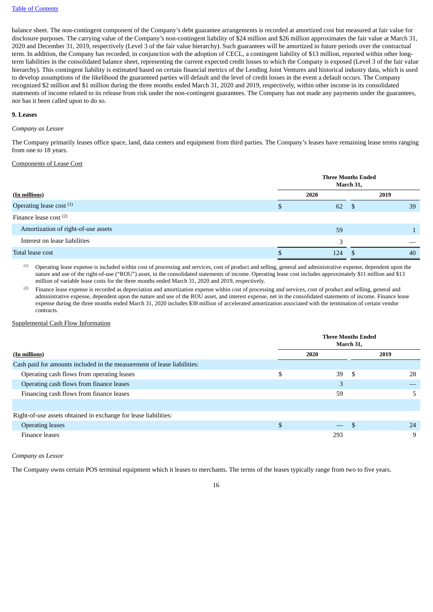balance sheet. The non-contingent component of the Company's debt guarantee arrangements is recorded at amortized cost but measured at fair value for disclosure purposes. The carrying value of the Company's non-contingent liability of \$24 million and \$26 million approximates the fair value at March 31, 2020 and December 31, 2019, respectively (Level 3 of the fair value hierarchy). Such guarantees will be amortized in future periods over the contractual term. In addition, the Company has recorded, in conjunction with the adoption of CECL, a contingent liability of \$13 million, reported within other longterm liabilities in the consolidated balance sheet, representing the current expected credit losses to which the Company is exposed (Level 3 of the fair value hierarchy). This contingent liability is estimated based on certain financial metrics of the Lending Joint Ventures and historical industry data, which is used to develop assumptions of the likelihood the guaranteed parties will default and the level of credit losses in the event a default occurs. The Company recognized \$2 million and \$1 million during the three months ended March 31, 2020 and 2019, respectively, within other income in its consolidated statements of income related to its release from risk under the non-contingent guarantees. The Company has not made any payments under the guarantees, nor has it been called upon to do so.

#### **9. Leases**

#### *Company as Lessee*

The Company primarily leases office space, land, data centers and equipment from third parties. The Company's leases have remaining lease terms ranging from one to 18 years.

#### Components of Lease Cost

|                                     |      | <b>Three Months Ended</b><br>March 31, |    |      |  |  |  |
|-------------------------------------|------|----------------------------------------|----|------|--|--|--|
| (In millions)                       | 2020 |                                        |    | 2019 |  |  |  |
| Operating lease cost (1)            |      | 62                                     | -5 | 39   |  |  |  |
| Finance lease cost $(2)$            |      |                                        |    |      |  |  |  |
| Amortization of right-of-use assets |      | 59                                     |    |      |  |  |  |
| Interest on lease liabilities       |      | З                                      |    |      |  |  |  |
| Total lease cost                    |      | 124                                    |    | 40   |  |  |  |

(1) Operating lease expense is included within cost of processing and services, cost of product and selling, general and administrative expense, dependent upon the nature and use of the right-of-use ("ROU") asset, in the consolidated statements of income. Operating lease cost includes approximately \$11 million and \$13 million of variable lease costs for the three months ended March 31, 2020 and 2019, respectively.

(2) Finance lease expense is recorded as depreciation and amortization expense within cost of processing and services, cost of product and selling, general and administrative expense, dependent upon the nature and use of the ROU asset, and interest expense, net in the consolidated statements of income. Finance lease expense during the three months ended March 31, 2020 includes \$38 million of accelerated amortization associated with the termination of certain vendor contracts.

#### Supplemental Cash Flow Information

|                                                                         | <b>Three Months Ended</b><br>March 31, |      |    |      |  |  |  |  |  |  |
|-------------------------------------------------------------------------|----------------------------------------|------|----|------|--|--|--|--|--|--|
| (In millions)                                                           |                                        | 2020 |    | 2019 |  |  |  |  |  |  |
| Cash paid for amounts included in the measurement of lease liabilities: |                                        |      |    |      |  |  |  |  |  |  |
| Operating cash flows from operating leases                              |                                        | 39   | -S | 28   |  |  |  |  |  |  |
| Operating cash flows from finance leases                                |                                        | 3    |    |      |  |  |  |  |  |  |
| Financing cash flows from finance leases                                |                                        | 59   |    | 5    |  |  |  |  |  |  |
|                                                                         |                                        |      |    |      |  |  |  |  |  |  |
| Right-of-use assets obtained in exchange for lease liabilities:         |                                        |      |    |      |  |  |  |  |  |  |
| <b>Operating leases</b>                                                 |                                        |      |    | 24   |  |  |  |  |  |  |
| Finance leases                                                          |                                        | 293  |    | 9    |  |  |  |  |  |  |

#### *Company as Lessor*

The Company owns certain POS terminal equipment which it leases to merchants. The terms of the leases typically range from two to five years.

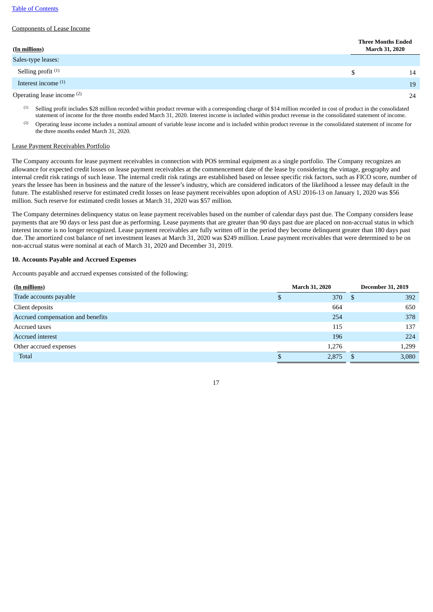#### Components of Lease Income

| (In millions)                 | <b>Three Months Ended</b><br><b>March 31, 2020</b> |
|-------------------------------|----------------------------------------------------|
| Sales-type leases:            |                                                    |
| Selling profit <sup>(1)</sup> | 14                                                 |
| Interest income (1)           | 19                                                 |
| Operating lease income (2)    | 24                                                 |

- $^{(1)}$  Selling profit includes \$28 million recorded within product revenue with a corresponding charge of \$14 million recorded in cost of product in the consolidated statement of income for the three months ended March 31, 2020. Interest income is included within product revenue in the consolidated statement of income. (2) Operating lease income includes a nominal amount of variable lease income and is included within product revenue in the consolidated statement of income for
- the three months ended March 31, 2020.

## Lease Payment Receivables Portfolio

The Company accounts for lease payment receivables in connection with POS terminal equipment as a single portfolio. The Company recognizes an allowance for expected credit losses on lease payment receivables at the commencement date of the lease by considering the vintage, geography and internal credit risk ratings of such lease. The internal credit risk ratings are established based on lessee specific risk factors, such as FICO score, number of years the lessee has been in business and the nature of the lessee's industry, which are considered indicators of the likelihood a lessee may default in the future. The established reserve for estimated credit losses on lease payment receivables upon adoption of ASU 2016-13 on January 1, 2020 was \$56 million. Such reserve for estimated credit losses at March 31, 2020 was \$57 million.

The Company determines delinquency status on lease payment receivables based on the number of calendar days past due. The Company considers lease payments that are 90 days or less past due as performing. Lease payments that are greater than 90 days past due are placed on non-accrual status in which interest income is no longer recognized. Lease payment receivables are fully written off in the period they become delinquent greater than 180 days past due. The amortized cost balance of net investment leases at March 31, 2020 was \$249 million. Lease payment receivables that were determined to be on non-accrual status were nominal at each of March 31, 2020 and December 31, 2019.

## **10. Accounts Payable and Accrued Expenses**

Accounts payable and accrued expenses consisted of the following:

| (In millions)                     | <b>March 31, 2020</b> |     | <b>December 31, 2019</b> |
|-----------------------------------|-----------------------|-----|--------------------------|
| Trade accounts payable            | 370                   | - S | 392                      |
| Client deposits                   | 664                   |     | 650                      |
| Accrued compensation and benefits | 254                   |     | 378                      |
| Accrued taxes                     | 115                   |     | 137                      |
| <b>Accrued interest</b>           | 196                   |     | 224                      |
| Other accrued expenses            | 1,276                 |     | 1,299                    |
| <b>Total</b>                      | 2,875                 |     | 3,080                    |

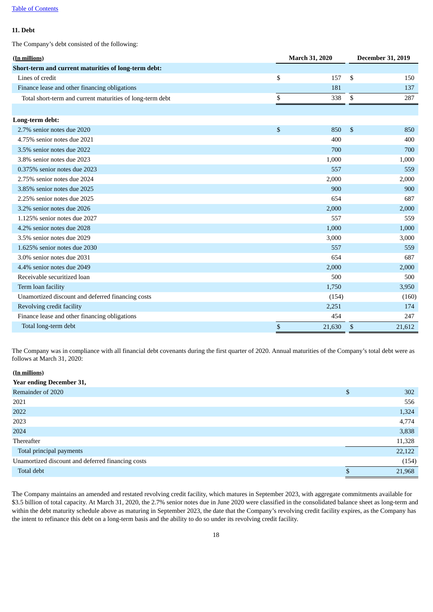### **11. Debt**

The Company's debt consisted of the following:

| (In millions)                                             | <b>March 31, 2020</b> |     | <b>December 31, 2019</b> |     |
|-----------------------------------------------------------|-----------------------|-----|--------------------------|-----|
| Short-term and current maturities of long-term debt:      |                       |     |                          |     |
| Lines of credit                                           |                       | 157 |                          | 150 |
| Finance lease and other financing obligations             |                       | 181 |                          | 137 |
| Total short-term and current maturities of long-term debt |                       | 338 |                          | 287 |
|                                                           |                       |     |                          |     |

| \$<br>850    | $\mathfrak{F}$ | 850    |
|--------------|----------------|--------|
| 400          |                | 400    |
| 700          |                | 700    |
| 1,000        |                | 1,000  |
| 557          |                | 559    |
| 2,000        |                | 2,000  |
| 900          |                | 900    |
| 654          |                | 687    |
| 2,000        |                | 2,000  |
| 557          |                | 559    |
| 1,000        |                | 1,000  |
| 3,000        |                | 3,000  |
| 557          |                | 559    |
| 654          |                | 687    |
| 2,000        |                | 2,000  |
| 500          |                | 500    |
| 1,750        |                | 3,950  |
| (154)        |                | (160)  |
| 2,251        |                | 174    |
| 454          |                | 247    |
| \$<br>21,630 | \$             | 21,612 |
|              |                |        |

The Company was in compliance with all financial debt covenants during the first quarter of 2020. Annual maturities of the Company's total debt were as follows at March 31, 2020:

| (In millions)                                     |           |
|---------------------------------------------------|-----------|
| Year ending December 31,                          |           |
| Remainder of 2020                                 | \$<br>302 |
| 2021                                              | 556       |
| 2022                                              | 1,324     |
| 2023                                              | 4,774     |
| 2024                                              | 3,838     |
| Thereafter                                        | 11,328    |
| Total principal payments                          | 22,122    |
| Unamortized discount and deferred financing costs | (154)     |
| Total debt                                        | 21,968    |

The Company maintains an amended and restated revolving credit facility, which matures in September 2023, with aggregate commitments available for \$3.5 billion of total capacity. At March 31, 2020, the 2.7% senior notes due in June 2020 were classified in the consolidated balance sheet as long-term and within the debt maturity schedule above as maturing in September 2023, the date that the Company's revolving credit facility expires, as the Company has the intent to refinance this debt on a long-term basis and the ability to do so under its revolving credit facility.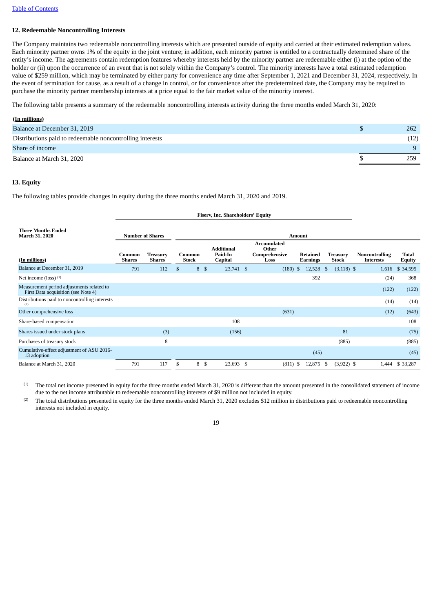## **12. Redeemable Noncontrolling Interests**

The Company maintains two redeemable noncontrolling interests which are presented outside of equity and carried at their estimated redemption values. Each minority partner owns 1% of the equity in the joint venture; in addition, each minority partner is entitled to a contractually determined share of the entity's income. The agreements contain redemption features whereby interests held by the minority partner are redeemable either (i) at the option of the holder or (ii) upon the occurrence of an event that is not solely within the Company's control. The minority interests have a total estimated redemption value of \$259 million, which may be terminated by either party for convenience any time after September 1, 2021 and December 31, 2024, respectively. In the event of termination for cause, as a result of a change in control, or for convenience after the predetermined date, the Company may be required to purchase the minority partner membership interests at a price equal to the fair market value of the minority interest.

The following table presents a summary of the redeemable noncontrolling interests activity during the three months ended March 31, 2020:

#### **(In millions)**

| Balance at December 31, 2019                              | 262  |
|-----------------------------------------------------------|------|
| Distributions paid to redeemable noncontrolling interests | (12) |
| Share of income                                           |      |
| Balance at March 31, 2020                                 | 259  |

#### **13. Equity**

The following tables provide changes in equity during the three months ended March 31, 2020 and 2019.

|                                                                                  |                         |                                  |     |                        |  | <b>Fiserv, Inc. Shareholders' Equity</b> |                                               |            |                      |        |                          |              |                                    |                               |
|----------------------------------------------------------------------------------|-------------------------|----------------------------------|-----|------------------------|--|------------------------------------------|-----------------------------------------------|------------|----------------------|--------|--------------------------|--------------|------------------------------------|-------------------------------|
| <b>Three Months Ended</b><br><b>March 31, 2020</b>                               |                         | <b>Number of Shares</b>          |     | <b>Amount</b>          |  |                                          |                                               |            |                      |        |                          |              |                                    |                               |
| (In millions)                                                                    | Common<br><b>Shares</b> | <b>Treasury</b><br><b>Shares</b> |     | Common<br><b>Stock</b> |  | <b>Additional</b><br>Paid-In<br>Capital  | Accumulated<br>Other<br>Comprehensive<br>Loss |            | Retained<br>Earnings |        | <b>Treasury</b><br>Stock |              | Noncontrolling<br><b>Interests</b> | <b>Total</b><br><b>Equity</b> |
| Balance at December 31, 2019                                                     | 791                     | 112                              | \$. | 8 <sup>5</sup>         |  | 23,741 \$                                |                                               | (180)      | \$                   | 12,528 | \$                       | $(3,118)$ \$ | 1,616                              | \$34,595                      |
| Net income (loss) (1)                                                            |                         |                                  |     |                        |  |                                          |                                               |            |                      | 392    |                          |              | (24)                               | 368                           |
| Measurement period adjustments related to<br>First Data acquisition (see Note 4) |                         |                                  |     |                        |  |                                          |                                               |            |                      |        |                          |              | (122)                              | (122)                         |
| Distributions paid to noncontrolling interests<br>(2)                            |                         |                                  |     |                        |  |                                          |                                               |            |                      |        |                          |              | (14)                               | (14)                          |
| Other comprehensive loss                                                         |                         |                                  |     |                        |  |                                          |                                               | (631)      |                      |        |                          |              | (12)                               | (643)                         |
| Share-based compensation                                                         |                         |                                  |     |                        |  | 108                                      |                                               |            |                      |        |                          |              |                                    | 108                           |
| Shares issued under stock plans                                                  |                         | (3)                              |     |                        |  | (156)                                    |                                               |            |                      |        |                          | 81           |                                    | (75)                          |
| Purchases of treasury stock                                                      |                         | 8                                |     |                        |  |                                          |                                               |            |                      |        |                          | (885)        |                                    | (885)                         |
| Cumulative-effect adjustment of ASU 2016-<br>13 adoption                         |                         |                                  |     |                        |  |                                          |                                               |            |                      | (45)   |                          |              |                                    | (45)                          |
| Balance at March 31, 2020                                                        | 791                     | 117                              | \$  | 8 \$                   |  | 23,693 \$                                |                                               | $(811)$ \$ |                      | 12,875 | \$                       | $(3,922)$ \$ | 1,444                              | \$33,287                      |

<sup>(1)</sup> The total net income presented in equity for the three months ended March 31, 2020 is different than the amount presented in the consolidated statement of income due to the net income attributable to redeemable noncontrolling interests of \$9 million not included in equity.

<sup>(2)</sup> The total distributions presented in equity for the three months ended March 31, 2020 excludes \$12 million in distributions paid to redeemable noncontrolling interests not included in equity.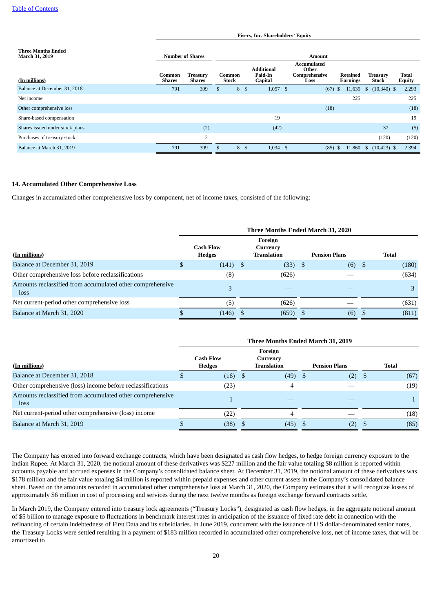#### **Fiserv, Inc. Shareholders' Equity**

| <b>Three Months Ended</b><br>March 31, 2019 |                         | <b>Number of Shares</b>   | <b>Amount</b> |                 |     |                                         |  |                                               |    |                                    |    |                          |                               |
|---------------------------------------------|-------------------------|---------------------------|---------------|-----------------|-----|-----------------------------------------|--|-----------------------------------------------|----|------------------------------------|----|--------------------------|-------------------------------|
| (In millions)                               | Common<br><b>Shares</b> | <b>Treasury</b><br>Shares |               | Common<br>Stock |     | <b>Additional</b><br>Paid-In<br>Capital |  | Accumulated<br>Other<br>Comprehensive<br>Loss |    | <b>Retained</b><br><b>Earnings</b> |    | <b>Treasury</b><br>Stock | <b>Total</b><br><b>Equity</b> |
| Balance at December 31, 2018                | 791                     | 399                       | -S            | 8 \$            |     | $1,057$ \$                              |  | (67)                                          | -S | 11,635                             | -S | $(10,340)$ \$            | 2,293                         |
| Net income                                  |                         |                           |               |                 |     |                                         |  |                                               |    | 225                                |    |                          | 225                           |
| Other comprehensive loss                    |                         |                           |               |                 |     |                                         |  | (18)                                          |    |                                    |    |                          | (18)                          |
| Share-based compensation                    |                         |                           |               |                 |     | 19                                      |  |                                               |    |                                    |    |                          | 19                            |
| Shares issued under stock plans             |                         | (2)                       |               |                 |     | (42)                                    |  |                                               |    |                                    |    | 37                       | (5)                           |
| Purchases of treasury stock                 |                         | $\mathcal{D}$             |               |                 |     |                                         |  |                                               |    |                                    |    | (120)                    | (120)                         |
| Balance at March 31, 2019                   | 791                     | 399                       | \$.           | 8               | -\$ | $1,034$ \$                              |  | $(85)$ \$                                     |    | 11,860                             | S. | $(10, 423)$ \$           | 2,394                         |

#### **14. Accumulated Other Comprehensive Loss**

Changes in accumulated other comprehensive loss by component, net of income taxes, consisted of the following:

|                                                                   | Three Months Ended March 31, 2020 |                                   |      |                                           |      |                      |      |              |  |  |  |
|-------------------------------------------------------------------|-----------------------------------|-----------------------------------|------|-------------------------------------------|------|----------------------|------|--------------|--|--|--|
| (In millions)                                                     |                                   | <b>Cash Flow</b><br><b>Hedges</b> |      | Foreign<br>Currency<br><b>Translation</b> |      | <b>Pension Plans</b> |      | <b>Total</b> |  |  |  |
| Balance at December 31, 2019                                      |                                   | (141)                             | - \$ | (33)                                      | - 56 | (6)                  | - \$ | (180)        |  |  |  |
| Other comprehensive loss before reclassifications                 |                                   | (8)                               |      | (626)                                     |      |                      |      | (634)        |  |  |  |
| Amounts reclassified from accumulated other comprehensive<br>loss |                                   | 3                                 |      |                                           |      |                      |      |              |  |  |  |
| Net current-period other comprehensive loss                       |                                   | (5)                               |      | (626)                                     |      |                      |      | (631)        |  |  |  |
| Balance at March 31, 2020                                         |                                   | (146)                             |      | (659)                                     |      | (6)                  |      | (811)        |  |  |  |

|                                                                   | Three Months Ended March 31, 2019 |                                   |  |                                           |      |                      |      |       |  |  |  |  |
|-------------------------------------------------------------------|-----------------------------------|-----------------------------------|--|-------------------------------------------|------|----------------------|------|-------|--|--|--|--|
| (In millions)                                                     |                                   | <b>Cash Flow</b><br><b>Hedges</b> |  | Foreign<br>Currency<br><b>Translation</b> |      | <b>Pension Plans</b> |      | Total |  |  |  |  |
| Balance at December 31, 2018                                      |                                   | (16)                              |  | (49)                                      | - 56 | (2)                  | - \$ | (67)  |  |  |  |  |
| Other comprehensive (loss) income before reclassifications        |                                   | (23)                              |  |                                           |      |                      |      | (19)  |  |  |  |  |
| Amounts reclassified from accumulated other comprehensive<br>loss |                                   |                                   |  |                                           |      |                      |      |       |  |  |  |  |
| Net current-period other comprehensive (loss) income              |                                   | (22)                              |  |                                           |      |                      |      | (18)  |  |  |  |  |
| Balance at March 31, 2019                                         |                                   | (38)                              |  | (45)                                      |      | (2)                  |      | (85)  |  |  |  |  |

The Company has entered into forward exchange contracts, which have been designated as cash flow hedges, to hedge foreign currency exposure to the Indian Rupee. At March 31, 2020, the notional amount of these derivatives was \$227 million and the fair value totaling \$8 million is reported within accounts payable and accrued expenses in the Company's consolidated balance sheet. At December 31, 2019, the notional amount of these derivatives was \$178 million and the fair value totaling \$4 million is reported within prepaid expenses and other current assets in the Company's consolidated balance sheet. Based on the amounts recorded in accumulated other comprehensive loss at March 31, 2020, the Company estimates that it will recognize losses of approximately \$6 million in cost of processing and services during the next twelve months as foreign exchange forward contracts settle.

In March 2019, the Company entered into treasury lock agreements ("Treasury Locks"), designated as cash flow hedges, in the aggregate notional amount of \$5 billion to manage exposure to fluctuations in benchmark interest rates in anticipation of the issuance of fixed rate debt in connection with the refinancing of certain indebtedness of First Data and its subsidiaries. In June 2019, concurrent with the issuance of U.S dollar-denominated senior notes, the Treasury Locks were settled resulting in a payment of \$183 million recorded in accumulated other comprehensive loss, net of income taxes, that will be amortized to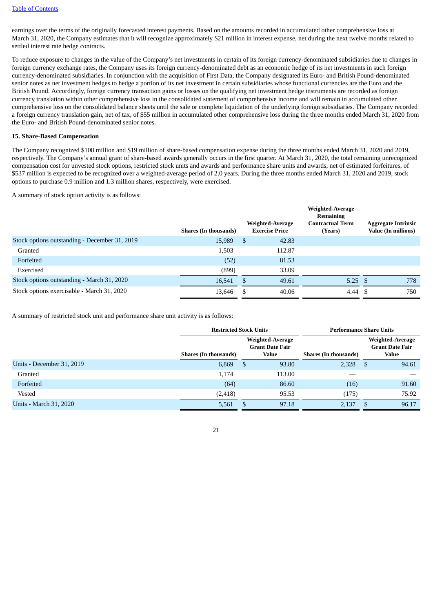earnings over the terms of the originally forecasted interest payments. Based on the amounts recorded in accumulated other comprehensive loss at March 31, 2020, the Company estimates that it will recognize approximately \$21 million in interest expense, net during the next twelve months related to settled interest rate hedge contracts.

To reduce exposure to changes in the value of the Company's net investments in certain of its foreign currency-denominated subsidiaries due to changes in foreign currency exchange rates, the Company uses its foreign currency-denominated debt as an economic hedge of its net investments in such foreign currency-denominated subsidiaries. In conjunction with the acquisition of First Data, the Company designated its Euro- and British Pound-denominated senior notes as net investment hedges to hedge a portion of its net investment in certain subsidiaries whose functional currencies are the Euro and the British Pound. Accordingly, foreign currency transaction gains or losses on the qualifying net investment hedge instruments are recorded as foreign currency translation within other comprehensive loss in the consolidated statement of comprehensive income and will remain in accumulated other comprehensive loss on the consolidated balance sheets until the sale or complete liquidation of the underlying foreign subsidiaries. The Company recorded a foreign currency translation gain, net of tax, of \$55 million in accumulated other comprehensive loss during the three months ended March 31, 2020 from the Euro- and British Pound-denominated senior notes.

#### **15. Share-Based Compensation**

The Company recognized \$108 million and \$19 million of share-based compensation expense during the three months ended March 31, 2020 and 2019, respectively. The Company's annual grant of share-based awards generally occurs in the first quarter. At March 31, 2020, the total remaining unrecognized compensation cost for unvested stock options, restricted stock units and awards and performance share units and awards, net of estimated forfeitures, of \$537 million is expected to be recognized over a weighted-average period of 2.0 years. During the three months ended March 31, 2020 and 2019, stock options to purchase 0.9 million and 1.3 million shares, respectively, were exercised.

A summary of stock option activity is as follows:

|                                               |                              |      | Weighted-Average      | Weighted-Average<br>Remaining<br><b>Contractual Term</b> | <b>Aggregate Intrinsic</b> |
|-----------------------------------------------|------------------------------|------|-----------------------|----------------------------------------------------------|----------------------------|
|                                               | <b>Shares (In thousands)</b> |      | <b>Exercise Price</b> | (Years)                                                  | <b>Value (In millions)</b> |
| Stock options outstanding - December 31, 2019 | 15,989                       | -S   | 42.83                 |                                                          |                            |
| Granted                                       | 1,503                        |      | 112.87                |                                                          |                            |
| Forfeited                                     | (52)                         |      | 81.53                 |                                                          |                            |
| Exercised                                     | (899)                        |      | 33.09                 |                                                          |                            |
| Stock options outstanding - March 31, 2020    | 16,541                       | - \$ | 49.61                 | $5.25$ \$                                                | 778                        |
| Stock options exercisable - March 31, 2020    | 13,646                       |      | 40.06                 | $4.44\quad$ \$                                           | 750                        |

A summary of restricted stock unit and performance share unit activity is as follows:

|                           | <b>Restricted Stock Units</b> |                                                     |                              | <b>Performance Share Units</b> |                                                     |       |  |  |
|---------------------------|-------------------------------|-----------------------------------------------------|------------------------------|--------------------------------|-----------------------------------------------------|-------|--|--|
|                           | <b>Shares (In thousands)</b>  | Weighted-Average<br><b>Grant Date Fair</b><br>Value | <b>Shares (In thousands)</b> |                                | Weighted-Average<br><b>Grant Date Fair</b><br>Value |       |  |  |
| Units - December 31, 2019 | 6,869                         | - S                                                 | 93.80                        | 2,328                          | -S                                                  | 94.61 |  |  |
| Granted                   | 1,174                         |                                                     | 113.00                       |                                |                                                     |       |  |  |
| Forfeited                 | (64)                          |                                                     | 86.60                        | (16)                           |                                                     | 91.60 |  |  |
| Vested                    | (2, 418)                      |                                                     | 95.53                        | (175)                          |                                                     | 75.92 |  |  |
| Units - March 31, 2020    | 5,561                         |                                                     | 97.18                        | 2,137                          | <sup>\$</sup>                                       | 96.17 |  |  |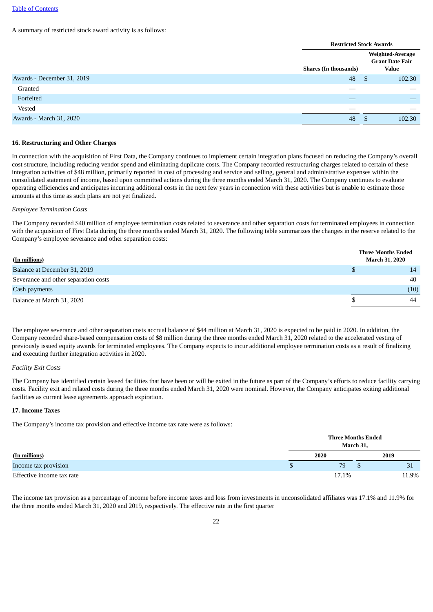A summary of restricted stock award activity is as follows:

|                            | <b>Restricted Stock Awards</b> |      |                                                            |
|----------------------------|--------------------------------|------|------------------------------------------------------------|
|                            | <b>Shares (In thousands)</b>   |      | Weighted-Average<br><b>Grant Date Fair</b><br><b>Value</b> |
| Awards - December 31, 2019 | 48                             | - \$ | 102.30                                                     |
| Granted                    | __                             |      |                                                            |
| Forfeited                  |                                |      |                                                            |
| Vested                     |                                |      |                                                            |
| Awards - March 31, 2020    | 48                             |      | 102.30                                                     |

#### **16. Restructuring and Other Charges**

In connection with the acquisition of First Data, the Company continues to implement certain integration plans focused on reducing the Company's overall cost structure, including reducing vendor spend and eliminating duplicate costs. The Company recorded restructuring charges related to certain of these integration activities of \$48 million, primarily reported in cost of processing and service and selling, general and administrative expenses within the consolidated statement of income, based upon committed actions during the three months ended March 31, 2020. The Company continues to evaluate operating efficiencies and anticipates incurring additional costs in the next few years in connection with these activities but is unable to estimate those amounts at this time as such plans are not yet finalized.

#### *Employee Termination Costs*

The Company recorded \$40 million of employee termination costs related to severance and other separation costs for terminated employees in connection with the acquisition of First Data during the three months ended March 31, 2020. The following table summarizes the changes in the reserve related to the Company's employee severance and other separation costs:

| (In millions)                        | <b>Three Months Ended</b><br>March 31, 2020 |
|--------------------------------------|---------------------------------------------|
| Balance at December 31, 2019         | 14                                          |
| Severance and other separation costs | 40                                          |
| Cash payments                        | (10)                                        |
| Balance at March 31, 2020            | 44                                          |

The employee severance and other separation costs accrual balance of \$44 million at March 31, 2020 is expected to be paid in 2020. In addition, the Company recorded share-based compensation costs of \$8 million during the three months ended March 31, 2020 related to the accelerated vesting of previously issued equity awards for terminated employees. The Company expects to incur additional employee termination costs as a result of finalizing and executing further integration activities in 2020.

#### *Facility Exit Costs*

The Company has identified certain leased facilities that have been or will be exited in the future as part of the Company's efforts to reduce facility carrying costs. Facility exit and related costs during the three months ended March 31, 2020 were nominal. However, the Company anticipates exiting additional facilities as current lease agreements approach expiration.

#### **17. Income Taxes**

The Company's income tax provision and effective income tax rate were as follows:

| (In millions)             |       | <b>Three Months Ended</b><br>March 31, |
|---------------------------|-------|----------------------------------------|
|                           | 2020  | 2019                                   |
| Income tax provision      | 79    | 31                                     |
| Effective income tax rate | 17.1% | 11.9%                                  |

The income tax provision as a percentage of income before income taxes and loss from investments in unconsolidated affiliates was 17.1% and 11.9% for the three months ended March 31, 2020 and 2019, respectively. The effective rate in the first quarter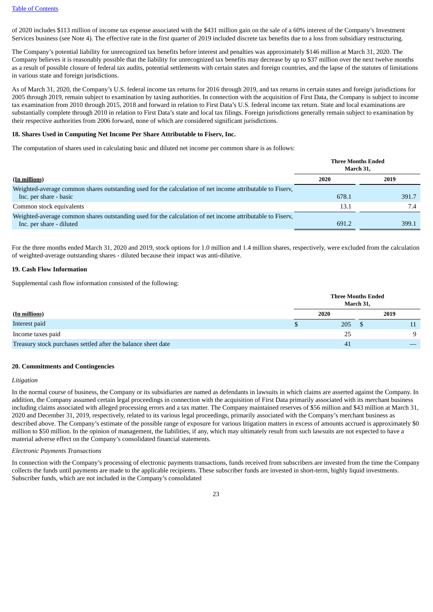of 2020 includes \$113 million of income tax expense associated with the \$431 million gain on the sale of a 60% interest of the Company's Investment Services business (see Note 4). The effective rate in the first quarter of 2019 included discrete tax benefits due to a loss from subsidiary restructuring.

The Company's potential liability for unrecognized tax benefits before interest and penalties was approximately \$146 million at March 31, 2020. The Company believes it is reasonably possible that the liability for unrecognized tax benefits may decrease by up to \$37 million over the next twelve months as a result of possible closure of federal tax audits, potential settlements with certain states and foreign countries, and the lapse of the statutes of limitations in various state and foreign jurisdictions.

As of March 31, 2020, the Company's U.S. federal income tax returns for 2016 through 2019, and tax returns in certain states and foreign jurisdictions for 2005 through 2019, remain subject to examination by taxing authorities. In connection with the acquisition of First Data, the Company is subject to income tax examination from 2010 through 2015, 2018 and forward in relation to First Data's U.S. federal income tax return. State and local examinations are substantially complete through 2010 in relation to First Data's state and local tax filings. Foreign jurisdictions generally remain subject to examination by their respective authorities from 2006 forward, none of which are considered significant jurisdictions.

#### **18. Shares Used in Computing Net Income Per Share Attributable to Fiserv, Inc.**

The computation of shares used in calculating basic and diluted net income per common share is as follows:

|                                                                                                                                       | <b>Three Months Ended</b><br>March 31, |       |  |  |  |  |
|---------------------------------------------------------------------------------------------------------------------------------------|----------------------------------------|-------|--|--|--|--|
| (In millions)                                                                                                                         | 2020                                   | 2019  |  |  |  |  |
| Weighted-average common shares outstanding used for the calculation of net income attributable to Fisery,<br>Inc. per share - basic   | 678.1                                  | 391.7 |  |  |  |  |
| Common stock equivalents                                                                                                              | 13.1                                   | 7.4   |  |  |  |  |
| Weighted-average common shares outstanding used for the calculation of net income attributable to Fiserv,<br>Inc. per share - diluted | 691.2                                  | 399.1 |  |  |  |  |

For the three months ended March 31, 2020 and 2019, stock options for 1.0 million and 1.4 million shares, respectively, were excluded from the calculation of weighted-average outstanding shares - diluted because their impact was anti-dilutive.

#### **19. Cash Flow Information**

Supplemental cash flow information consisted of the following:

|                                                               | <b>Three Months Ended</b><br>March 31, |      |  |      |   |  |  |  |  |  |  |
|---------------------------------------------------------------|----------------------------------------|------|--|------|---|--|--|--|--|--|--|
|                                                               |                                        |      |  |      |   |  |  |  |  |  |  |
| (In millions)                                                 |                                        | 2020 |  | 2019 |   |  |  |  |  |  |  |
| Interest paid                                                 |                                        | 205  |  |      |   |  |  |  |  |  |  |
| Income taxes paid                                             |                                        | 25   |  |      | q |  |  |  |  |  |  |
| Treasury stock purchases settled after the balance sheet date |                                        | 41   |  |      |   |  |  |  |  |  |  |

#### **20. Commitments and Contingencies**

#### *Litigation*

In the normal course of business, the Company or its subsidiaries are named as defendants in lawsuits in which claims are asserted against the Company. In addition, the Company assumed certain legal proceedings in connection with the acquisition of First Data primarily associated with its merchant business including claims associated with alleged processing errors and a tax matter. The Company maintained reserves of \$56 million and \$43 million at March 31, 2020 and December 31, 2019, respectively, related to its various legal proceedings, primarily associated with the Company's merchant business as described above. The Company's estimate of the possible range of exposure for various litigation matters in excess of amounts accrued is approximately \$0 million to \$50 million. In the opinion of management, the liabilities, if any, which may ultimately result from such lawsuits are not expected to have a material adverse effect on the Company's consolidated financial statements.

#### *Electronic Payments Transactions*

In connection with the Company's processing of electronic payments transactions, funds received from subscribers are invested from the time the Company collects the funds until payments are made to the applicable recipients. These subscriber funds are invested in short-term, highly liquid investments. Subscriber funds, which are not included in the Company's consolidated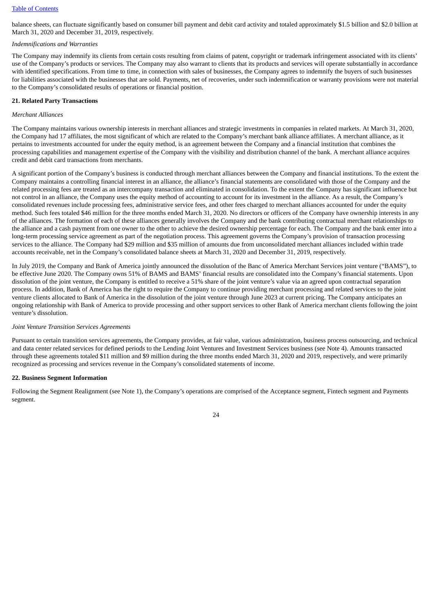balance sheets, can fluctuate significantly based on consumer bill payment and debit card activity and totaled approximately \$1.5 billion and \$2.0 billion at March 31, 2020 and December 31, 2019, respectively.

#### *Indemnifications and Warranties*

The Company may indemnify its clients from certain costs resulting from claims of patent, copyright or trademark infringement associated with its clients' use of the Company's products or services. The Company may also warrant to clients that its products and services will operate substantially in accordance with identified specifications. From time to time, in connection with sales of businesses, the Company agrees to indemnify the buyers of such businesses for liabilities associated with the businesses that are sold. Payments, net of recoveries, under such indemnification or warranty provisions were not material to the Company's consolidated results of operations or financial position.

#### **21. Related Party Transactions**

#### *Merchant Alliances*

The Company maintains various ownership interests in merchant alliances and strategic investments in companies in related markets. At March 31, 2020, the Company had 17 affiliates, the most significant of which are related to the Company's merchant bank alliance affiliates. A merchant alliance, as it pertains to investments accounted for under the equity method, is an agreement between the Company and a financial institution that combines the processing capabilities and management expertise of the Company with the visibility and distribution channel of the bank. A merchant alliance acquires credit and debit card transactions from merchants.

A significant portion of the Company's business is conducted through merchant alliances between the Company and financial institutions. To the extent the Company maintains a controlling financial interest in an alliance, the alliance's financial statements are consolidated with those of the Company and the related processing fees are treated as an intercompany transaction and eliminated in consolidation. To the extent the Company has significant influence but not control in an alliance, the Company uses the equity method of accounting to account for its investment in the alliance. As a result, the Company's consolidated revenues include processing fees, administrative service fees, and other fees charged to merchant alliances accounted for under the equity method. Such fees totaled \$46 million for the three months ended March 31, 2020. No directors or officers of the Company have ownership interests in any of the alliances. The formation of each of these alliances generally involves the Company and the bank contributing contractual merchant relationships to the alliance and a cash payment from one owner to the other to achieve the desired ownership percentage for each. The Company and the bank enter into a long-term processing service agreement as part of the negotiation process. This agreement governs the Company's provision of transaction processing services to the alliance. The Company had \$29 million and \$35 million of amounts due from unconsolidated merchant alliances included within trade accounts receivable, net in the Company's consolidated balance sheets at March 31, 2020 and December 31, 2019, respectively.

In July 2019, the Company and Bank of America jointly announced the dissolution of the Banc of America Merchant Services joint venture ("BAMS"), to be effective June 2020. The Company owns 51% of BAMS and BAMS' financial results are consolidated into the Company's financial statements. Upon dissolution of the joint venture, the Company is entitled to receive a 51% share of the joint venture's value via an agreed upon contractual separation process. In addition, Bank of America has the right to require the Company to continue providing merchant processing and related services to the joint venture clients allocated to Bank of America in the dissolution of the joint venture through June 2023 at current pricing. The Company anticipates an ongoing relationship with Bank of America to provide processing and other support services to other Bank of America merchant clients following the joint venture's dissolution.

#### *Joint Venture Transition Services Agreements*

Pursuant to certain transition services agreements, the Company provides, at fair value, various administration, business process outsourcing, and technical and data center related services for defined periods to the Lending Joint Ventures and Investment Services business (see Note 4). Amounts transacted through these agreements totaled \$11 million and \$9 million during the three months ended March 31, 2020 and 2019, respectively, and were primarily recognized as processing and services revenue in the Company's consolidated statements of income.

#### **22. Business Segment Information**

Following the Segment Realignment (see Note 1), the Company's operations are comprised of the Acceptance segment, Fintech segment and Payments segment.

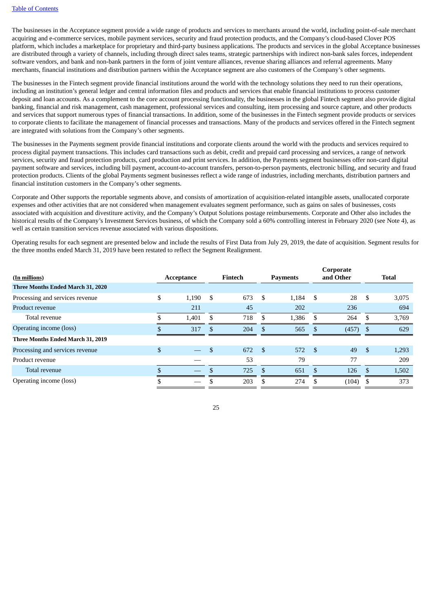The businesses in the Acceptance segment provide a wide range of products and services to merchants around the world, including point-of-sale merchant acquiring and e-commerce services, mobile payment services, security and fraud protection products, and the Company's cloud-based Clover POS platform, which includes a marketplace for proprietary and third-party business applications. The products and services in the global Acceptance businesses are distributed through a variety of channels, including through direct sales teams, strategic partnerships with indirect non-bank sales forces, independent software vendors, and bank and non-bank partners in the form of joint venture alliances, revenue sharing alliances and referral agreements. Many merchants, financial institutions and distribution partners within the Acceptance segment are also customers of the Company's other segments.

The businesses in the Fintech segment provide financial institutions around the world with the technology solutions they need to run their operations, including an institution's general ledger and central information files and products and services that enable financial institutions to process customer deposit and loan accounts. As a complement to the core account processing functionality, the businesses in the global Fintech segment also provide digital banking, financial and risk management, cash management, professional services and consulting, item processing and source capture, and other products and services that support numerous types of financial transactions. In addition, some of the businesses in the Fintech segment provide products or services to corporate clients to facilitate the management of financial processes and transactions. Many of the products and services offered in the Fintech segment are integrated with solutions from the Company's other segments.

The businesses in the Payments segment provide financial institutions and corporate clients around the world with the products and services required to process digital payment transactions. This includes card transactions such as debit, credit and prepaid card processing and services, a range of network services, security and fraud protection products, card production and print services. In addition, the Payments segment businesses offer non-card digital payment software and services, including bill payment, account-to-account transfers, person-to-person payments, electronic billing, and security and fraud protection products. Clients of the global Payments segment businesses reflect a wide range of industries, including merchants, distribution partners and financial institution customers in the Company's other segments.

Corporate and Other supports the reportable segments above, and consists of amortization of acquisition-related intangible assets, unallocated corporate expenses and other activities that are not considered when management evaluates segment performance, such as gains on sales of businesses, costs associated with acquisition and divestiture activity, and the Company's Output Solutions postage reimbursements. Corporate and Other also includes the historical results of the Company's Investment Services business, of which the Company sold a 60% controlling interest in February 2020 (see Note 4), as well as certain transition services revenue associated with various dispositions.

Operating results for each segment are presented below and include the results of First Data from July 29, 2019, the date of acquisition. Segment results for the three months ended March 31, 2019 have been restated to reflect the Segment Realignment.

|                                   |             |     |         |     |                 |      | Corporate |     |              |
|-----------------------------------|-------------|-----|---------|-----|-----------------|------|-----------|-----|--------------|
| (In millions)                     | Acceptance  |     | Fintech |     | <b>Payments</b> |      | and Other |     | <b>Total</b> |
| Three Months Ended March 31, 2020 |             |     |         |     |                 |      |           |     |              |
| Processing and services revenue   | \$<br>1,190 | \$  | 673     | \$. | 1,184           | - \$ | 28        | -\$ | 3,075        |
| Product revenue                   | 211         |     | 45      |     | 202             |      | 236       |     | 694          |
| Total revenue                     | 1,401       | \$  | 718     |     | 1,386           |      | 264       | S   | 3,769        |
| Operating income (loss)           | 317         | \$. | 204     | \$. | 565             | -S   | (457)     | -S  | 629          |
| Three Months Ended March 31, 2019 |             |     |         |     |                 |      |           |     |              |
| Processing and services revenue   | \$          |     | 672     | -\$ | 572             | -\$  | 49        | -\$ | 1,293        |
| Product revenue                   |             |     | 53      |     | 79              |      | 77        |     | 209          |
| Total revenue                     |             |     | 725     | \$  | 651             | - \$ | 126       | -\$ | 1,502        |
| Operating income (loss)           |             |     | 203     |     | 274             |      | (104)     | S   | 373          |
|                                   |             |     |         |     |                 |      |           |     |              |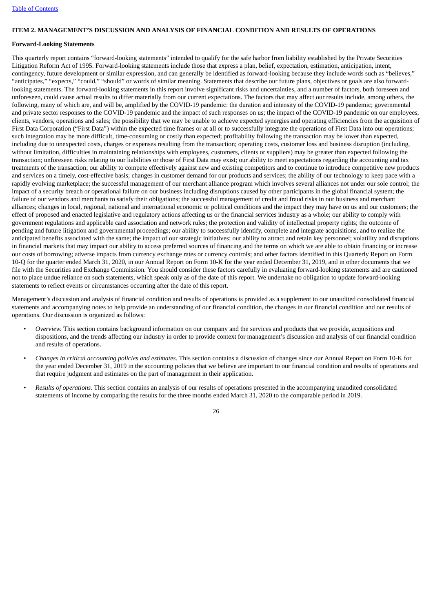#### <span id="page-28-0"></span>**ITEM 2. MANAGEMENT'S DISCUSSION AND ANALYSIS OF FINANCIAL CONDITION AND RESULTS OF OPERATIONS**

#### **Forward-Looking Statements**

This quarterly report contains "forward-looking statements" intended to qualify for the safe harbor from liability established by the Private Securities Litigation Reform Act of 1995. Forward-looking statements include those that express a plan, belief, expectation, estimation, anticipation, intent, contingency, future development or similar expression, and can generally be identified as forward-looking because they include words such as "believes," "anticipates," "expects," "could," "should" or words of similar meaning. Statements that describe our future plans, objectives or goals are also forwardlooking statements. The forward-looking statements in this report involve significant risks and uncertainties, and a number of factors, both foreseen and unforeseen, could cause actual results to differ materially from our current expectations. The factors that may affect our results include, among others, the following, many of which are, and will be, amplified by the COVID-19 pandemic: the duration and intensity of the COVID-19 pandemic; governmental and private sector responses to the COVID-19 pandemic and the impact of such responses on us; the impact of the COVID-19 pandemic on our employees, clients, vendors, operations and sales; the possibility that we may be unable to achieve expected synergies and operating efficiencies from the acquisition of First Data Corporation ("First Data") within the expected time frames or at all or to successfully integrate the operations of First Data into our operations; such integration may be more difficult, time-consuming or costly than expected; profitability following the transaction may be lower than expected, including due to unexpected costs, charges or expenses resulting from the transaction; operating costs, customer loss and business disruption (including, without limitation, difficulties in maintaining relationships with employees, customers, clients or suppliers) may be greater than expected following the transaction; unforeseen risks relating to our liabilities or those of First Data may exist; our ability to meet expectations regarding the accounting and tax treatments of the transaction; our ability to compete effectively against new and existing competitors and to continue to introduce competitive new products and services on a timely, cost-effective basis; changes in customer demand for our products and services; the ability of our technology to keep pace with a rapidly evolving marketplace; the successful management of our merchant alliance program which involves several alliances not under our sole control; the impact of a security breach or operational failure on our business including disruptions caused by other participants in the global financial system; the failure of our vendors and merchants to satisfy their obligations; the successful management of credit and fraud risks in our business and merchant alliances; changes in local, regional, national and international economic or political conditions and the impact they may have on us and our customers; the effect of proposed and enacted legislative and regulatory actions affecting us or the financial services industry as a whole; our ability to comply with government regulations and applicable card association and network rules; the protection and validity of intellectual property rights; the outcome of pending and future litigation and governmental proceedings; our ability to successfully identify, complete and integrate acquisitions, and to realize the anticipated benefits associated with the same; the impact of our strategic initiatives; our ability to attract and retain key personnel; volatility and disruptions in financial markets that may impact our ability to access preferred sources of financing and the terms on which we are able to obtain financing or increase our costs of borrowing; adverse impacts from currency exchange rates or currency controls; and other factors identified in this Quarterly Report on Form 10-Q for the quarter ended March 31, 2020, in our Annual Report on Form 10-K for the year ended December 31, 2019, and in other documents that we file with the Securities and Exchange Commission. You should consider these factors carefully in evaluating forward-looking statements and are cautioned not to place undue reliance on such statements, which speak only as of the date of this report. We undertake no obligation to update forward-looking statements to reflect events or circumstances occurring after the date of this report.

Management's discussion and analysis of financial condition and results of operations is provided as a supplement to our unaudited consolidated financial statements and accompanying notes to help provide an understanding of our financial condition, the changes in our financial condition and our results of operations. Our discussion is organized as follows:

- *Overview.* This section contains background information on our company and the services and products that we provide, acquisitions and dispositions, and the trends affecting our industry in order to provide context for management's discussion and analysis of our financial condition and results of operations.
- *Changes in critical accounting policies and estimates.* This section contains a discussion of changes since our Annual Report on Form 10-K for the year ended December 31, 2019 in the accounting policies that we believe are important to our financial condition and results of operations and that require judgment and estimates on the part of management in their application.
- *Results of operations.* This section contains an analysis of our results of operations presented in the accompanying unaudited consolidated statements of income by comparing the results for the three months ended March 31, 2020 to the comparable period in 2019.

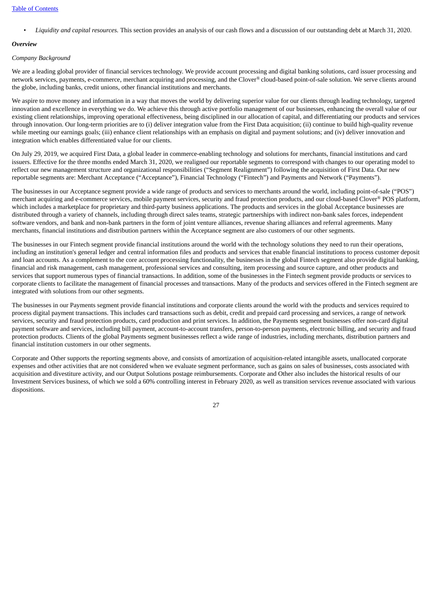• *Liquidity and capital resources.* This section provides an analysis of our cash flows and a discussion of our outstanding debt at March 31, 2020.

#### *Overview*

#### *Company Background*

We are a leading global provider of financial services technology. We provide account processing and digital banking solutions, card issuer processing and network services, payments, e-commerce, merchant acquiring and processing, and the Clover® cloud-based point-of-sale solution. We serve clients around the globe, including banks, credit unions, other financial institutions and merchants.

We aspire to move money and information in a way that moves the world by delivering superior value for our clients through leading technology, targeted innovation and excellence in everything we do. We achieve this through active portfolio management of our businesses, enhancing the overall value of our existing client relationships, improving operational effectiveness, being disciplined in our allocation of capital, and differentiating our products and services through innovation. Our long-term priorities are to (i) deliver integration value from the First Data acquisition; (ii) continue to build high-quality revenue while meeting our earnings goals; (iii) enhance client relationships with an emphasis on digital and payment solutions; and (iv) deliver innovation and integration which enables differentiated value for our clients.

On July 29, 2019, we acquired First Data, a global leader in commerce-enabling technology and solutions for merchants, financial institutions and card issuers. Effective for the three months ended March 31, 2020, we realigned our reportable segments to correspond with changes to our operating model to reflect our new management structure and organizational responsibilities ("Segment Realignment") following the acquisition of First Data. Our new reportable segments are: Merchant Acceptance ("Acceptance"), Financial Technology ("Fintech") and Payments and Network ("Payments").

The businesses in our Acceptance segment provide a wide range of products and services to merchants around the world, including point-of-sale ("POS") merchant acquiring and e-commerce services, mobile payment services, security and fraud protection products, and our cloud-based Clover® POS platform, which includes a marketplace for proprietary and third-party business applications. The products and services in the global Acceptance businesses are distributed through a variety of channels, including through direct sales teams, strategic partnerships with indirect non-bank sales forces, independent software vendors, and bank and non-bank partners in the form of joint venture alliances, revenue sharing alliances and referral agreements. Many merchants, financial institutions and distribution partners within the Acceptance segment are also customers of our other segments.

The businesses in our Fintech segment provide financial institutions around the world with the technology solutions they need to run their operations, including an institution's general ledger and central information files and products and services that enable financial institutions to process customer deposit and loan accounts. As a complement to the core account processing functionality, the businesses in the global Fintech segment also provide digital banking, financial and risk management, cash management, professional services and consulting, item processing and source capture, and other products and services that support numerous types of financial transactions. In addition, some of the businesses in the Fintech segment provide products or services to corporate clients to facilitate the management of financial processes and transactions. Many of the products and services offered in the Fintech segment are integrated with solutions from our other segments.

The businesses in our Payments segment provide financial institutions and corporate clients around the world with the products and services required to process digital payment transactions. This includes card transactions such as debit, credit and prepaid card processing and services, a range of network services, security and fraud protection products, card production and print services. In addition, the Payments segment businesses offer non-card digital payment software and services, including bill payment, account-to-account transfers, person-to-person payments, electronic billing, and security and fraud protection products. Clients of the global Payments segment businesses reflect a wide range of industries, including merchants, distribution partners and financial institution customers in our other segments.

Corporate and Other supports the reporting segments above, and consists of amortization of acquisition-related intangible assets, unallocated corporate expenses and other activities that are not considered when we evaluate segment performance, such as gains on sales of businesses, costs associated with acquisition and divestiture activity, and our Output Solutions postage reimbursements. Corporate and Other also includes the historical results of our Investment Services business, of which we sold a 60% controlling interest in February 2020, as well as transition services revenue associated with various dispositions.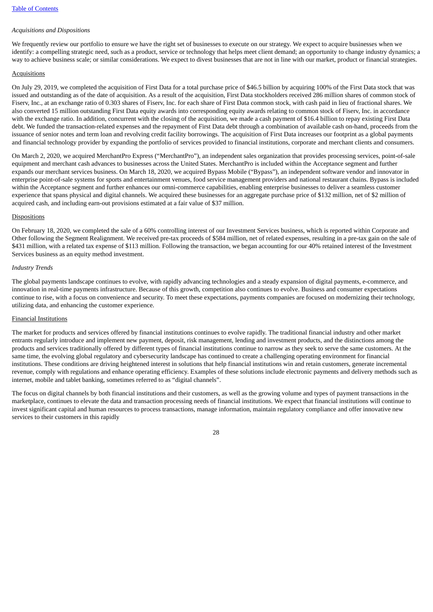#### *Acquisitions and Dispositions*

We frequently review our portfolio to ensure we have the right set of businesses to execute on our strategy. We expect to acquire businesses when we identify: a compelling strategic need, such as a product, service or technology that helps meet client demand; an opportunity to change industry dynamics; a way to achieve business scale; or similar considerations. We expect to divest businesses that are not in line with our market, product or financial strategies.

#### Acquisitions

On July 29, 2019, we completed the acquisition of First Data for a total purchase price of \$46.5 billion by acquiring 100% of the First Data stock that was issued and outstanding as of the date of acquisition. As a result of the acquisition, First Data stockholders received 286 million shares of common stock of Fiserv, Inc., at an exchange ratio of 0.303 shares of Fiserv, Inc. for each share of First Data common stock, with cash paid in lieu of fractional shares. We also converted 15 million outstanding First Data equity awards into corresponding equity awards relating to common stock of Fiserv, Inc. in accordance with the exchange ratio. In addition, concurrent with the closing of the acquisition, we made a cash payment of \$16.4 billion to repay existing First Data debt. We funded the transaction-related expenses and the repayment of First Data debt through a combination of available cash on-hand, proceeds from the issuance of senior notes and term loan and revolving credit facility borrowings. The acquisition of First Data increases our footprint as a global payments and financial technology provider by expanding the portfolio of services provided to financial institutions, corporate and merchant clients and consumers.

On March 2, 2020, we acquired MerchantPro Express ("MerchantPro"), an independent sales organization that provides processing services, point-of-sale equipment and merchant cash advances to businesses across the United States. MerchantPro is included within the Acceptance segment and further expands our merchant services business. On March 18, 2020, we acquired Bypass Mobile ("Bypass"), an independent software vendor and innovator in enterprise point-of-sale systems for sports and entertainment venues, food service management providers and national restaurant chains. Bypass is included within the Acceptance segment and further enhances our omni-commerce capabilities, enabling enterprise businesses to deliver a seamless customer experience that spans physical and digital channels. We acquired these businesses for an aggregate purchase price of \$132 million, net of \$2 million of acquired cash, and including earn-out provisions estimated at a fair value of \$37 million.

#### **Dispositions**

On February 18, 2020, we completed the sale of a 60% controlling interest of our Investment Services business, which is reported within Corporate and Other following the Segment Realignment. We received pre-tax proceeds of \$584 million, net of related expenses, resulting in a pre-tax gain on the sale of \$431 million, with a related tax expense of \$113 million. Following the transaction, we began accounting for our 40% retained interest of the Investment Services business as an equity method investment.

#### *Industry Trends*

The global payments landscape continues to evolve, with rapidly advancing technologies and a steady expansion of digital payments, e-commerce, and innovation in real-time payments infrastructure. Because of this growth, competition also continues to evolve. Business and consumer expectations continue to rise, with a focus on convenience and security. To meet these expectations, payments companies are focused on modernizing their technology, utilizing data, and enhancing the customer experience.

#### Financial Institutions

The market for products and services offered by financial institutions continues to evolve rapidly. The traditional financial industry and other market entrants regularly introduce and implement new payment, deposit, risk management, lending and investment products, and the distinctions among the products and services traditionally offered by different types of financial institutions continue to narrow as they seek to serve the same customers. At the same time, the evolving global regulatory and cybersecurity landscape has continued to create a challenging operating environment for financial institutions. These conditions are driving heightened interest in solutions that help financial institutions win and retain customers, generate incremental revenue, comply with regulations and enhance operating efficiency. Examples of these solutions include electronic payments and delivery methods such as internet, mobile and tablet banking, sometimes referred to as "digital channels".

The focus on digital channels by both financial institutions and their customers, as well as the growing volume and types of payment transactions in the marketplace, continues to elevate the data and transaction processing needs of financial institutions. We expect that financial institutions will continue to invest significant capital and human resources to process transactions, manage information, maintain regulatory compliance and offer innovative new services to their customers in this rapidly

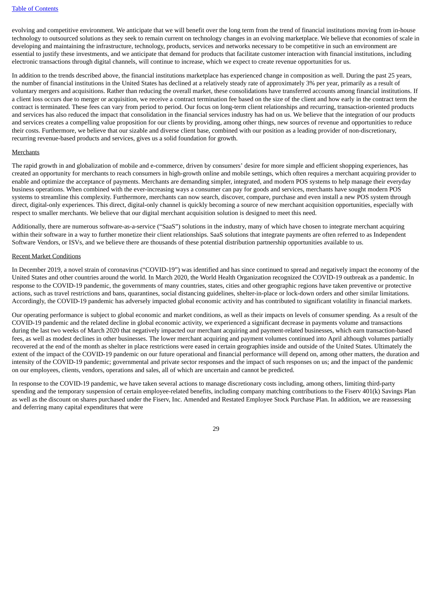evolving and competitive environment. We anticipate that we will benefit over the long term from the trend of financial institutions moving from in-house technology to outsourced solutions as they seek to remain current on technology changes in an evolving marketplace. We believe that economies of scale in developing and maintaining the infrastructure, technology, products, services and networks necessary to be competitive in such an environment are essential to justify these investments, and we anticipate that demand for products that facilitate customer interaction with financial institutions, including electronic transactions through digital channels, will continue to increase, which we expect to create revenue opportunities for us.

In addition to the trends described above, the financial institutions marketplace has experienced change in composition as well. During the past 25 years, the number of financial institutions in the United States has declined at a relatively steady rate of approximately 3% per year, primarily as a result of voluntary mergers and acquisitions. Rather than reducing the overall market, these consolidations have transferred accounts among financial institutions. If a client loss occurs due to merger or acquisition, we receive a contract termination fee based on the size of the client and how early in the contract term the contract is terminated. These fees can vary from period to period. Our focus on long-term client relationships and recurring, transaction-oriented products and services has also reduced the impact that consolidation in the financial services industry has had on us. We believe that the integration of our products and services creates a compelling value proposition for our clients by providing, among other things, new sources of revenue and opportunities to reduce their costs. Furthermore, we believe that our sizable and diverse client base, combined with our position as a leading provider of non-discretionary, recurring revenue-based products and services, gives us a solid foundation for growth.

#### **Merchants**

The rapid growth in and globalization of mobile and e-commerce, driven by consumers' desire for more simple and efficient shopping experiences, has created an opportunity for merchants to reach consumers in high-growth online and mobile settings, which often requires a merchant acquiring provider to enable and optimize the acceptance of payments. Merchants are demanding simpler, integrated, and modern POS systems to help manage their everyday business operations. When combined with the ever-increasing ways a consumer can pay for goods and services, merchants have sought modern POS systems to streamline this complexity. Furthermore, merchants can now search, discover, compare, purchase and even install a new POS system through direct, digital-only experiences. This direct, digital-only channel is quickly becoming a source of new merchant acquisition opportunities, especially with respect to smaller merchants. We believe that our digital merchant acquisition solution is designed to meet this need.

Additionally, there are numerous software-as-a-service ("SaaS") solutions in the industry, many of which have chosen to integrate merchant acquiring within their software in a way to further monetize their client relationships. SaaS solutions that integrate payments are often referred to as Independent Software Vendors, or ISVs, and we believe there are thousands of these potential distribution partnership opportunities available to us.

#### Recent Market Conditions

In December 2019, a novel strain of coronavirus ("COVID-19") was identified and has since continued to spread and negatively impact the economy of the United States and other countries around the world. In March 2020, the World Health Organization recognized the COVID-19 outbreak as a pandemic. In response to the COVID-19 pandemic, the governments of many countries, states, cities and other geographic regions have taken preventive or protective actions, such as travel restrictions and bans, quarantines, social distancing guidelines, shelter-in-place or lock-down orders and other similar limitations. Accordingly, the COVID-19 pandemic has adversely impacted global economic activity and has contributed to significant volatility in financial markets.

Our operating performance is subject to global economic and market conditions, as well as their impacts on levels of consumer spending. As a result of the COVID-19 pandemic and the related decline in global economic activity, we experienced a significant decrease in payments volume and transactions during the last two weeks of March 2020 that negatively impacted our merchant acquiring and payment-related businesses, which earn transaction-based fees, as well as modest declines in other businesses. The lower merchant acquiring and payment volumes continued into April although volumes partially recovered at the end of the month as shelter in place restrictions were eased in certain geographies inside and outside of the United States. Ultimately the extent of the impact of the COVID-19 pandemic on our future operational and financial performance will depend on, among other matters, the duration and intensity of the COVID-19 pandemic; governmental and private sector responses and the impact of such responses on us; and the impact of the pandemic on our employees, clients, vendors, operations and sales, all of which are uncertain and cannot be predicted.

In response to the COVID-19 pandemic, we have taken several actions to manage discretionary costs including, among others, limiting third-party spending and the temporary suspension of certain employee-related benefits, including company matching contributions to the Fisery 401(k) Savings Plan as well as the discount on shares purchased under the Fiserv, Inc. Amended and Restated Employee Stock Purchase Plan. In addition, we are reassessing and deferring many capital expenditures that were

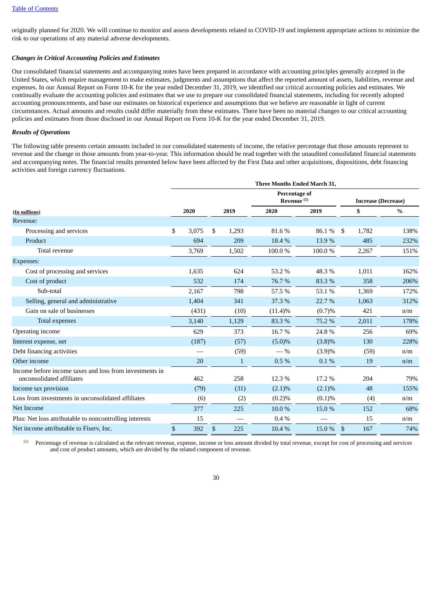originally planned for 2020. We will continue to monitor and assess developments related to COVID-19 and implement appropriate actions to minimize the risk to our operations of any material adverse developments.

#### *Changes in Critical Accounting Policies and Estimates*

Our consolidated financial statements and accompanying notes have been prepared in accordance with accounting principles generally accepted in the United States, which require management to make estimates, judgments and assumptions that affect the reported amount of assets, liabilities, revenue and expenses. In our Annual Report on Form 10-K for the year ended December 31, 2019, we identified our critical accounting policies and estimates. We continually evaluate the accounting policies and estimates that we use to prepare our consolidated financial statements, including for recently adopted accounting pronouncements, and base our estimates on historical experience and assumptions that we believe are reasonable in light of current circumstances. Actual amounts and results could differ materially from these estimates. There have been no material changes to our critical accounting policies and estimates from those disclosed in our Annual Report on Form 10-K for the year ended December 31, 2019.

#### *Results of Operations*

The following table presents certain amounts included in our consolidated statements of income, the relative percentage that those amounts represent to revenue and the change in those amounts from year-to-year. This information should be read together with the unaudited consolidated financial statements and accompanying notes. The financial results presented below have been affected by the First Data and other acquisitions, dispositions, debt financing activities and foreign currency fluctuations.

|                                                                                      | Three Months Ended March 31, |       |      |              |            |                                                |            |                            |      |  |  |
|--------------------------------------------------------------------------------------|------------------------------|-------|------|--------------|------------|------------------------------------------------|------------|----------------------------|------|--|--|
|                                                                                      |                              |       | 2019 |              |            | <b>Percentage of</b><br>Revenue <sup>(1)</sup> |            | <b>Increase (Decrease)</b> |      |  |  |
| (In millions)                                                                        |                              | 2020  |      |              | 2020       | 2019                                           |            | \$                         | $\%$ |  |  |
| Revenue:                                                                             |                              |       |      |              |            |                                                |            |                            |      |  |  |
| Processing and services                                                              | \$                           | 3,075 | \$   | 1,293        | 81.6%      | 86.1%                                          | -\$        | 1,782                      | 138% |  |  |
| Product                                                                              |                              | 694   |      | 209          | 18.4%      | 13.9%                                          |            | 485                        | 232% |  |  |
| Total revenue                                                                        |                              | 3,769 |      | 1,502        | 100.0%     | 100.0%                                         |            | 2,267                      | 151% |  |  |
| Expenses:                                                                            |                              |       |      |              |            |                                                |            |                            |      |  |  |
| Cost of processing and services                                                      |                              | 1,635 |      | 624          | 53.2 %     | 48.3%                                          |            | 1,011                      | 162% |  |  |
| Cost of product                                                                      |                              | 532   |      | 174          | 76.7%      | 83.3%                                          |            | 358                        | 206% |  |  |
| Sub-total                                                                            |                              | 2,167 |      | 798          | 57.5%      | 53.1 %                                         |            | 1,369                      | 172% |  |  |
| Selling, general and administrative                                                  |                              | 1,404 |      | 341          | 37.3 %     | 22.7%                                          |            | 1,063                      | 312% |  |  |
| Gain on sale of businesses                                                           |                              | (431) |      | (10)         | $(11.4)\%$ | (0.7)%                                         |            | 421                        | n/m  |  |  |
| Total expenses                                                                       |                              | 3,140 |      | 1,129        | 83.3%      | 75.2 %                                         |            | 2,011                      | 178% |  |  |
| Operating income                                                                     |                              | 629   |      | 373          | 16.7%      | 24.8%                                          |            | 256                        | 69%  |  |  |
| Interest expense, net                                                                |                              | (187) |      | (57)         | $(5.0)\%$  | $(3.8)\%$                                      |            | 130                        | 228% |  |  |
| Debt financing activities                                                            |                              |       |      | (59)         | $-$ %      | (3.9)%                                         |            | (59)                       | n/m  |  |  |
| Other income                                                                         |                              | 20    |      | $\mathbf{1}$ | 0.5%       | 0.1%                                           |            | 19                         | n/m  |  |  |
| Income before income taxes and loss from investments in<br>unconsolidated affiliates |                              | 462   |      | 258          | 12.3%      | 17.2 %                                         |            | 204                        | 79%  |  |  |
| Income tax provision                                                                 |                              | (79)  |      | (31)         | $(2.1)\%$  | $(2.1)\%$                                      |            | 48                         | 155% |  |  |
| Loss from investments in unconsolidated affiliates                                   |                              | (6)   |      | (2)          | (0.2)%     | (0.1)%                                         |            | (4)                        | n/m  |  |  |
| Net Income                                                                           |                              | 377   |      | 225          | 10.0%      | 15.0%                                          |            | 152                        | 68%  |  |  |
| Plus: Net loss attributable to noncontrolling interests                              |                              | 15    |      |              | $0.4\%$    |                                                |            | 15                         | n/m  |  |  |
| Net income attributable to Fiserv, Inc.                                              | \$                           | 392   | \$   | 225          | 10.4%      | 15.0%                                          | $\sqrt{5}$ | 167                        | 74%  |  |  |
|                                                                                      |                              |       |      |              |            |                                                |            |                            |      |  |  |

(1) Percentage of revenue is calculated as the relevant revenue, expense, income or loss amount divided by total revenue, except for cost of processing and services and cost of product amounts, which are divided by the related component of revenue.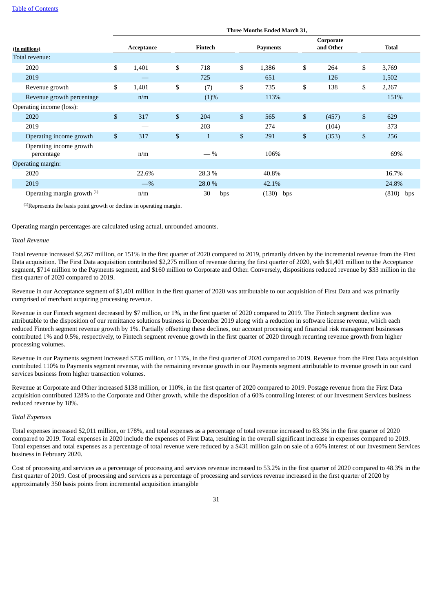|                                        | Three Months Ended March 31, |            |              |              |    |                 |                           |                        |                |              |  |
|----------------------------------------|------------------------------|------------|--------------|--------------|----|-----------------|---------------------------|------------------------|----------------|--------------|--|
| (In millions)                          |                              | Acceptance |              | Fintech      |    | <b>Payments</b> |                           | Corporate<br>and Other |                | <b>Total</b> |  |
| Total revenue:                         |                              |            |              |              |    |                 |                           |                        |                |              |  |
| 2020                                   | \$                           | 1,401      | \$           | 718          | \$ | 1,386           | \$                        | 264                    | \$             | 3,769        |  |
| 2019                                   |                              |            |              | 725          |    | 651             |                           | 126                    |                | 1,502        |  |
| Revenue growth                         | \$                           | 1,401      | \$           | (7)          | \$ | 735             | \$                        | 138                    | \$             | 2,267        |  |
| Revenue growth percentage              |                              | n/m        |              | (1)%         |    | 113%            |                           |                        |                | 151%         |  |
| Operating income (loss):               |                              |            |              |              |    |                 |                           |                        |                |              |  |
| 2020                                   | \$                           | 317        | $\mathbb{S}$ | 204          | \$ | 565             | $\boldsymbol{\mathsf{S}}$ | (457)                  | $\mathfrak{S}$ | 629          |  |
| 2019                                   |                              | __         |              | 203          |    | 274             |                           | (104)                  |                | 373          |  |
| Operating income growth                | $\mathbb{S}$                 | 317        | \$           | $\mathbf{1}$ | \$ | 291             | \$                        | (353)                  | \$             | 256          |  |
| Operating income growth<br>percentage  |                              | n/m        |              | $-$ %        |    | 106%            |                           |                        |                | 69%          |  |
| Operating margin:                      |                              |            |              |              |    |                 |                           |                        |                |              |  |
| 2020                                   |                              | 22.6%      |              | 28.3%        |    | 40.8%           |                           |                        |                | 16.7%        |  |
| 2019                                   |                              | $-$ %      |              | 28.0%        |    | 42.1%           |                           |                        |                | 24.8%        |  |
| Operating margin growth <sup>(1)</sup> |                              | n/m        |              | 30<br>bps    |    | (130)<br>bps    |                           |                        |                | (810)<br>bps |  |

 $(1)$ Represents the basis point growth or decline in operating margin.

Operating margin percentages are calculated using actual, unrounded amounts.

#### *Total Revenue*

Total revenue increased \$2,267 million, or 151% in the first quarter of 2020 compared to 2019, primarily driven by the incremental revenue from the First Data acquisition. The First Data acquisition contributed \$2,275 million of revenue during the first quarter of 2020, with \$1,401 million to the Acceptance segment, \$714 million to the Payments segment, and \$160 million to Corporate and Other. Conversely, dispositions reduced revenue by \$33 million in the first quarter of 2020 compared to 2019.

Revenue in our Acceptance segment of \$1,401 million in the first quarter of 2020 was attributable to our acquisition of First Data and was primarily comprised of merchant acquiring processing revenue.

Revenue in our Fintech segment decreased by \$7 million, or 1%, in the first quarter of 2020 compared to 2019. The Fintech segment decline was attributable to the disposition of our remittance solutions business in December 2019 along with a reduction in software license revenue, which each reduced Fintech segment revenue growth by 1%. Partially offsetting these declines, our account processing and financial risk management businesses contributed 1% and 0.5%, respectively, to Fintech segment revenue growth in the first quarter of 2020 through recurring revenue growth from higher processing volumes.

Revenue in our Payments segment increased \$735 million, or 113%, in the first quarter of 2020 compared to 2019. Revenue from the First Data acquisition contributed 110% to Payments segment revenue, with the remaining revenue growth in our Payments segment attributable to revenue growth in our card services business from higher transaction volumes.

Revenue at Corporate and Other increased \$138 million, or 110%, in the first quarter of 2020 compared to 2019. Postage revenue from the First Data acquisition contributed 128% to the Corporate and Other growth, while the disposition of a 60% controlling interest of our Investment Services business reduced revenue by 18%.

#### *Total Expenses*

Total expenses increased \$2,011 million, or 178%, and total expenses as a percentage of total revenue increased to 83.3% in the first quarter of 2020 compared to 2019. Total expenses in 2020 include the expenses of First Data, resulting in the overall significant increase in expenses compared to 2019. Total expenses and total expenses as a percentage of total revenue were reduced by a \$431 million gain on sale of a 60% interest of our Investment Services business in February 2020.

Cost of processing and services as a percentage of processing and services revenue increased to 53.2% in the first quarter of 2020 compared to 48.3% in the first quarter of 2019. Cost of processing and services as a percentage of processing and services revenue increased in the first quarter of 2020 by approximately 350 basis points from incremental acquisition intangible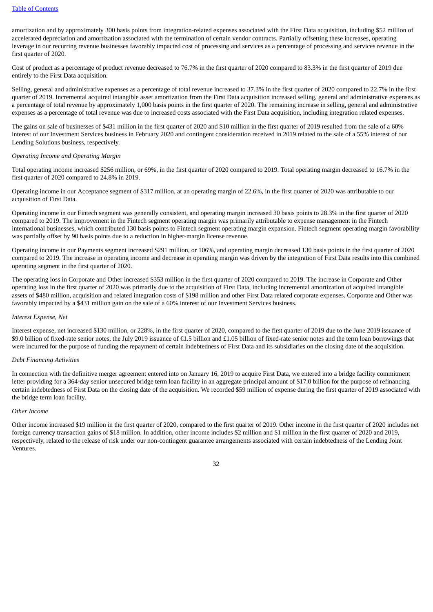amortization and by approximately 300 basis points from integration-related expenses associated with the First Data acquisition, including \$52 million of accelerated depreciation and amortization associated with the termination of certain vendor contracts. Partially offsetting these increases, operating leverage in our recurring revenue businesses favorably impacted cost of processing and services as a percentage of processing and services revenue in the first quarter of 2020.

Cost of product as a percentage of product revenue decreased to 76.7% in the first quarter of 2020 compared to 83.3% in the first quarter of 2019 due entirely to the First Data acquisition.

Selling, general and administrative expenses as a percentage of total revenue increased to 37.3% in the first quarter of 2020 compared to 22.7% in the first quarter of 2019. Incremental acquired intangible asset amortization from the First Data acquisition increased selling, general and administrative expenses as a percentage of total revenue by approximately 1,000 basis points in the first quarter of 2020. The remaining increase in selling, general and administrative expenses as a percentage of total revenue was due to increased costs associated with the First Data acquisition, including integration related expenses.

The gains on sale of businesses of \$431 million in the first quarter of 2020 and \$10 million in the first quarter of 2019 resulted from the sale of a 60% interest of our Investment Services business in February 2020 and contingent consideration received in 2019 related to the sale of a 55% interest of our Lending Solutions business, respectively.

#### *Operating Income and Operating Margin*

Total operating income increased \$256 million, or 69%, in the first quarter of 2020 compared to 2019. Total operating margin decreased to 16.7% in the first quarter of 2020 compared to 24.8% in 2019.

Operating income in our Acceptance segment of \$317 million, at an operating margin of 22.6%, in the first quarter of 2020 was attributable to our acquisition of First Data.

Operating income in our Fintech segment was generally consistent, and operating margin increased 30 basis points to 28.3% in the first quarter of 2020 compared to 2019. The improvement in the Fintech segment operating margin was primarily attributable to expense management in the Fintech international businesses, which contributed 130 basis points to Fintech segment operating margin expansion. Fintech segment operating margin favorability was partially offset by 90 basis points due to a reduction in higher-margin license revenue.

Operating income in our Payments segment increased \$291 million, or 106%, and operating margin decreased 130 basis points in the first quarter of 2020 compared to 2019. The increase in operating income and decrease in operating margin was driven by the integration of First Data results into this combined operating segment in the first quarter of 2020.

The operating loss in Corporate and Other increased \$353 million in the first quarter of 2020 compared to 2019. The increase in Corporate and Other operating loss in the first quarter of 2020 was primarily due to the acquisition of First Data, including incremental amortization of acquired intangible assets of \$480 million, acquisition and related integration costs of \$198 million and other First Data related corporate expenses. Corporate and Other was favorably impacted by a \$431 million gain on the sale of a 60% interest of our Investment Services business.

#### *Interest Expense, Net*

Interest expense, net increased \$130 million, or 228%, in the first quarter of 2020, compared to the first quarter of 2019 due to the June 2019 issuance of \$9.0 billion of fixed-rate senior notes, the July 2019 issuance of €1.5 billion and £1.05 billion of fixed-rate senior notes and the term loan borrowings that were incurred for the purpose of funding the repayment of certain indebtedness of First Data and its subsidiaries on the closing date of the acquisition.

#### *Debt Financing Activities*

In connection with the definitive merger agreement entered into on January 16, 2019 to acquire First Data, we entered into a bridge facility commitment letter providing for a 364-day senior unsecured bridge term loan facility in an aggregate principal amount of \$17.0 billion for the purpose of refinancing certain indebtedness of First Data on the closing date of the acquisition. We recorded \$59 million of expense during the first quarter of 2019 associated with the bridge term loan facility.

#### *Other Income*

Other income increased \$19 million in the first quarter of 2020, compared to the first quarter of 2019. Other income in the first quarter of 2020 includes net foreign currency transaction gains of \$18 million. In addition, other income includes \$2 million and \$1 million in the first quarter of 2020 and 2019, respectively, related to the release of risk under our non-contingent guarantee arrangements associated with certain indebtedness of the Lending Joint Ventures.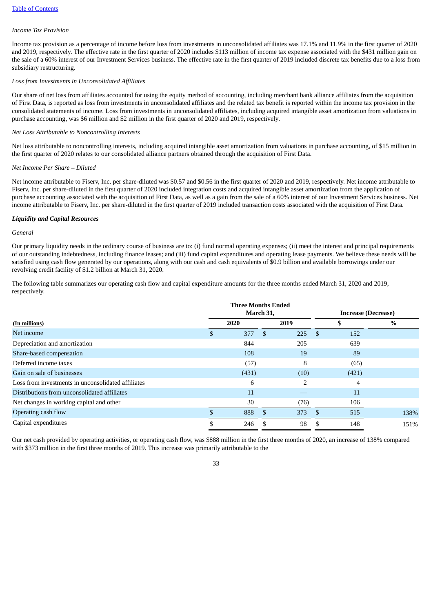#### *Income Tax Provision*

Income tax provision as a percentage of income before loss from investments in unconsolidated affiliates was 17.1% and 11.9% in the first quarter of 2020 and 2019, respectively. The effective rate in the first quarter of 2020 includes \$113 million of income tax expense associated with the \$431 million gain on the sale of a 60% interest of our Investment Services business. The effective rate in the first quarter of 2019 included discrete tax benefits due to a loss from subsidiary restructuring.

#### *Loss from Investments in Unconsolidated Affiliates*

Our share of net loss from affiliates accounted for using the equity method of accounting, including merchant bank alliance affiliates from the acquisition of First Data, is reported as loss from investments in unconsolidated affiliates and the related tax benefit is reported within the income tax provision in the consolidated statements of income. Loss from investments in unconsolidated affiliates, including acquired intangible asset amortization from valuations in purchase accounting, was \$6 million and \$2 million in the first quarter of 2020 and 2019, respectively*.*

#### *Net Loss Attributable to Noncontrolling Interests*

Net loss attributable to noncontrolling interests, including acquired intangible asset amortization from valuations in purchase accounting, of \$15 million in the first quarter of 2020 relates to our consolidated alliance partners obtained through the acquisition of First Data.

#### *Net Income Per Share – Diluted*

Net income attributable to Fiserv, Inc. per share-diluted was \$0.57 and \$0.56 in the first quarter of 2020 and 2019, respectively. Net income attributable to Fiserv, Inc. per share-diluted in the first quarter of 2020 included integration costs and acquired intangible asset amortization from the application of purchase accounting associated with the acquisition of First Data, as well as a gain from the sale of a 60% interest of our Investment Services business. Net income attributable to Fiserv, Inc. per share-diluted in the first quarter of 2019 included transaction costs associated with the acquisition of First Data.

#### *Liquidity and Capital Resources*

#### *General*

Our primary liquidity needs in the ordinary course of business are to: (i) fund normal operating expenses; (ii) meet the interest and principal requirements of our outstanding indebtedness, including finance leases; and (iii) fund capital expenditures and operating lease payments. We believe these needs will be satisfied using cash flow generated by our operations, along with our cash and cash equivalents of \$0.9 billion and available borrowings under our revolving credit facility of \$1.2 billion at March 31, 2020.

The following table summarizes our operating cash flow and capital expenditure amounts for the three months ended March 31, 2020 and 2019, respectively.

|                                                    | <b>Three Months Ended</b><br>March 31, |               | <b>Increase (Decrease)</b> |      |                |      |  |
|----------------------------------------------------|----------------------------------------|---------------|----------------------------|------|----------------|------|--|
| (In millions)                                      | 2020                                   |               | 2019                       |      | S              | $\%$ |  |
| Net income                                         | 377                                    | <sup>\$</sup> | 225                        | - \$ | 152            |      |  |
| Depreciation and amortization                      | 844                                    |               | 205                        |      | 639            |      |  |
| Share-based compensation                           | 108                                    |               | 19                         |      | 89             |      |  |
| Deferred income taxes                              | (57)                                   |               | 8                          |      | (65)           |      |  |
| Gain on sale of businesses                         | (431)                                  |               | (10)                       |      | (421)          |      |  |
| Loss from investments in unconsolidated affiliates | 6                                      |               | $\mathcal{P}$              |      | $\overline{4}$ |      |  |
| Distributions from unconsolidated affiliates       | 11                                     |               |                            |      | 11             |      |  |
| Net changes in working capital and other           | 30                                     |               | (76)                       |      | 106            |      |  |
| Operating cash flow                                | 888                                    |               | 373                        |      | 515            | 138% |  |
| Capital expenditures                               | 246                                    |               | 98                         |      | 148            | 151% |  |

Our net cash provided by operating activities, or operating cash flow, was \$888 million in the first three months of 2020, an increase of 138% compared with \$373 million in the first three months of 2019. This increase was primarily attributable to the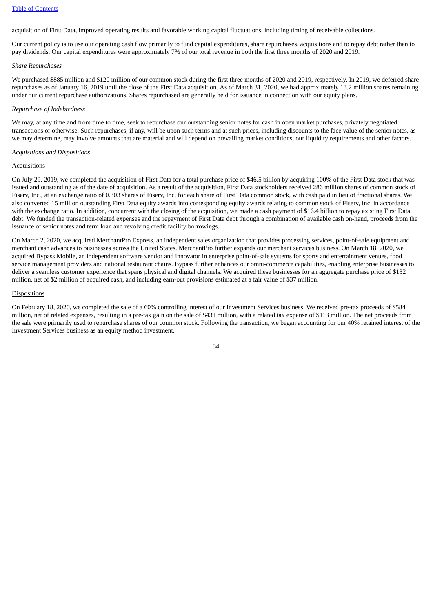acquisition of First Data, improved operating results and favorable working capital fluctuations, including timing of receivable collections.

Our current policy is to use our operating cash flow primarily to fund capital expenditures, share repurchases, acquisitions and to repay debt rather than to pay dividends. Our capital expenditures were approximately 7% of our total revenue in both the first three months of 2020 and 2019.

#### *Share Repurchases*

We purchased \$885 million and \$120 million of our common stock during the first three months of 2020 and 2019, respectively. In 2019, we deferred share repurchases as of January 16, 2019 until the close of the First Data acquisition. As of March 31, 2020, we had approximately 13.2 million shares remaining under our current repurchase authorizations. Shares repurchased are generally held for issuance in connection with our equity plans.

#### *Repurchase of Indebtedness*

We may, at any time and from time to time, seek to repurchase our outstanding senior notes for cash in open market purchases, privately negotiated transactions or otherwise. Such repurchases, if any, will be upon such terms and at such prices, including discounts to the face value of the senior notes, as we may determine, may involve amounts that are material and will depend on prevailing market conditions, our liquidity requirements and other factors.

#### *Acquisitions and Dispositions*

#### Acquisitions

On July 29, 2019, we completed the acquisition of First Data for a total purchase price of \$46.5 billion by acquiring 100% of the First Data stock that was issued and outstanding as of the date of acquisition. As a result of the acquisition, First Data stockholders received 286 million shares of common stock of Fiserv, Inc., at an exchange ratio of 0.303 shares of Fiserv, Inc. for each share of First Data common stock, with cash paid in lieu of fractional shares. We also converted 15 million outstanding First Data equity awards into corresponding equity awards relating to common stock of Fiserv, Inc. in accordance with the exchange ratio. In addition, concurrent with the closing of the acquisition, we made a cash payment of \$16.4 billion to repay existing First Data debt. We funded the transaction-related expenses and the repayment of First Data debt through a combination of available cash on-hand, proceeds from the issuance of senior notes and term loan and revolving credit facility borrowings.

On March 2, 2020, we acquired MerchantPro Express, an independent sales organization that provides processing services, point-of-sale equipment and merchant cash advances to businesses across the United States. MerchantPro further expands our merchant services business. On March 18, 2020, we acquired Bypass Mobile, an independent software vendor and innovator in enterprise point-of-sale systems for sports and entertainment venues, food service management providers and national restaurant chains. Bypass further enhances our omni-commerce capabilities, enabling enterprise businesses to deliver a seamless customer experience that spans physical and digital channels. We acquired these businesses for an aggregate purchase price of \$132 million, net of \$2 million of acquired cash, and including earn-out provisions estimated at a fair value of \$37 million.

#### Dispositions

On February 18, 2020, we completed the sale of a 60% controlling interest of our Investment Services business. We received pre-tax proceeds of \$584 million, net of related expenses, resulting in a pre-tax gain on the sale of \$431 million, with a related tax expense of \$113 million. The net proceeds from the sale were primarily used to repurchase shares of our common stock. Following the transaction, we began accounting for our 40% retained interest of the Investment Services business as an equity method investment*.*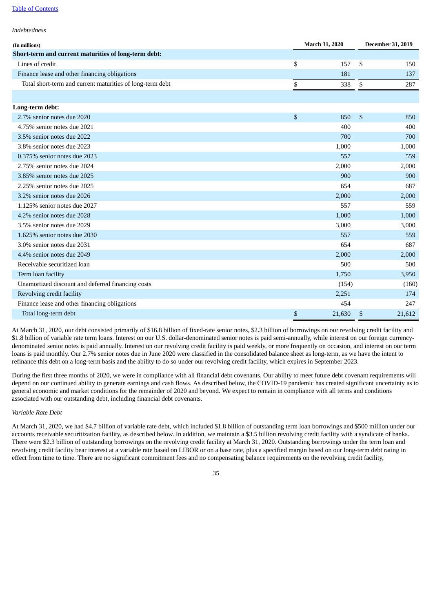#### *Indebtedness*

| (In millions)                                             |      | March 31, 2020 |                | <b>December 31, 2019</b> |  |  |
|-----------------------------------------------------------|------|----------------|----------------|--------------------------|--|--|
| Short-term and current maturities of long-term debt:      |      |                |                |                          |  |  |
| Lines of credit                                           | \$   | 157            | \$             | 150                      |  |  |
| Finance lease and other financing obligations             |      | 181            |                | 137                      |  |  |
| Total short-term and current maturities of long-term debt | \$   | 338            | \$             | 287                      |  |  |
|                                                           |      |                |                |                          |  |  |
| Long-term debt:                                           |      |                |                |                          |  |  |
| 2.7% senior notes due 2020                                | $\$$ | 850            | \$             | 850                      |  |  |
| 4.75% senior notes due 2021                               |      | 400            |                | 400                      |  |  |
| 3.5% senior notes due 2022                                |      | 700            |                | 700                      |  |  |
| 3.8% senior notes due 2023                                |      | 1,000          |                | 1,000                    |  |  |
| 0.375% senior notes due 2023                              |      | 557            |                | 559                      |  |  |
| 2.75% senior notes due 2024                               |      | 2,000          |                | 2,000                    |  |  |
| 3.85% senior notes due 2025                               |      | 900            |                | 900                      |  |  |
| 2.25% senior notes due 2025                               |      | 654            |                | 687                      |  |  |
| 3.2% senior notes due 2026                                |      | 2,000          |                | 2,000                    |  |  |
| 1.125% senior notes due 2027                              |      | 557            |                | 559                      |  |  |
| 4.2% senior notes due 2028                                |      | 1,000          |                | 1,000                    |  |  |
| 3.5% senior notes due 2029                                |      | 3,000          |                | 3,000                    |  |  |
| 1.625% senior notes due 2030                              |      | 557            |                | 559                      |  |  |
| 3.0% senior notes due 2031                                |      | 654            |                | 687                      |  |  |
| 4.4% senior notes due 2049                                |      | 2,000          |                | 2,000                    |  |  |
| Receivable securitized loan                               |      | 500            |                | 500                      |  |  |
| Term loan facility                                        |      | 1,750          |                | 3,950                    |  |  |
| Unamortized discount and deferred financing costs         |      | (154)          |                | (160)                    |  |  |
| Revolving credit facility                                 |      | 2,251          |                | 174                      |  |  |
| Finance lease and other financing obligations             |      | 454            |                | 247                      |  |  |
| Total long-term debt                                      | \$   | 21,630         | $\mathfrak{S}$ | 21,612                   |  |  |

At March 31, 2020, our debt consisted primarily of \$16.8 billion of fixed-rate senior notes, \$2.3 billion of borrowings on our revolving credit facility and \$1.8 billion of variable rate term loans. Interest on our U.S. dollar-denominated senior notes is paid semi-annually, while interest on our foreign currencydenominated senior notes is paid annually. Interest on our revolving credit facility is paid weekly, or more frequently on occasion, and interest on our term loans is paid monthly. Our 2.7% senior notes due in June 2020 were classified in the consolidated balance sheet as long-term, as we have the intent to refinance this debt on a long-term basis and the ability to do so under our revolving credit facility, which expires in September 2023.

During the first three months of 2020, we were in compliance with all financial debt covenants. Our ability to meet future debt covenant requirements will depend on our continued ability to generate earnings and cash flows. As described below, the COVID-19 pandemic has created significant uncertainty as to general economic and market conditions for the remainder of 2020 and beyond. We expect to remain in compliance with all terms and conditions associated with our outstanding debt, including financial debt covenants.

#### *Variable Rate Debt*

At March 31, 2020, we had \$4.7 billion of variable rate debt, which included \$1.8 billion of outstanding term loan borrowings and \$500 million under our accounts receivable securitization facility, as described below. In addition, we maintain a \$3.5 billion revolving credit facility with a syndicate of banks. There were \$2.3 billion of outstanding borrowings on the revolving credit facility at March 31, 2020. Outstanding borrowings under the term loan and revolving credit facility bear interest at a variable rate based on LIBOR or on a base rate, plus a specified margin based on our long-term debt rating in effect from time to time. There are no significant commitment fees and no compensating balance requirements on the revolving credit facility,

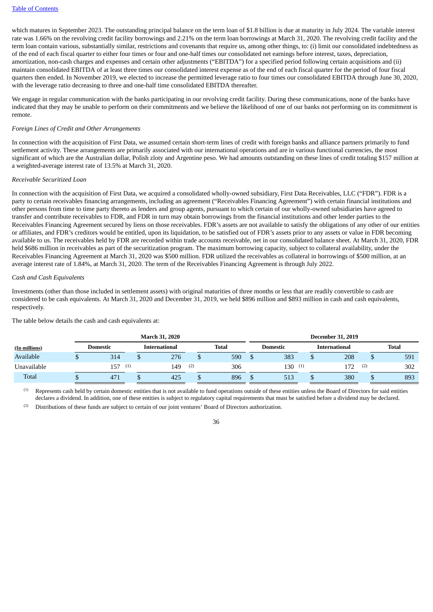which matures in September 2023. The outstanding principal balance on the term loan of \$1.8 billion is due at maturity in July 2024. The variable interest rate was 1.66% on the revolving credit facility borrowings and 2.21% on the term loan borrowings at March 31, 2020. The revolving credit facility and the term loan contain various, substantially similar, restrictions and covenants that require us, among other things, to: (i) limit our consolidated indebtedness as of the end of each fiscal quarter to either four times or four and one-half times our consolidated net earnings before interest, taxes, depreciation, amortization, non-cash charges and expenses and certain other adjustments ("EBITDA") for a specified period following certain acquisitions and (ii) maintain consolidated EBITDA of at least three times our consolidated interest expense as of the end of each fiscal quarter for the period of four fiscal quarters then ended. In November 2019, we elected to increase the permitted leverage ratio to four times our consolidated EBITDA through June 30, 2020, with the leverage ratio decreasing to three and one-half time consolidated EBITDA thereafter.

We engage in regular communication with the banks participating in our revolving credit facility. During these communications, none of the banks have indicated that they may be unable to perform on their commitments and we believe the likelihood of one of our banks not performing on its commitment is remote.

#### *Foreign Lines of Credit and Other Arrangements*

In connection with the acquisition of First Data, we assumed certain short-term lines of credit with foreign banks and alliance partners primarily to fund settlement activity. These arrangements are primarily associated with our international operations and are in various functional currencies, the most significant of which are the Australian dollar, Polish zloty and Argentine peso. We had amounts outstanding on these lines of credit totaling \$157 million at a weighted-average interest rate of 13.5% at March 31, 2020.

#### *Receivable Securitized Loan*

In connection with the acquisition of First Data, we acquired a consolidated wholly-owned subsidiary, First Data Receivables, LLC ("FDR"). FDR is a party to certain receivables financing arrangements, including an agreement ("Receivables Financing Agreement") with certain financial institutions and other persons from time to time party thereto as lenders and group agents, pursuant to which certain of our wholly-owned subsidiaries have agreed to transfer and contribute receivables to FDR, and FDR in turn may obtain borrowings from the financial institutions and other lender parties to the Receivables Financing Agreement secured by liens on those receivables. FDR's assets are not available to satisfy the obligations of any other of our entities or affiliates, and FDR's creditors would be entitled, upon its liquidation, to be satisfied out of FDR's assets prior to any assets or value in FDR becoming available to us. The receivables held by FDR are recorded within trade accounts receivable, net in our consolidated balance sheet. At March 31, 2020, FDR held \$686 million in receivables as part of the securitization program. The maximum borrowing capacity, subject to collateral availability, under the Receivables Financing Agreement at March 31, 2020 was \$500 million. FDR utilized the receivables as collateral in borrowings of \$500 million, at an average interest rate of 1.84%, at March 31, 2020. The term of the Receivables Financing Agreement is through July 2022.

#### *Cash and Cash Equivalents*

Investments (other than those included in settlement assets) with original maturities of three months or less that are readily convertible to cash are considered to be cash equivalents. At March 31, 2020 and December 31, 2019, we held \$896 million and \$893 million in cash and cash equivalents, respectively.

The table below details the cash and cash equivalents at:

|               | <b>March 31, 2020</b> |                 |  |                      |     |              | <b>December 31, 2019</b> |                 |     |                      |     |    |              |
|---------------|-----------------------|-----------------|--|----------------------|-----|--------------|--------------------------|-----------------|-----|----------------------|-----|----|--------------|
| (In millions) |                       | <b>Domestic</b> |  | <b>International</b> |     | <b>Total</b> |                          | <b>Domestic</b> |     | <b>International</b> |     |    | <b>Total</b> |
| Available     |                       | 314             |  | 276                  | ۰υ  | 590          | đ                        | 383             |     | 208                  |     | ۰υ | 591          |
| Unavailable   |                       | 157<br>(1)      |  | 149                  | (2) | 306          |                          | 130             | (1) | 172                  | (2) |    | 302          |
| Total         |                       | 471             |  | 425                  | ۰υ  | 896          |                          | 513             |     | 380                  |     | ۰υ | 893          |

<sup>(1)</sup> Represents cash held by certain domestic entities that is not available to fund operations outside of these entities unless the Board of Directors for said entities declares a dividend. In addition, one of these entities is subject to regulatory capital requirements that must be satisfied before a dividend may be declared.

 $(2)$  Distributions of these funds are subject to certain of our joint ventures' Board of Directors authorization.

<sup>36</sup>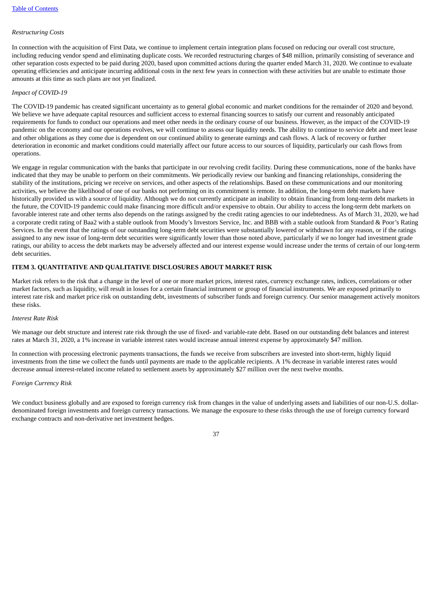#### *Restructuring Costs*

In connection with the acquisition of First Data, we continue to implement certain integration plans focused on reducing our overall cost structure, including reducing vendor spend and eliminating duplicate costs. We recorded restructuring charges of \$48 million, primarily consisting of severance and other separation costs expected to be paid during 2020, based upon committed actions during the quarter ended March 31, 2020. We continue to evaluate operating efficiencies and anticipate incurring additional costs in the next few years in connection with these activities but are unable to estimate those amounts at this time as such plans are not yet finalized.

## *Impact of COVID-19*

The COVID-19 pandemic has created significant uncertainty as to general global economic and market conditions for the remainder of 2020 and beyond. We believe we have adequate capital resources and sufficient access to external financing sources to satisfy our current and reasonably anticipated requirements for funds to conduct our operations and meet other needs in the ordinary course of our business. However, as the impact of the COVID-19 pandemic on the economy and our operations evolves, we will continue to assess our liquidity needs. The ability to continue to service debt and meet lease and other obligations as they come due is dependent on our continued ability to generate earnings and cash flows. A lack of recovery or further deterioration in economic and market conditions could materially affect our future access to our sources of liquidity, particularly our cash flows from operations.

We engage in regular communication with the banks that participate in our revolving credit facility. During these communications, none of the banks have indicated that they may be unable to perform on their commitments. We periodically review our banking and financing relationships, considering the stability of the institutions, pricing we receive on services, and other aspects of the relationships. Based on these communications and our monitoring activities, we believe the likelihood of one of our banks not performing on its commitment is remote. In addition, the long-term debt markets have historically provided us with a source of liquidity. Although we do not currently anticipate an inability to obtain financing from long-term debt markets in the future, the COVID-19 pandemic could make financing more difficult and/or expensive to obtain. Our ability to access the long-term debt markets on favorable interest rate and other terms also depends on the ratings assigned by the credit rating agencies to our indebtedness. As of March 31, 2020, we had a corporate credit rating of Baa2 with a stable outlook from Moody's Investors Service, Inc. and BBB with a stable outlook from Standard & Poor's Rating Services. In the event that the ratings of our outstanding long-term debt securities were substantially lowered or withdrawn for any reason, or if the ratings assigned to any new issue of long-term debt securities were significantly lower than those noted above, particularly if we no longer had investment grade ratings, our ability to access the debt markets may be adversely affected and our interest expense would increase under the terms of certain of our long-term debt securities.

## <span id="page-39-0"></span>**ITEM 3. QUANTITATIVE AND QUALITATIVE DISCLOSURES ABOUT MARKET RISK**

Market risk refers to the risk that a change in the level of one or more market prices, interest rates, currency exchange rates, indices, correlations or other market factors, such as liquidity, will result in losses for a certain financial instrument or group of financial instruments. We are exposed primarily to interest rate risk and market price risk on outstanding debt, investments of subscriber funds and foreign currency. Our senior management actively monitors these risks.

#### *Interest Rate Risk*

We manage our debt structure and interest rate risk through the use of fixed- and variable-rate debt. Based on our outstanding debt balances and interest rates at March 31, 2020, a 1% increase in variable interest rates would increase annual interest expense by approximately \$47 million.

In connection with processing electronic payments transactions, the funds we receive from subscribers are invested into short-term, highly liquid investments from the time we collect the funds until payments are made to the applicable recipients. A 1% decrease in variable interest rates would decrease annual interest-related income related to settlement assets by approximately \$27 million over the next twelve months.

#### *Foreign Currency Risk*

We conduct business globally and are exposed to foreign currency risk from changes in the value of underlying assets and liabilities of our non-U.S. dollardenominated foreign investments and foreign currency transactions. We manage the exposure to these risks through the use of foreign currency forward exchange contracts and non-derivative net investment hedges.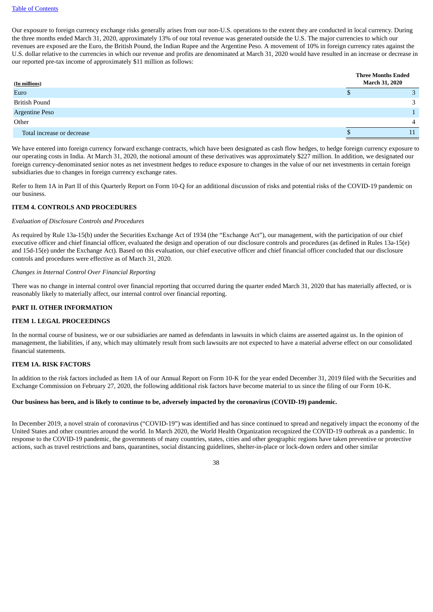Our exposure to foreign currency exchange risks generally arises from our non-U.S. operations to the extent they are conducted in local currency. During the three months ended March 31, 2020, approximately 13% of our total revenue was generated outside the U.S. The major currencies to which our revenues are exposed are the Euro, the British Pound, the Indian Rupee and the Argentine Peso. A movement of 10% in foreign currency rates against the U.S. dollar relative to the currencies in which our revenue and profits are denominated at March 31, 2020 would have resulted in an increase or decrease in our reported pre-tax income of approximately \$11 million as follows:

| (In millions)              |   | <b>Three Months Ended</b><br><b>March 31, 2020</b> |
|----------------------------|---|----------------------------------------------------|
| Euro                       | D |                                                    |
| <b>British Pound</b>       |   | ર                                                  |
| <b>Argentine Peso</b>      |   |                                                    |
| Other                      |   | 4                                                  |
| Total increase or decrease |   | 11                                                 |

We have entered into foreign currency forward exchange contracts, which have been designated as cash flow hedges, to hedge foreign currency exposure to our operating costs in India. At March 31, 2020, the notional amount of these derivatives was approximately \$227 million. In addition, we designated our foreign currency-denominated senior notes as net investment hedges to reduce exposure to changes in the value of our net investments in certain foreign subsidiaries due to changes in foreign currency exchange rates.

Refer to Item 1A in Part II of this Quarterly Report on Form 10-Q for an additional discussion of risks and potential risks of the COVID-19 pandemic on our business.

#### <span id="page-40-0"></span>**ITEM 4. CONTROLS AND PROCEDURES**

#### *Evaluation of Disclosure Controls and Procedures*

As required by Rule 13a-15(b) under the Securities Exchange Act of 1934 (the "Exchange Act"), our management, with the participation of our chief executive officer and chief financial officer, evaluated the design and operation of our disclosure controls and procedures (as defined in Rules 13a-15(e) and 15d-15(e) under the Exchange Act). Based on this evaluation, our chief executive officer and chief financial officer concluded that our disclosure controls and procedures were effective as of March 31, 2020.

#### *Changes in Internal Control Over Financial Reporting*

There was no change in internal control over financial reporting that occurred during the quarter ended March 31, 2020 that has materially affected, or is reasonably likely to materially affect, our internal control over financial reporting.

#### <span id="page-40-1"></span>**PART II. OTHER INFORMATION**

#### <span id="page-40-2"></span>**ITEM 1. LEGAL PROCEEDINGS**

In the normal course of business, we or our subsidiaries are named as defendants in lawsuits in which claims are asserted against us. In the opinion of management, the liabilities, if any, which may ultimately result from such lawsuits are not expected to have a material adverse effect on our consolidated financial statements.

#### <span id="page-40-3"></span>**ITEM 1A. RISK FACTORS**

In addition to the risk factors included as Item 1A of our Annual Report on Form 10-K for the year ended December 31, 2019 filed with the Securities and Exchange Commission on February 27, 2020, the following additional risk factors have become material to us since the filing of our Form 10-K.

#### Our business has been, and is likely to continue to be, adversely impacted by the coronavirus (COVID-19) pandemic.

In December 2019, a novel strain of coronavirus ("COVID-19") was identified and has since continued to spread and negatively impact the economy of the United States and other countries around the world. In March 2020, the World Health Organization recognized the COVID-19 outbreak as a pandemic. In response to the COVID-19 pandemic, the governments of many countries, states, cities and other geographic regions have taken preventive or protective actions, such as travel restrictions and bans, quarantines, social distancing guidelines, shelter-in-place or lock-down orders and other similar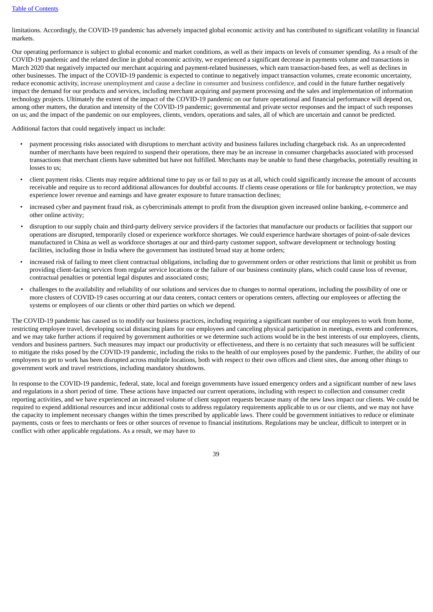limitations. Accordingly, the COVID-19 pandemic has adversely impacted global economic activity and has contributed to significant volatility in financial markets.

Our operating performance is subject to global economic and market conditions, as well as their impacts on levels of consumer spending. As a result of the COVID-19 pandemic and the related decline in global economic activity, we experienced a significant decrease in payments volume and transactions in March 2020 that negatively impacted our merchant acquiring and payment-related businesses, which earn transaction-based fees, as well as declines in other businesses. The impact of the COVID-19 pandemic is expected to continue to negatively impact transaction volumes, create economic uncertainty, reduce economic activity, increase unemployment and cause a decline in consumer and business confidence, and could in the future further negatively impact the demand for our products and services, including merchant acquiring and payment processing and the sales and implementation of information technology projects. Ultimately the extent of the impact of the COVID-19 pandemic on our future operational and financial performance will depend on, among other matters, the duration and intensity of the COVID-19 pandemic; governmental and private sector responses and the impact of such responses on us; and the impact of the pandemic on our employees, clients, vendors, operations and sales, all of which are uncertain and cannot be predicted.

Additional factors that could negatively impact us include:

- payment processing risks associated with disruptions to merchant activity and business failures including chargeback risk. As an unprecedented number of merchants have been required to suspend their operations, there may be an increase in consumer chargebacks associated with processed transactions that merchant clients have submitted but have not fulfilled. Merchants may be unable to fund these chargebacks, potentially resulting in losses to us;
- client payment risks. Clients may require additional time to pay us or fail to pay us at all, which could significantly increase the amount of accounts receivable and require us to record additional allowances for doubtful accounts. If clients cease operations or file for bankruptcy protection, we may experience lower revenue and earnings and have greater exposure to future transaction declines;
- increased cyber and payment fraud risk, as cybercriminals attempt to profit from the disruption given increased online banking, e-commerce and other online activity;
- disruption to our supply chain and third-party delivery service providers if the factories that manufacture our products or facilities that support our operations are disrupted, temporarily closed or experience workforce shortages. We could experience hardware shortages of point-of-sale devices manufactured in China as well as workforce shortages at our and third-party customer support, software development or technology hosting facilities, including those in India where the government has instituted broad stay at home orders;
- increased risk of failing to meet client contractual obligations, including due to government orders or other restrictions that limit or prohibit us from providing client-facing services from regular service locations or the failure of our business continuity plans, which could cause loss of revenue, contractual penalties or potential legal disputes and associated costs;
- challenges to the availability and reliability of our solutions and services due to changes to normal operations, including the possibility of one or more clusters of COVID-19 cases occurring at our data centers, contact centers or operations centers, affecting our employees or affecting the systems or employees of our clients or other third parties on which we depend.

The COVID-19 pandemic has caused us to modify our business practices, including requiring a significant number of our employees to work from home, restricting employee travel, developing social distancing plans for our employees and canceling physical participation in meetings, events and conferences, and we may take further actions if required by government authorities or we determine such actions would be in the best interests of our employees, clients, vendors and business partners. Such measures may impact our productivity or effectiveness, and there is no certainty that such measures will be sufficient to mitigate the risks posed by the COVID-19 pandemic, including the risks to the health of our employees posed by the pandemic. Further, the ability of our employees to get to work has been disrupted across multiple locations, both with respect to their own offices and client sites, due among other things to government work and travel restrictions, including mandatory shutdowns.

In response to the COVID-19 pandemic, federal, state, local and foreign governments have issued emergency orders and a significant number of new laws and regulations in a short period of time. These actions have impacted our current operations, including with respect to collection and consumer credit reporting activities, and we have experienced an increased volume of client support requests because many of the new laws impact our clients. We could be required to expend additional resources and incur additional costs to address regulatory requirements applicable to us or our clients, and we may not have the capacity to implement necessary changes within the times prescribed by applicable laws. There could be government initiatives to reduce or eliminate payments, costs or fees to merchants or fees or other sources of revenue to financial institutions. Regulations may be unclear, difficult to interpret or in conflict with other applicable regulations. As a result, we may have to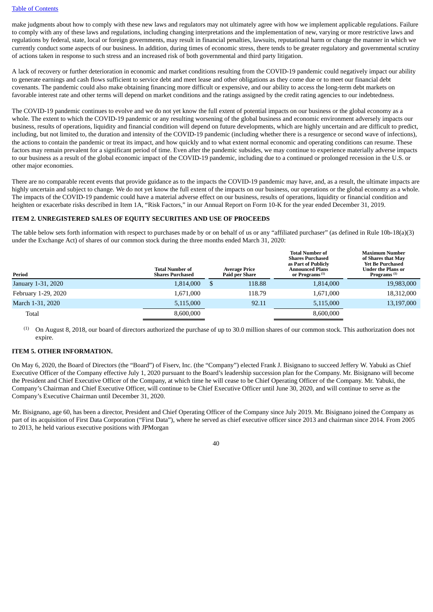make judgments about how to comply with these new laws and regulators may not ultimately agree with how we implement applicable regulations. Failure to comply with any of these laws and regulations, including changing interpretations and the implementation of new, varying or more restrictive laws and regulations by federal, state, local or foreign governments, may result in financial penalties, lawsuits, reputational harm or change the manner in which we currently conduct some aspects of our business. In addition, during times of economic stress, there tends to be greater regulatory and governmental scrutiny of actions taken in response to such stress and an increased risk of both governmental and third party litigation.

A lack of recovery or further deterioration in economic and market conditions resulting from the COVID-19 pandemic could negatively impact our ability to generate earnings and cash flows sufficient to service debt and meet lease and other obligations as they come due or to meet our financial debt covenants. The pandemic could also make obtaining financing more difficult or expensive, and our ability to access the long-term debt markets on favorable interest rate and other terms will depend on market conditions and the ratings assigned by the credit rating agencies to our indebtedness.

The COVID-19 pandemic continues to evolve and we do not yet know the full extent of potential impacts on our business or the global economy as a whole. The extent to which the COVID-19 pandemic or any resulting worsening of the global business and economic environment adversely impacts our business, results of operations, liquidity and financial condition will depend on future developments, which are highly uncertain and are difficult to predict, including, but not limited to, the duration and intensity of the COVID-19 pandemic (including whether there is a resurgence or second wave of infections), the actions to contain the pandemic or treat its impact, and how quickly and to what extent normal economic and operating conditions can resume. These factors may remain prevalent for a significant period of time. Even after the pandemic subsides, we may continue to experience materially adverse impacts to our business as a result of the global economic impact of the COVID-19 pandemic, including due to a continued or prolonged recession in the U.S. or other major economies.

There are no comparable recent events that provide guidance as to the impacts the COVID-19 pandemic may have, and, as a result, the ultimate impacts are highly uncertain and subject to change. We do not yet know the full extent of the impacts on our business, our operations or the global economy as a whole. The impacts of the COVID-19 pandemic could have a material adverse effect on our business, results of operations, liquidity or financial condition and heighten or exacerbate risks described in Item 1A, "Risk Factors," in our Annual Report on Form 10-K for the year ended December 31, 2019.

#### <span id="page-42-0"></span>**ITEM 2. UNREGISTERED SALES OF EQUITY SECURITIES AND USE OF PROCEEDS**

The table below sets forth information with respect to purchases made by or on behalf of us or any "affiliated purchaser" (as defined in Rule 10b-18(a)(3) under the Exchange Act) of shares of our common stock during the three months ended March 31, 2020:

| Period              | <b>Total Number of</b><br><b>Shares Purchased</b> |   | <b>Average Price</b><br>Paid per Share | <b>Total Number of</b><br><b>Shares Purchased</b><br>as Part of Publicly<br><b>Announced Plans</b><br>or Programs <sup>(1)</sup> | <b>Maximum Number</b><br>of Shares that May<br><b>Yet Be Purchased</b><br>Under the Plans or<br>Programs $(1)$ |
|---------------------|---------------------------------------------------|---|----------------------------------------|----------------------------------------------------------------------------------------------------------------------------------|----------------------------------------------------------------------------------------------------------------|
| January 1-31, 2020  | 1,814,000                                         | Ъ | 118.88                                 | 1,814,000                                                                                                                        | 19,983,000                                                                                                     |
| February 1-29, 2020 | 1,671,000                                         |   | 118.79                                 | 1,671,000                                                                                                                        | 18,312,000                                                                                                     |
| March 1-31, 2020    | 5,115,000                                         |   | 92.11                                  | 5,115,000                                                                                                                        | 13,197,000                                                                                                     |
| Total               | 8,600,000                                         |   |                                        | 8,600,000                                                                                                                        |                                                                                                                |

(1) On August 8, 2018, our board of directors authorized the purchase of up to 30.0 million shares of our common stock. This authorization does not expire.

#### <span id="page-42-1"></span>**ITEM 5. OTHER INFORMATION.**

On May 6, 2020, the Board of Directors (the "Board") of Fiserv, Inc. (the "Company") elected Frank J. Bisignano to succeed Jeffery W. Yabuki as Chief Executive Officer of the Company effective July 1, 2020 pursuant to the Board's leadership succession plan for the Company. Mr. Bisignano will become the President and Chief Executive Officer of the Company, at which time he will cease to be Chief Operating Officer of the Company. Mr. Yabuki, the Company's Chairman and Chief Executive Officer, will continue to be Chief Executive Officer until June 30, 2020, and will continue to serve as the Company's Executive Chairman until December 31, 2020.

Mr. Bisignano, age 60, has been a director, President and Chief Operating Officer of the Company since July 2019. Mr. Bisignano joined the Company as part of its acquisition of First Data Corporation ("First Data"), where he served as chief executive officer since 2013 and chairman since 2014. From 2005 to 2013, he held various executive positions with JPMorgan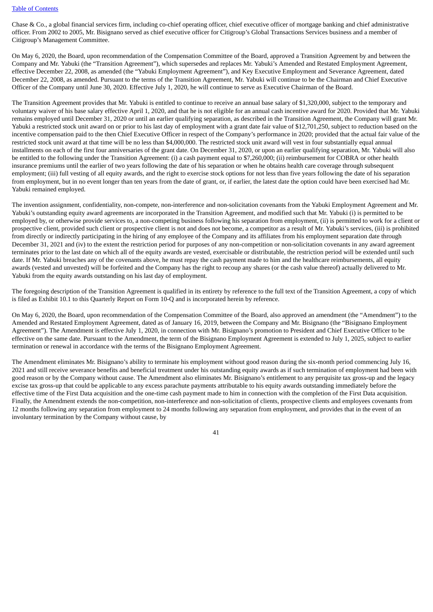Chase & Co., a global financial services firm, including co-chief operating officer, chief executive officer of mortgage banking and chief administrative officer. From 2002 to 2005, Mr. Bisignano served as chief executive officer for Citigroup's Global Transactions Services business and a member of Citigroup's Management Committee.

On May 6, 2020, the Board, upon recommendation of the Compensation Committee of the Board, approved a Transition Agreement by and between the Company and Mr. Yabuki (the "Transition Agreement"), which supersedes and replaces Mr. Yabuki's Amended and Restated Employment Agreement, effective December 22, 2008, as amended (the "Yabuki Employment Agreement"), and Key Executive Employment and Severance Agreement, dated December 22, 2008, as amended. Pursuant to the terms of the Transition Agreement, Mr. Yabuki will continue to be the Chairman and Chief Executive Officer of the Company until June 30, 2020. Effective July 1, 2020, he will continue to serve as Executive Chairman of the Board.

The Transition Agreement provides that Mr. Yabuki is entitled to continue to receive an annual base salary of \$1,320,000, subject to the temporary and voluntary waiver of his base salary effective April 1, 2020, and that he is not eligible for an annual cash incentive award for 2020. Provided that Mr. Yabuki remains employed until December 31, 2020 or until an earlier qualifying separation, as described in the Transition Agreement, the Company will grant Mr. Yabuki a restricted stock unit award on or prior to his last day of employment with a grant date fair value of \$12,701,250, subject to reduction based on the incentive compensation paid to the then Chief Executive Officer in respect of the Company's performance in 2020; provided that the actual fair value of the restricted stock unit award at that time will be no less than \$4,000,000. The restricted stock unit award will vest in four substantially equal annual installments on each of the first four anniversaries of the grant date. On December 31, 2020, or upon an earlier qualifying separation, Mr. Yabuki will also be entitled to the following under the Transition Agreement: (i) a cash payment equal to \$7,260,000; (ii) reimbursement for COBRA or other health insurance premiums until the earlier of two years following the date of his separation or when he obtains health care coverage through subsequent employment; (iii) full vesting of all equity awards, and the right to exercise stock options for not less than five years following the date of his separation from employment, but in no event longer than ten years from the date of grant, or, if earlier, the latest date the option could have been exercised had Mr. Yabuki remained employed.

The invention assignment, confidentiality, non-compete, non-interference and non-solicitation covenants from the Yabuki Employment Agreement and Mr. Yabuki's outstanding equity award agreements are incorporated in the Transition Agreement, and modified such that Mr. Yabuki (i) is permitted to be employed by, or otherwise provide services to, a non-competing business following his separation from employment, (ii) is permitted to work for a client or prospective client, provided such client or prospective client is not and does not become, a competitor as a result of Mr. Yabuki's services, (iii) is prohibited from directly or indirectly participating in the hiring of any employee of the Company and its affiliates from his employment separation date through December 31, 2021 and (iv) to the extent the restriction period for purposes of any non-competition or non-solicitation covenants in any award agreement terminates prior to the last date on which all of the equity awards are vested, exercisable or distributable, the restriction period will be extended until such date. If Mr. Yabuki breaches any of the covenants above, he must repay the cash payment made to him and the healthcare reimbursements, all equity awards (vested and unvested) will be forfeited and the Company has the right to recoup any shares (or the cash value thereof) actually delivered to Mr. Yabuki from the equity awards outstanding on his last day of employment.

The foregoing description of the Transition Agreement is qualified in its entirety by reference to the full text of the Transition Agreement, a copy of which is filed as Exhibit 10.1 to this Quarterly Report on Form 10‑Q and is incorporated herein by reference.

On May 6, 2020, the Board, upon recommendation of the Compensation Committee of the Board, also approved an amendment (the "Amendment") to the Amended and Restated Employment Agreement, dated as of January 16, 2019, between the Company and Mr. Bisignano (the "Bisignano Employment Agreement"). The Amendment is effective July 1, 2020, in connection with Mr. Bisignano's promotion to President and Chief Executive Officer to be effective on the same date. Pursuant to the Amendment, the term of the Bisignano Employment Agreement is extended to July 1, 2025, subject to earlier termination or renewal in accordance with the terms of the Bisignano Employment Agreement.

The Amendment eliminates Mr. Bisignano's ability to terminate his employment without good reason during the six-month period commencing July 16, 2021 and still receive severance benefits and beneficial treatment under his outstanding equity awards as if such termination of employment had been with good reason or by the Company without cause. The Amendment also eliminates Mr. Bisignano's entitlement to any perquisite tax gross-up and the legacy excise tax gross-up that could be applicable to any excess parachute payments attributable to his equity awards outstanding immediately before the effective time of the First Data acquisition and the one-time cash payment made to him in connection with the completion of the First Data acquisition. Finally, the Amendment extends the non-competition, non-interference and non-solicitation of clients, prospective clients and employees covenants from 12 months following any separation from employment to 24 months following any separation from employment, and provides that in the event of an involuntary termination by the Company without cause, by

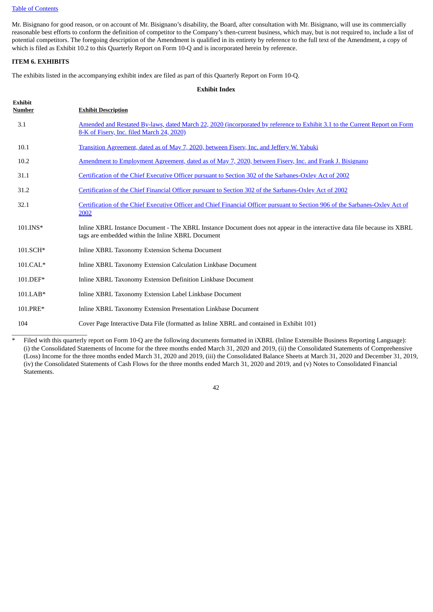Mr. Bisignano for good reason, or on account of Mr. Bisignano's disability, the Board, after consultation with Mr. Bisignano, will use its commercially reasonable best efforts to conform the definition of competitor to the Company's then-current business, which may, but is not required to, include a list of potential competitors. The foregoing description of the Amendment is qualified in its entirety by reference to the full text of the Amendment, a copy of which is filed as Exhibit 10.2 to this Quarterly Report on Form 10-Q and is incorporated herein by reference.

#### <span id="page-44-0"></span>**ITEM 6. EXHIBITS**

<span id="page-44-1"></span>The exhibits listed in the accompanying exhibit index are filed as part of this Quarterly Report on Form 10-Q.

| Exhibit<br>Number | <b>Exhibit Description</b>                                                                                                                                                    |
|-------------------|-------------------------------------------------------------------------------------------------------------------------------------------------------------------------------|
| 3.1               | Amended and Restated By-laws, dated March 22, 2020 (incorporated by reference to Exhibit 3.1 to the Current Report on Form<br>8-K of Fisery, Inc. filed March 24, 2020)       |
| 10.1              | Transition Agreement, dated as of May 7, 2020, between Fisery, Inc. and Jeffery W. Yabuki                                                                                     |
| 10.2              | Amendment to Employment Agreement, dated as of May 7, 2020, between Fisery, Inc. and Frank J. Bisignano                                                                       |
| 31.1              | Certification of the Chief Executive Officer pursuant to Section 302 of the Sarbanes-Oxley Act of 2002                                                                        |
| 31.2              | Certification of the Chief Financial Officer pursuant to Section 302 of the Sarbanes-Oxley Act of 2002                                                                        |
| 32.1              | Certification of the Chief Executive Officer and Chief Financial Officer pursuant to Section 906 of the Sarbanes-Oxley Act of<br>2002                                         |
| $101.INS*$        | Inline XBRL Instance Document - The XBRL Instance Document does not appear in the interactive data file because its XBRL<br>tags are embedded within the Inline XBRL Document |
| 101.SCH*          | Inline XBRL Taxonomy Extension Schema Document                                                                                                                                |
| 101.CAL*          | Inline XBRL Taxonomy Extension Calculation Linkbase Document                                                                                                                  |
| 101.DEF*          | Inline XBRL Taxonomy Extension Definition Linkbase Document                                                                                                                   |
| $101.LAB*$        | Inline XBRL Taxonomy Extension Label Linkbase Document                                                                                                                        |
| 101.PRE*          | Inline XBRL Taxonomy Extension Presentation Linkbase Document                                                                                                                 |
| 104               | Cover Page Interactive Data File (formatted as Inline XBRL and contained in Exhibit 101)                                                                                      |

\* Filed with this quarterly report on Form 10-Q are the following documents formatted in iXBRL (Inline Extensible Business Reporting Language): (i) the Consolidated Statements of Income for the three months ended March 31, 2020 and 2019, (ii) the Consolidated Statements of Comprehensive (Loss) Income for the three months ended March 31, 2020 and 2019, (iii) the Consolidated Balance Sheets at March 31, 2020 and December 31, 2019, (iv) the Consolidated Statements of Cash Flows for the three months ended March 31, 2020 and 2019, and (v) Notes to Consolidated Financial Statements.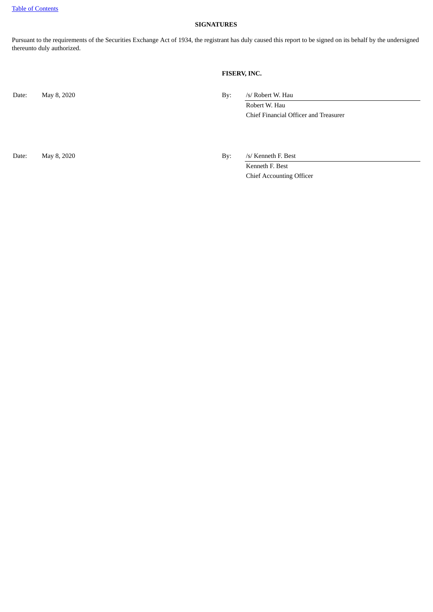#### **SIGNATURES**

<span id="page-45-0"></span>Pursuant to the requirements of the Securities Exchange Act of 1934, the registrant has duly caused this report to be signed on its behalf by the undersigned thereunto duly authorized.

## **FISERV, INC.**

Date: May 8, 2020 By: /s/ Robert W. Hau

Robert W. Hau Chief Financial Officer and Treasurer

Date: May 8, 2020 By: /s/ Kenneth F. Best

Kenneth F. Best Chief Accounting Officer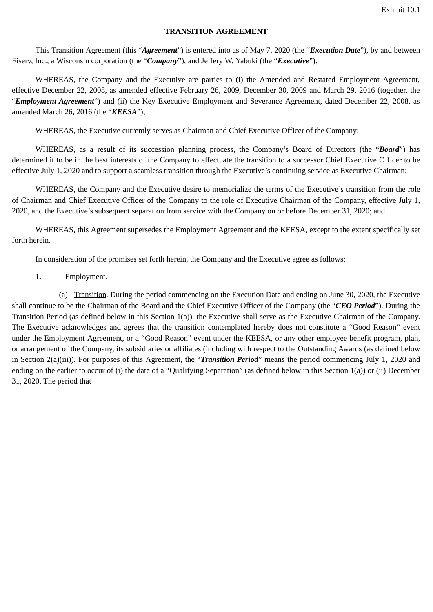## **TRANSITION AGREEMENT**

<span id="page-46-0"></span>This Transition Agreement (this "*Agreement*") is entered into as of May 7, 2020 (the "*Execution Date*"), by and between Fiserv, Inc., a Wisconsin corporation (the "*Company*"), and Jeffery W. Yabuki (the "*Executive*").

WHEREAS, the Company and the Executive are parties to (i) the Amended and Restated Employment Agreement, effective December 22, 2008, as amended effective February 26, 2009, December 30, 2009 and March 29, 2016 (together, the "*Employment Agreement*") and (ii) the Key Executive Employment and Severance Agreement, dated December 22, 2008, as amended March 26, 2016 (the "*KEESA*");

WHEREAS, the Executive currently serves as Chairman and Chief Executive Officer of the Company;

WHEREAS, as a result of its succession planning process, the Company's Board of Directors (the "*Board*") has determined it to be in the best interests of the Company to effectuate the transition to a successor Chief Executive Officer to be effective July 1, 2020 and to support a seamless transition through the Executive's continuing service as Executive Chairman;

WHEREAS, the Company and the Executive desire to memorialize the terms of the Executive's transition from the role of Chairman and Chief Executive Officer of the Company to the role of Executive Chairman of the Company, effective July 1, 2020, and the Executive's subsequent separation from service with the Company on or before December 31, 2020; and

WHEREAS, this Agreement supersedes the Employment Agreement and the KEESA, except to the extent specifically set forth herein.

In consideration of the promises set forth herein, the Company and the Executive agree as follows:

1. Employment.

(a) Transition. During the period commencing on the Execution Date and ending on June 30, 2020, the Executive shall continue to be the Chairman of the Board and the Chief Executive Officer of the Company (the "*CEO Period*"). During the Transition Period (as defined below in this Section 1(a)), the Executive shall serve as the Executive Chairman of the Company. The Executive acknowledges and agrees that the transition contemplated hereby does not constitute a "Good Reason" event under the Employment Agreement, or a "Good Reason" event under the KEESA, or any other employee benefit program, plan, or arrangement of the Company, its subsidiaries or affiliates (including with respect to the Outstanding Awards (as defined below in Section 2(a)(iii)). For purposes of this Agreement, the "*Transition Period*" means the period commencing July 1, 2020 and ending on the earlier to occur of (i) the date of a "Qualifying Separation" (as defined below in this Section 1(a)) or (ii) December 31, 2020. The period that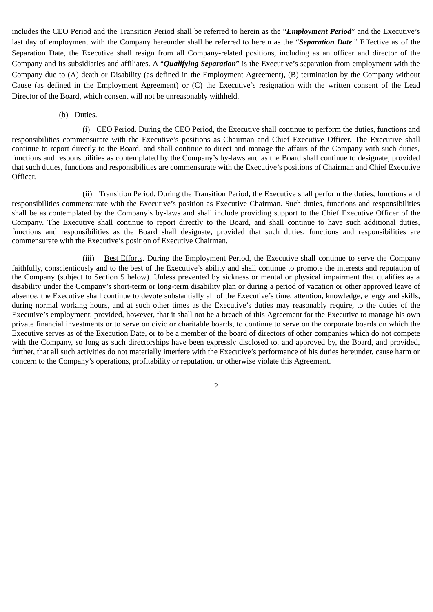includes the CEO Period and the Transition Period shall be referred to herein as the "*Employment Period*" and the Executive's last day of employment with the Company hereunder shall be referred to herein as the "*Separation Date*." Effective as of the Separation Date, the Executive shall resign from all Company-related positions, including as an officer and director of the Company and its subsidiaries and affiliates. A "*Qualifying Separation*" is the Executive's separation from employment with the Company due to (A) death or Disability (as defined in the Employment Agreement), (B) termination by the Company without Cause (as defined in the Employment Agreement) or (C) the Executive's resignation with the written consent of the Lead Director of the Board, which consent will not be unreasonably withheld.

(b) Duties.

(i) CEO Period. During the CEO Period, the Executive shall continue to perform the duties, functions and responsibilities commensurate with the Executive's positions as Chairman and Chief Executive Officer. The Executive shall continue to report directly to the Board, and shall continue to direct and manage the affairs of the Company with such duties, functions and responsibilities as contemplated by the Company's by-laws and as the Board shall continue to designate, provided that such duties, functions and responsibilities are commensurate with the Executive's positions of Chairman and Chief Executive Officer.

(ii) Transition Period. During the Transition Period, the Executive shall perform the duties, functions and responsibilities commensurate with the Executive's position as Executive Chairman. Such duties, functions and responsibilities shall be as contemplated by the Company's by-laws and shall include providing support to the Chief Executive Officer of the Company. The Executive shall continue to report directly to the Board, and shall continue to have such additional duties, functions and responsibilities as the Board shall designate, provided that such duties, functions and responsibilities are commensurate with the Executive's position of Executive Chairman.

(iii) Best Efforts. During the Employment Period, the Executive shall continue to serve the Company faithfully, conscientiously and to the best of the Executive's ability and shall continue to promote the interests and reputation of the Company (subject to Section 5 below). Unless prevented by sickness or mental or physical impairment that qualifies as a disability under the Company's short-term or long-term disability plan or during a period of vacation or other approved leave of absence, the Executive shall continue to devote substantially all of the Executive's time, attention, knowledge, energy and skills, during normal working hours, and at such other times as the Executive's duties may reasonably require, to the duties of the Executive's employment; provided, however, that it shall not be a breach of this Agreement for the Executive to manage his own private financial investments or to serve on civic or charitable boards, to continue to serve on the corporate boards on which the Executive serves as of the Execution Date, or to be a member of the board of directors of other companies which do not compete with the Company, so long as such directorships have been expressly disclosed to, and approved by, the Board, and provided, further, that all such activities do not materially interfere with the Executive's performance of his duties hereunder, cause harm or concern to the Company's operations, profitability or reputation, or otherwise violate this Agreement.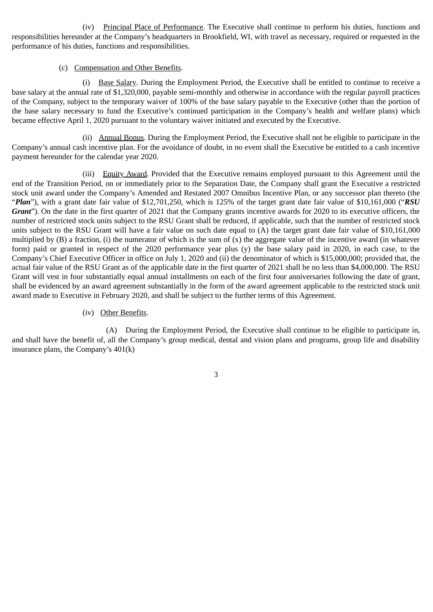(iv) Principal Place of Performance. The Executive shall continue to perform his duties, functions and responsibilities hereunder at the Company's headquarters in Brookfield, WI, with travel as necessary, required or requested in the performance of his duties, functions and responsibilities.

## (c) Compensation and Other Benefits.

(i) Base Salary. During the Employment Period, the Executive shall be entitled to continue to receive a base salary at the annual rate of \$1,320,000, payable semi-monthly and otherwise in accordance with the regular payroll practices of the Company, subject to the temporary waiver of 100% of the base salary payable to the Executive (other than the portion of the base salary necessary to fund the Executive's continued participation in the Company's health and welfare plans) which became effective April 1, 2020 pursuant to the voluntary waiver initiated and executed by the Executive.

(ii) Annual Bonus. During the Employment Period, the Executive shall not be eligible to participate in the Company's annual cash incentive plan. For the avoidance of doubt, in no event shall the Executive be entitled to a cash incentive payment hereunder for the calendar year 2020.

(iii) Equity Award. Provided that the Executive remains employed pursuant to this Agreement until the end of the Transition Period, on or immediately prior to the Separation Date, the Company shall grant the Executive a restricted stock unit award under the Company's Amended and Restated 2007 Omnibus Incentive Plan, or any successor plan thereto (the "*Plan*"), with a grant date fair value of \$12,701,250, which is 125% of the target grant date fair value of \$10,161,000 ("*RSU Grant*"). On the date in the first quarter of 2021 that the Company grants incentive awards for 2020 to its executive officers, the number of restricted stock units subject to the RSU Grant shall be reduced, if applicable, such that the number of restricted stock units subject to the RSU Grant will have a fair value on such date equal to (A) the target grant date fair value of \$10,161,000 multiplied by  $(B)$  a fraction, (i) the numerator of which is the sum of  $(x)$  the aggregate value of the incentive award (in whatever form) paid or granted in respect of the 2020 performance year plus (y) the base salary paid in 2020, in each case, to the Company's Chief Executive Officer in office on July 1, 2020 and (ii) the denominator of which is \$15,000,000; provided that, the actual fair value of the RSU Grant as of the applicable date in the first quarter of 2021 shall be no less than \$4,000,000. The RSU Grant will vest in four substantially equal annual installments on each of the first four anniversaries following the date of grant, shall be evidenced by an award agreement substantially in the form of the award agreement applicable to the restricted stock unit award made to Executive in February 2020, and shall be subject to the further terms of this Agreement.

## (iv) Other Benefits.

(A) During the Employment Period, the Executive shall continue to be eligible to participate in, and shall have the benefit of, all the Company's group medical, dental and vision plans and programs, group life and disability insurance plans, the Company's 401(k)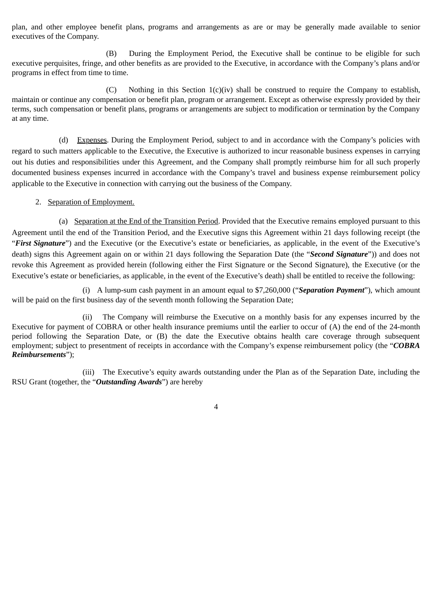plan, and other employee benefit plans, programs and arrangements as are or may be generally made available to senior executives of the Company.

(B) During the Employment Period, the Executive shall be continue to be eligible for such executive perquisites, fringe, and other benefits as are provided to the Executive, in accordance with the Company's plans and/or programs in effect from time to time.

(C) Nothing in this Section 1(c)(iv) shall be construed to require the Company to establish, maintain or continue any compensation or benefit plan, program or arrangement. Except as otherwise expressly provided by their terms, such compensation or benefit plans, programs or arrangements are subject to modification or termination by the Company at any time.

(d) Expenses. During the Employment Period, subject to and in accordance with the Company's policies with regard to such matters applicable to the Executive, the Executive is authorized to incur reasonable business expenses in carrying out his duties and responsibilities under this Agreement, and the Company shall promptly reimburse him for all such properly documented business expenses incurred in accordance with the Company's travel and business expense reimbursement policy applicable to the Executive in connection with carrying out the business of the Company.

## 2. Separation of Employment.

(a) Separation at the End of the Transition Period. Provided that the Executive remains employed pursuant to this Agreement until the end of the Transition Period, and the Executive signs this Agreement within 21 days following receipt (the "*First Signature*") and the Executive (or the Executive's estate or beneficiaries, as applicable, in the event of the Executive's death) signs this Agreement again on or within 21 days following the Separation Date (the "*Second Signature*")) and does not revoke this Agreement as provided herein (following either the First Signature or the Second Signature), the Executive (or the Executive's estate or beneficiaries, as applicable, in the event of the Executive's death) shall be entitled to receive the following:

(i) A lump-sum cash payment in an amount equal to \$7,260,000 ("*Separation Payment*"), which amount will be paid on the first business day of the seventh month following the Separation Date;

(ii) The Company will reimburse the Executive on a monthly basis for any expenses incurred by the Executive for payment of COBRA or other health insurance premiums until the earlier to occur of (A) the end of the 24-month period following the Separation Date, or (B) the date the Executive obtains health care coverage through subsequent employment; subject to presentment of receipts in accordance with the Company's expense reimbursement policy (the "*COBRA Reimbursements*");

(iii) The Executive's equity awards outstanding under the Plan as of the Separation Date, including the RSU Grant (together, the "*Outstanding Awards*") are hereby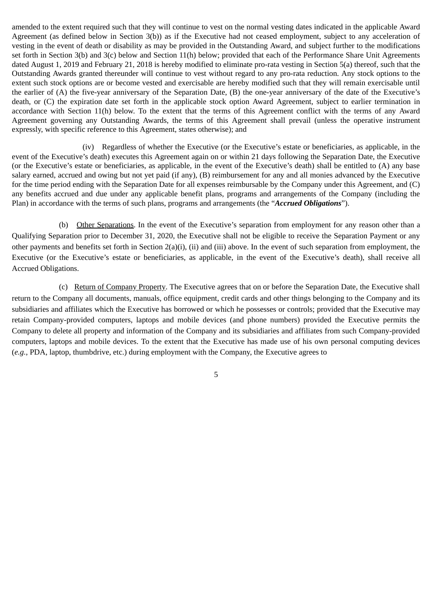amended to the extent required such that they will continue to vest on the normal vesting dates indicated in the applicable Award Agreement (as defined below in Section 3(b)) as if the Executive had not ceased employment, subject to any acceleration of vesting in the event of death or disability as may be provided in the Outstanding Award, and subject further to the modifications set forth in Section 3(b) and 3(c) below and Section 11(h) below; provided that each of the Performance Share Unit Agreements dated August 1, 2019 and February 21, 2018 is hereby modified to eliminate pro-rata vesting in Section 5(a) thereof, such that the Outstanding Awards granted thereunder will continue to vest without regard to any pro-rata reduction. Any stock options to the extent such stock options are or become vested and exercisable are hereby modified such that they will remain exercisable until the earlier of (A) the five-year anniversary of the Separation Date, (B) the one-year anniversary of the date of the Executive's death, or (C) the expiration date set forth in the applicable stock option Award Agreement, subject to earlier termination in accordance with Section 11(h) below. To the extent that the terms of this Agreement conflict with the terms of any Award Agreement governing any Outstanding Awards, the terms of this Agreement shall prevail (unless the operative instrument expressly, with specific reference to this Agreement, states otherwise); and

(iv) Regardless of whether the Executive (or the Executive's estate or beneficiaries, as applicable, in the event of the Executive's death) executes this Agreement again on or within 21 days following the Separation Date, the Executive (or the Executive's estate or beneficiaries, as applicable, in the event of the Executive's death) shall be entitled to (A) any base salary earned, accrued and owing but not yet paid (if any), (B) reimbursement for any and all monies advanced by the Executive for the time period ending with the Separation Date for all expenses reimbursable by the Company under this Agreement, and (C) any benefits accrued and due under any applicable benefit plans, programs and arrangements of the Company (including the Plan) in accordance with the terms of such plans, programs and arrangements (the "*Accrued Obligations*").

(b) Other Separations. In the event of the Executive's separation from employment for any reason other than a Qualifying Separation prior to December 31, 2020, the Executive shall not be eligible to receive the Separation Payment or any other payments and benefits set forth in Section 2(a)(i), (ii) and (iii) above. In the event of such separation from employment, the Executive (or the Executive's estate or beneficiaries, as applicable, in the event of the Executive's death), shall receive all Accrued Obligations.

(c) Return of Company Property. The Executive agrees that on or before the Separation Date, the Executive shall return to the Company all documents, manuals, office equipment, credit cards and other things belonging to the Company and its subsidiaries and affiliates which the Executive has borrowed or which he possesses or controls; provided that the Executive may retain Company-provided computers, laptops and mobile devices (and phone numbers) provided the Executive permits the Company to delete all property and information of the Company and its subsidiaries and affiliates from such Company-provided computers, laptops and mobile devices. To the extent that the Executive has made use of his own personal computing devices (*e.g.*, PDA, laptop, thumbdrive, etc.) during employment with the Company, the Executive agrees to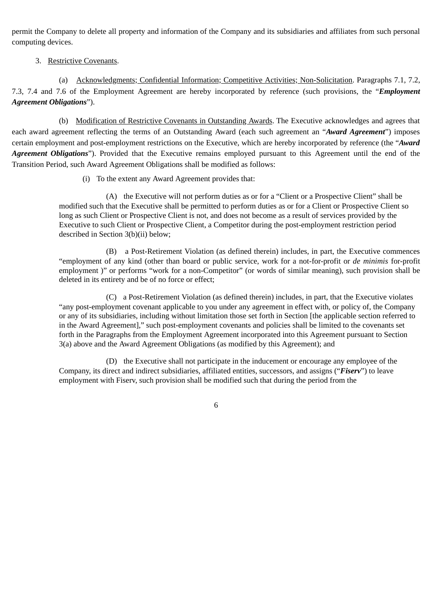permit the Company to delete all property and information of the Company and its subsidiaries and affiliates from such personal computing devices.

## 3. Restrictive Covenants.

(a) Acknowledgments; Confidential Information; Competitive Activities; Non-Solicitation. Paragraphs 7.1, 7.2, 7.3, 7.4 and 7.6 of the Employment Agreement are hereby incorporated by reference (such provisions, the "*Employment Agreement Obligations*").

(b) Modification of Restrictive Covenants in Outstanding Awards. The Executive acknowledges and agrees that each award agreement reflecting the terms of an Outstanding Award (each such agreement an "*Award Agreement*") imposes certain employment and post-employment restrictions on the Executive, which are hereby incorporated by reference (the "*Award Agreement Obligations*"). Provided that the Executive remains employed pursuant to this Agreement until the end of the Transition Period, such Award Agreement Obligations shall be modified as follows:

(i) To the extent any Award Agreement provides that:

(A) the Executive will not perform duties as or for a "Client or a Prospective Client" shall be modified such that the Executive shall be permitted to perform duties as or for a Client or Prospective Client so long as such Client or Prospective Client is not, and does not become as a result of services provided by the Executive to such Client or Prospective Client, a Competitor during the post-employment restriction period described in Section 3(b)(ii) below;

(B) a Post-Retirement Violation (as defined therein) includes, in part, the Executive commences "employment of any kind (other than board or public service, work for a not-for-profit or *de minimis* for-profit employment )" or performs "work for a non-Competitor" (or words of similar meaning), such provision shall be deleted in its entirety and be of no force or effect;

(C) a Post-Retirement Violation (as defined therein) includes, in part, that the Executive violates "any post-employment covenant applicable to you under any agreement in effect with, or policy of, the Company or any of its subsidiaries, including without limitation those set forth in Section [the applicable section referred to in the Award Agreement]," such post-employment covenants and policies shall be limited to the covenants set forth in the Paragraphs from the Employment Agreement incorporated into this Agreement pursuant to Section 3(a) above and the Award Agreement Obligations (as modified by this Agreement); and

(D) the Executive shall not participate in the inducement or encourage any employee of the Company, its direct and indirect subsidiaries, affiliated entities, successors, and assigns ("*Fiserv*") to leave employment with Fiserv, such provision shall be modified such that during the period from the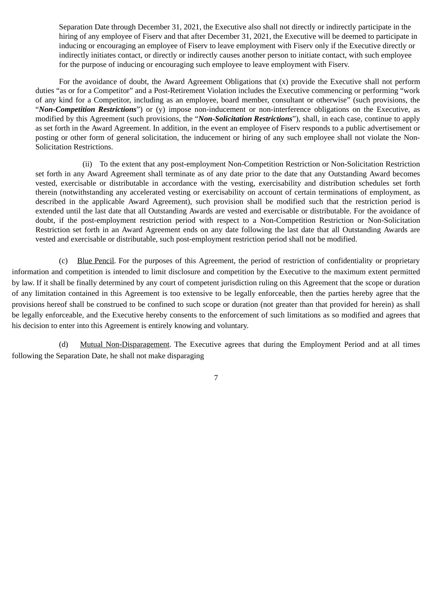Separation Date through December 31, 2021, the Executive also shall not directly or indirectly participate in the hiring of any employee of Fisery and that after December 31, 2021, the Executive will be deemed to participate in inducing or encouraging an employee of Fiserv to leave employment with Fiserv only if the Executive directly or indirectly initiates contact, or directly or indirectly causes another person to initiate contact, with such employee for the purpose of inducing or encouraging such employee to leave employment with Fiserv.

For the avoidance of doubt, the Award Agreement Obligations that (x) provide the Executive shall not perform duties "as or for a Competitor" and a Post-Retirement Violation includes the Executive commencing or performing "work of any kind for a Competitor, including as an employee, board member, consultant or otherwise" (such provisions, the "*Non-Competition Restrictions*") or (y) impose non-inducement or non-interference obligations on the Executive, as modified by this Agreement (such provisions, the "*Non-Solicitation Restrictions*"), shall, in each case, continue to apply as set forth in the Award Agreement. In addition, in the event an employee of Fiserv responds to a public advertisement or posting or other form of general solicitation, the inducement or hiring of any such employee shall not violate the Non-Solicitation Restrictions.

(ii) To the extent that any post-employment Non-Competition Restriction or Non-Solicitation Restriction set forth in any Award Agreement shall terminate as of any date prior to the date that any Outstanding Award becomes vested, exercisable or distributable in accordance with the vesting, exercisability and distribution schedules set forth therein (notwithstanding any accelerated vesting or exercisability on account of certain terminations of employment, as described in the applicable Award Agreement), such provision shall be modified such that the restriction period is extended until the last date that all Outstanding Awards are vested and exercisable or distributable. For the avoidance of doubt, if the post-employment restriction period with respect to a Non-Competition Restriction or Non-Solicitation Restriction set forth in an Award Agreement ends on any date following the last date that all Outstanding Awards are vested and exercisable or distributable, such post-employment restriction period shall not be modified.

(c) Blue Pencil. For the purposes of this Agreement, the period of restriction of confidentiality or proprietary information and competition is intended to limit disclosure and competition by the Executive to the maximum extent permitted by law. If it shall be finally determined by any court of competent jurisdiction ruling on this Agreement that the scope or duration of any limitation contained in this Agreement is too extensive to be legally enforceable, then the parties hereby agree that the provisions hereof shall be construed to be confined to such scope or duration (not greater than that provided for herein) as shall be legally enforceable, and the Executive hereby consents to the enforcement of such limitations as so modified and agrees that his decision to enter into this Agreement is entirely knowing and voluntary.

(d) Mutual Non-Disparagement. The Executive agrees that during the Employment Period and at all times following the Separation Date, he shall not make disparaging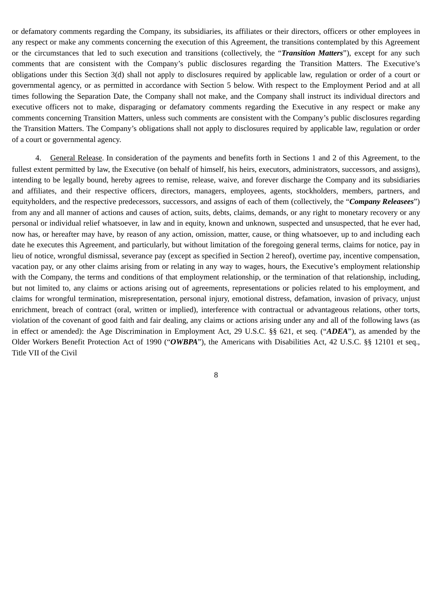or defamatory comments regarding the Company, its subsidiaries, its affiliates or their directors, officers or other employees in any respect or make any comments concerning the execution of this Agreement, the transitions contemplated by this Agreement or the circumstances that led to such execution and transitions (collectively, the "*Transition Matters*"), except for any such comments that are consistent with the Company's public disclosures regarding the Transition Matters. The Executive's obligations under this Section 3(d) shall not apply to disclosures required by applicable law, regulation or order of a court or governmental agency, or as permitted in accordance with Section 5 below. With respect to the Employment Period and at all times following the Separation Date, the Company shall not make, and the Company shall instruct its individual directors and executive officers not to make, disparaging or defamatory comments regarding the Executive in any respect or make any comments concerning Transition Matters, unless such comments are consistent with the Company's public disclosures regarding the Transition Matters. The Company's obligations shall not apply to disclosures required by applicable law, regulation or order of a court or governmental agency.

4. General Release. In consideration of the payments and benefits forth in Sections 1 and 2 of this Agreement, to the fullest extent permitted by law, the Executive (on behalf of himself, his heirs, executors, administrators, successors, and assigns), intending to be legally bound, hereby agrees to remise, release, waive, and forever discharge the Company and its subsidiaries and affiliates, and their respective officers, directors, managers, employees, agents, stockholders, members, partners, and equityholders, and the respective predecessors, successors, and assigns of each of them (collectively, the "*Company Releasees*") from any and all manner of actions and causes of action, suits, debts, claims, demands, or any right to monetary recovery or any personal or individual relief whatsoever, in law and in equity, known and unknown, suspected and unsuspected, that he ever had, now has, or hereafter may have, by reason of any action, omission, matter, cause, or thing whatsoever, up to and including each date he executes this Agreement, and particularly, but without limitation of the foregoing general terms, claims for notice, pay in lieu of notice, wrongful dismissal, severance pay (except as specified in Section 2 hereof), overtime pay, incentive compensation, vacation pay, or any other claims arising from or relating in any way to wages, hours, the Executive's employment relationship with the Company, the terms and conditions of that employment relationship, or the termination of that relationship, including, but not limited to, any claims or actions arising out of agreements, representations or policies related to his employment, and claims for wrongful termination, misrepresentation, personal injury, emotional distress, defamation, invasion of privacy, unjust enrichment, breach of contract (oral, written or implied), interference with contractual or advantageous relations, other torts, violation of the covenant of good faith and fair dealing, any claims or actions arising under any and all of the following laws (as in effect or amended): the Age Discrimination in Employment Act, 29 U.S.C. §§ 621, et seq. ("*ADEA*"), as amended by the Older Workers Benefit Protection Act of 1990 ("*OWBPA*"), the Americans with Disabilities Act, 42 U.S.C. §§ 12101 et seq., Title VII of the Civil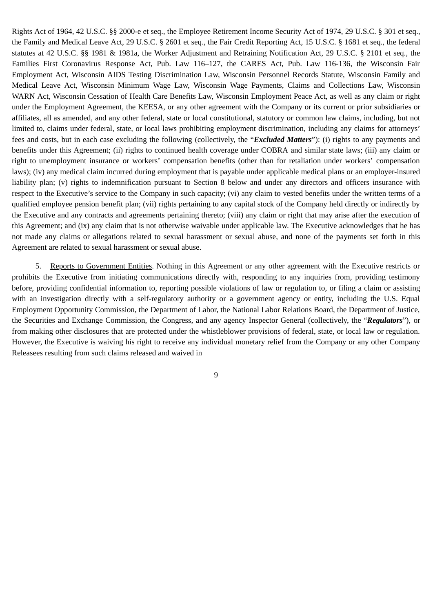Rights Act of 1964, 42 U.S.C. §§ 2000-e et seq., the Employee Retirement Income Security Act of 1974, 29 U.S.C. § 301 et seq., the Family and Medical Leave Act, 29 U.S.C. § 2601 et seq., the Fair Credit Reporting Act, 15 U.S.C. § 1681 et seq., the federal statutes at 42 U.S.C. §§ 1981 & 1981a, the Worker Adjustment and Retraining Notification Act, 29 U.S.C. § 2101 et seq., the Families First Coronavirus Response Act, Pub. Law 116–127, the CARES Act, Pub. Law 116-136, the Wisconsin Fair Employment Act, Wisconsin AIDS Testing Discrimination Law, Wisconsin Personnel Records Statute, Wisconsin Family and Medical Leave Act, Wisconsin Minimum Wage Law, Wisconsin Wage Payments, Claims and Collections Law, Wisconsin WARN Act, Wisconsin Cessation of Health Care Benefits Law, Wisconsin Employment Peace Act, as well as any claim or right under the Employment Agreement, the KEESA, or any other agreement with the Company or its current or prior subsidiaries or affiliates, all as amended, and any other federal, state or local constitutional, statutory or common law claims, including, but not limited to, claims under federal, state, or local laws prohibiting employment discrimination, including any claims for attorneys' fees and costs, but in each case excluding the following (collectively, the "*Excluded Matters*"): (i) rights to any payments and benefits under this Agreement; (ii) rights to continued health coverage under COBRA and similar state laws; (iii) any claim or right to unemployment insurance or workers' compensation benefits (other than for retaliation under workers' compensation laws); (iv) any medical claim incurred during employment that is payable under applicable medical plans or an employer-insured liability plan; (v) rights to indemnification pursuant to Section 8 below and under any directors and officers insurance with respect to the Executive's service to the Company in such capacity; (vi) any claim to vested benefits under the written terms of a qualified employee pension benefit plan; (vii) rights pertaining to any capital stock of the Company held directly or indirectly by the Executive and any contracts and agreements pertaining thereto; (viii) any claim or right that may arise after the execution of this Agreement; and (ix) any claim that is not otherwise waivable under applicable law. The Executive acknowledges that he has not made any claims or allegations related to sexual harassment or sexual abuse, and none of the payments set forth in this Agreement are related to sexual harassment or sexual abuse.

5. Reports to Government Entities. Nothing in this Agreement or any other agreement with the Executive restricts or prohibits the Executive from initiating communications directly with, responding to any inquiries from, providing testimony before, providing confidential information to, reporting possible violations of law or regulation to, or filing a claim or assisting with an investigation directly with a self-regulatory authority or a government agency or entity, including the U.S. Equal Employment Opportunity Commission, the Department of Labor, the National Labor Relations Board, the Department of Justice, the Securities and Exchange Commission, the Congress, and any agency Inspector General (collectively, the "*Regulators*"), or from making other disclosures that are protected under the whistleblower provisions of federal, state, or local law or regulation. However, the Executive is waiving his right to receive any individual monetary relief from the Company or any other Company Releasees resulting from such claims released and waived in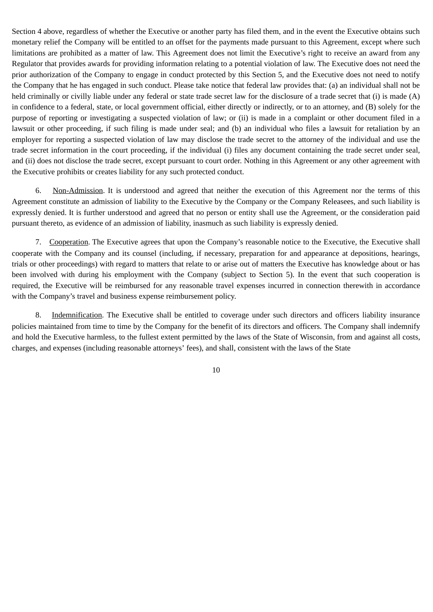Section 4 above, regardless of whether the Executive or another party has filed them, and in the event the Executive obtains such monetary relief the Company will be entitled to an offset for the payments made pursuant to this Agreement, except where such limitations are prohibited as a matter of law. This Agreement does not limit the Executive's right to receive an award from any Regulator that provides awards for providing information relating to a potential violation of law. The Executive does not need the prior authorization of the Company to engage in conduct protected by this Section 5, and the Executive does not need to notify the Company that he has engaged in such conduct. Please take notice that federal law provides that: (a) an individual shall not be held criminally or civilly liable under any federal or state trade secret law for the disclosure of a trade secret that (i) is made (A) in confidence to a federal, state, or local government official, either directly or indirectly, or to an attorney, and (B) solely for the purpose of reporting or investigating a suspected violation of law; or (ii) is made in a complaint or other document filed in a lawsuit or other proceeding, if such filing is made under seal; and (b) an individual who files a lawsuit for retaliation by an employer for reporting a suspected violation of law may disclose the trade secret to the attorney of the individual and use the trade secret information in the court proceeding, if the individual (i) files any document containing the trade secret under seal, and (ii) does not disclose the trade secret, except pursuant to court order. Nothing in this Agreement or any other agreement with the Executive prohibits or creates liability for any such protected conduct.

6. Non-Admission. It is understood and agreed that neither the execution of this Agreement nor the terms of this Agreement constitute an admission of liability to the Executive by the Company or the Company Releasees, and such liability is expressly denied. It is further understood and agreed that no person or entity shall use the Agreement, or the consideration paid pursuant thereto, as evidence of an admission of liability, inasmuch as such liability is expressly denied.

7. Cooperation. The Executive agrees that upon the Company's reasonable notice to the Executive, the Executive shall cooperate with the Company and its counsel (including, if necessary, preparation for and appearance at depositions, hearings, trials or other proceedings) with regard to matters that relate to or arise out of matters the Executive has knowledge about or has been involved with during his employment with the Company (subject to Section 5). In the event that such cooperation is required, the Executive will be reimbursed for any reasonable travel expenses incurred in connection therewith in accordance with the Company's travel and business expense reimbursement policy.

8. Indemnification. The Executive shall be entitled to coverage under such directors and officers liability insurance policies maintained from time to time by the Company for the benefit of its directors and officers. The Company shall indemnify and hold the Executive harmless, to the fullest extent permitted by the laws of the State of Wisconsin, from and against all costs, charges, and expenses (including reasonable attorneys' fees), and shall, consistent with the laws of the State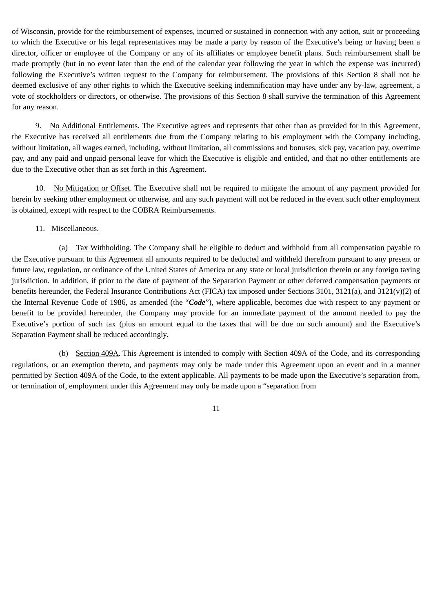of Wisconsin, provide for the reimbursement of expenses, incurred or sustained in connection with any action, suit or proceeding to which the Executive or his legal representatives may be made a party by reason of the Executive's being or having been a director, officer or employee of the Company or any of its affiliates or employee benefit plans. Such reimbursement shall be made promptly (but in no event later than the end of the calendar year following the year in which the expense was incurred) following the Executive's written request to the Company for reimbursement. The provisions of this Section 8 shall not be deemed exclusive of any other rights to which the Executive seeking indemnification may have under any by-law, agreement, a vote of stockholders or directors, or otherwise. The provisions of this Section 8 shall survive the termination of this Agreement for any reason.

9. No Additional Entitlements. The Executive agrees and represents that other than as provided for in this Agreement, the Executive has received all entitlements due from the Company relating to his employment with the Company including, without limitation, all wages earned, including, without limitation, all commissions and bonuses, sick pay, vacation pay, overtime pay, and any paid and unpaid personal leave for which the Executive is eligible and entitled, and that no other entitlements are due to the Executive other than as set forth in this Agreement.

10. No Mitigation or Offset. The Executive shall not be required to mitigate the amount of any payment provided for herein by seeking other employment or otherwise, and any such payment will not be reduced in the event such other employment is obtained, except with respect to the COBRA Reimbursements.

## 11. Miscellaneous.

(a) Tax Withholding. The Company shall be eligible to deduct and withhold from all compensation payable to the Executive pursuant to this Agreement all amounts required to be deducted and withheld therefrom pursuant to any present or future law, regulation, or ordinance of the United States of America or any state or local jurisdiction therein or any foreign taxing jurisdiction. In addition, if prior to the date of payment of the Separation Payment or other deferred compensation payments or benefits hereunder, the Federal Insurance Contributions Act (FICA) tax imposed under Sections 3101, 3121(a), and 3121(v)(2) of the Internal Revenue Code of 1986, as amended (the "*Code*"), where applicable, becomes due with respect to any payment or benefit to be provided hereunder, the Company may provide for an immediate payment of the amount needed to pay the Executive's portion of such tax (plus an amount equal to the taxes that will be due on such amount) and the Executive's Separation Payment shall be reduced accordingly.

(b) Section 409A. This Agreement is intended to comply with Section 409A of the Code, and its corresponding regulations, or an exemption thereto, and payments may only be made under this Agreement upon an event and in a manner permitted by Section 409A of the Code, to the extent applicable. All payments to be made upon the Executive's separation from, or termination of, employment under this Agreement may only be made upon a "separation from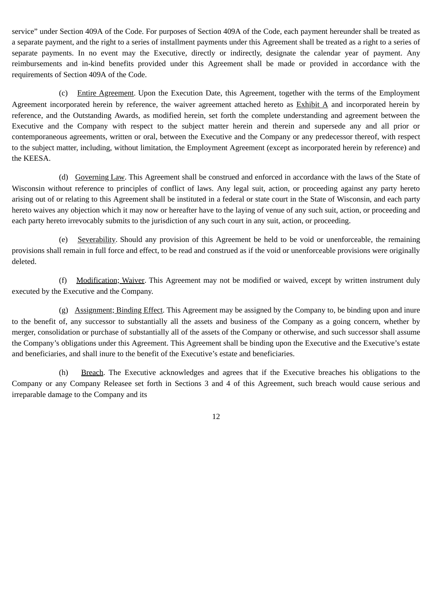service" under Section 409A of the Code. For purposes of Section 409A of the Code, each payment hereunder shall be treated as a separate payment, and the right to a series of installment payments under this Agreement shall be treated as a right to a series of separate payments. In no event may the Executive, directly or indirectly, designate the calendar year of payment. Any reimbursements and in-kind benefits provided under this Agreement shall be made or provided in accordance with the requirements of Section 409A of the Code.

(c) Entire Agreement. Upon the Execution Date, this Agreement, together with the terms of the Employment Agreement incorporated herein by reference, the waiver agreement attached hereto as Exhibit A and incorporated herein by reference, and the Outstanding Awards, as modified herein, set forth the complete understanding and agreement between the Executive and the Company with respect to the subject matter herein and therein and supersede any and all prior or contemporaneous agreements, written or oral, between the Executive and the Company or any predecessor thereof, with respect to the subject matter, including, without limitation, the Employment Agreement (except as incorporated herein by reference) and the KEESA.

(d) Governing Law. This Agreement shall be construed and enforced in accordance with the laws of the State of Wisconsin without reference to principles of conflict of laws. Any legal suit, action, or proceeding against any party hereto arising out of or relating to this Agreement shall be instituted in a federal or state court in the State of Wisconsin, and each party hereto waives any objection which it may now or hereafter have to the laying of venue of any such suit, action, or proceeding and each party hereto irrevocably submits to the jurisdiction of any such court in any suit, action, or proceeding.

(e) Severability. Should any provision of this Agreement be held to be void or unenforceable, the remaining provisions shall remain in full force and effect, to be read and construed as if the void or unenforceable provisions were originally deleted.

(f) Modification; Waiver. This Agreement may not be modified or waived, except by written instrument duly executed by the Executive and the Company.

(g) Assignment; Binding Effect. This Agreement may be assigned by the Company to, be binding upon and inure to the benefit of, any successor to substantially all the assets and business of the Company as a going concern, whether by merger, consolidation or purchase of substantially all of the assets of the Company or otherwise, and such successor shall assume the Company's obligations under this Agreement. This Agreement shall be binding upon the Executive and the Executive's estate and beneficiaries, and shall inure to the benefit of the Executive's estate and beneficiaries.

(h) Breach. The Executive acknowledges and agrees that if the Executive breaches his obligations to the Company or any Company Releasee set forth in Sections 3 and 4 of this Agreement, such breach would cause serious and irreparable damage to the Company and its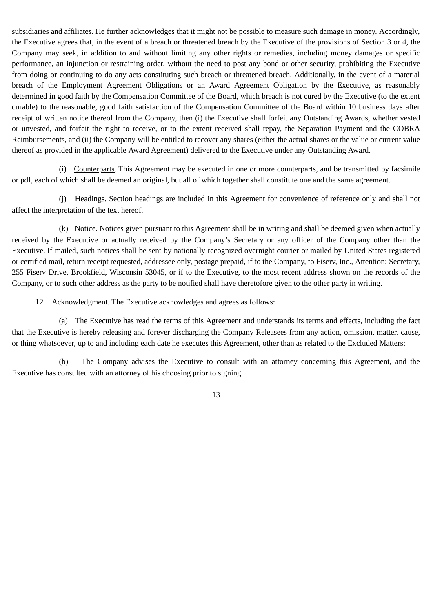subsidiaries and affiliates. He further acknowledges that it might not be possible to measure such damage in money. Accordingly, the Executive agrees that, in the event of a breach or threatened breach by the Executive of the provisions of Section 3 or 4, the Company may seek, in addition to and without limiting any other rights or remedies, including money damages or specific performance, an injunction or restraining order, without the need to post any bond or other security, prohibiting the Executive from doing or continuing to do any acts constituting such breach or threatened breach. Additionally, in the event of a material breach of the Employment Agreement Obligations or an Award Agreement Obligation by the Executive, as reasonably determined in good faith by the Compensation Committee of the Board, which breach is not cured by the Executive (to the extent curable) to the reasonable, good faith satisfaction of the Compensation Committee of the Board within 10 business days after receipt of written notice thereof from the Company, then (i) the Executive shall forfeit any Outstanding Awards, whether vested or unvested, and forfeit the right to receive, or to the extent received shall repay, the Separation Payment and the COBRA Reimbursements, and (ii) the Company will be entitled to recover any shares (either the actual shares or the value or current value thereof as provided in the applicable Award Agreement) delivered to the Executive under any Outstanding Award.

(i) Counterparts. This Agreement may be executed in one or more counterparts, and be transmitted by facsimile or pdf, each of which shall be deemed an original, but all of which together shall constitute one and the same agreement.

(j) Headings. Section headings are included in this Agreement for convenience of reference only and shall not affect the interpretation of the text hereof.

(k) Notice. Notices given pursuant to this Agreement shall be in writing and shall be deemed given when actually received by the Executive or actually received by the Company's Secretary or any officer of the Company other than the Executive. If mailed, such notices shall be sent by nationally recognized overnight courier or mailed by United States registered or certified mail, return receipt requested, addressee only, postage prepaid, if to the Company, to Fiserv, Inc., Attention: Secretary, 255 Fiserv Drive, Brookfield, Wisconsin 53045, or if to the Executive, to the most recent address shown on the records of the Company, or to such other address as the party to be notified shall have theretofore given to the other party in writing.

12. Acknowledgment. The Executive acknowledges and agrees as follows:

(a) The Executive has read the terms of this Agreement and understands its terms and effects, including the fact that the Executive is hereby releasing and forever discharging the Company Releasees from any action, omission, matter, cause, or thing whatsoever, up to and including each date he executes this Agreement, other than as related to the Excluded Matters;

(b) The Company advises the Executive to consult with an attorney concerning this Agreement, and the Executive has consulted with an attorney of his choosing prior to signing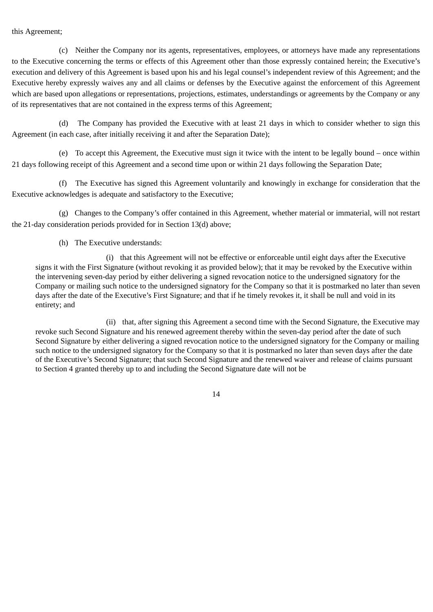## this Agreement;

(c) Neither the Company nor its agents, representatives, employees, or attorneys have made any representations to the Executive concerning the terms or effects of this Agreement other than those expressly contained herein; the Executive's execution and delivery of this Agreement is based upon his and his legal counsel's independent review of this Agreement; and the Executive hereby expressly waives any and all claims or defenses by the Executive against the enforcement of this Agreement which are based upon allegations or representations, projections, estimates, understandings or agreements by the Company or any of its representatives that are not contained in the express terms of this Agreement;

(d) The Company has provided the Executive with at least 21 days in which to consider whether to sign this Agreement (in each case, after initially receiving it and after the Separation Date);

(e) To accept this Agreement, the Executive must sign it twice with the intent to be legally bound – once within 21 days following receipt of this Agreement and a second time upon or within 21 days following the Separation Date;

(f) The Executive has signed this Agreement voluntarily and knowingly in exchange for consideration that the Executive acknowledges is adequate and satisfactory to the Executive;

(g) Changes to the Company's offer contained in this Agreement, whether material or immaterial, will not restart the 21-day consideration periods provided for in Section 13(d) above;

## (h) The Executive understands:

(i) that this Agreement will not be effective or enforceable until eight days after the Executive signs it with the First Signature (without revoking it as provided below); that it may be revoked by the Executive within the intervening seven-day period by either delivering a signed revocation notice to the undersigned signatory for the Company or mailing such notice to the undersigned signatory for the Company so that it is postmarked no later than seven days after the date of the Executive's First Signature; and that if he timely revokes it, it shall be null and void in its entirety; and

(ii) that, after signing this Agreement a second time with the Second Signature, the Executive may revoke such Second Signature and his renewed agreement thereby within the seven-day period after the date of such Second Signature by either delivering a signed revocation notice to the undersigned signatory for the Company or mailing such notice to the undersigned signatory for the Company so that it is postmarked no later than seven days after the date of the Executive's Second Signature; that such Second Signature and the renewed waiver and release of claims pursuant to Section 4 granted thereby up to and including the Second Signature date will not be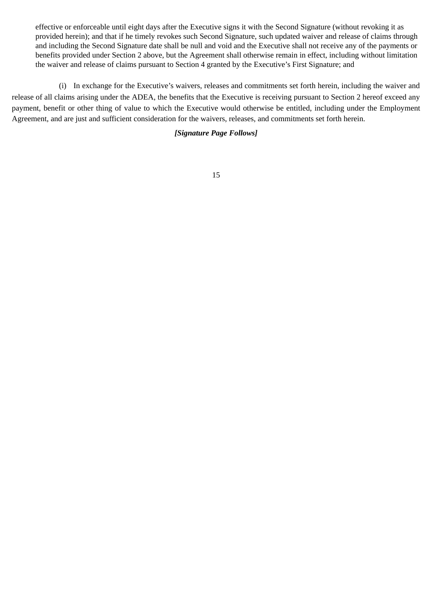effective or enforceable until eight days after the Executive signs it with the Second Signature (without revoking it as provided herein); and that if he timely revokes such Second Signature, such updated waiver and release of claims through and including the Second Signature date shall be null and void and the Executive shall not receive any of the payments or benefits provided under Section 2 above, but the Agreement shall otherwise remain in effect, including without limitation the waiver and release of claims pursuant to Section 4 granted by the Executive's First Signature; and

(i) In exchange for the Executive's waivers, releases and commitments set forth herein, including the waiver and release of all claims arising under the ADEA, the benefits that the Executive is receiving pursuant to Section 2 hereof exceed any payment, benefit or other thing of value to which the Executive would otherwise be entitled, including under the Employment Agreement, and are just and sufficient consideration for the waivers, releases, and commitments set forth herein.

## *[Signature Page Follows]*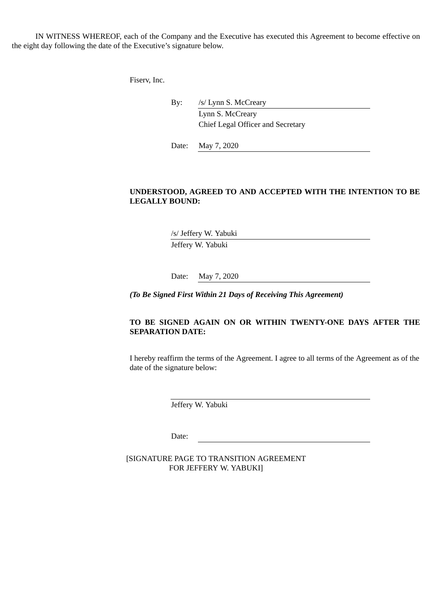IN WITNESS WHEREOF, each of the Company and the Executive has executed this Agreement to become effective on the eight day following the date of the Executive's signature below.

Fiserv, Inc.

By: /s/ Lynn S. McCreary Lynn S. McCreary Chief Legal Officer and Secretary

Date: May 7, 2020

## **UNDERSTOOD, AGREED TO AND ACCEPTED WITH THE INTENTION TO BE LEGALLY BOUND:**

/s/ Jeffery W. Yabuki Jeffery W. Yabuki

Date: May 7, 2020

## *(To Be Signed First Within 21 Days of Receiving This Agreement)*

## **TO BE SIGNED AGAIN ON OR WITHIN TWENTY-ONE DAYS AFTER THE SEPARATION DATE:**

I hereby reaffirm the terms of the Agreement. I agree to all terms of the Agreement as of the date of the signature below:

Jeffery W. Yabuki

Date:

[SIGNATURE PAGE TO TRANSITION AGREEMENT FOR JEFFERY W. YABUKI]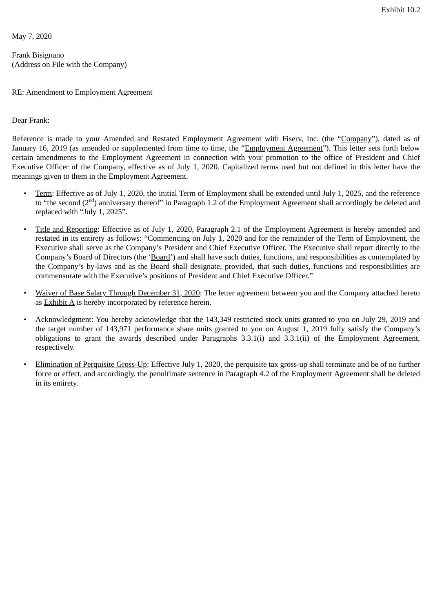<span id="page-62-0"></span>May 7, 2020

Frank Bisignano (Address on File with the Company)

RE: Amendment to Employment Agreement

Dear Frank:

Reference is made to your Amended and Restated Employment Agreement with Fiserv, Inc. (the "Company"), dated as of January 16, 2019 (as amended or supplemented from time to time, the "Employment Agreement"). This letter sets forth below certain amendments to the Employment Agreement in connection with your promotion to the office of President and Chief Executive Officer of the Company, effective as of July 1, 2020. Capitalized terms used but not defined in this letter have the meanings given to them in the Employment Agreement.

- Term: Effective as of July 1, 2020, the initial Term of Employment shall be extended until July 1, 2025, and the reference to "the second (2<sup>nd</sup>) anniversary thereof" in Paragraph 1.2 of the Employment Agreement shall accordingly be deleted and replaced with "July 1, 2025".
- Title and Reporting: Effective as of July 1, 2020, Paragraph 2.1 of the Employment Agreement is hereby amended and restated in its entirety as follows: "Commencing on July 1, 2020 and for the remainder of the Term of Employment, the Executive shall serve as the Company's President and Chief Executive Officer. The Executive shall report directly to the Company's Board of Directors (the 'Board') and shall have such duties, functions, and responsibilities as contemplated by the Company's by-laws and as the Board shall designate, provided, that such duties, functions and responsibilities are commensurate with the Executive's positions of President and Chief Executive Officer."
- Waiver of Base Salary Through December 31, 2020: The letter agreement between you and the Company attached hereto as Exhibit A is hereby incorporated by reference herein.
- Acknowledgment: You hereby acknowledge that the 143,349 restricted stock units granted to you on July 29, 2019 and the target number of 143,971 performance share units granted to you on August 1, 2019 fully satisfy the Company's obligations to grant the awards described under Paragraphs 3.3.1(i) and 3.3.1(ii) of the Employment Agreement, respectively.
- Elimination of Perquisite Gross-Up: Effective July 1, 2020, the perquisite tax gross-up shall terminate and be of no further force or effect, and accordingly, the penultimate sentence in Paragraph 4.2 of the Employment Agreement shall be deleted in its entirety.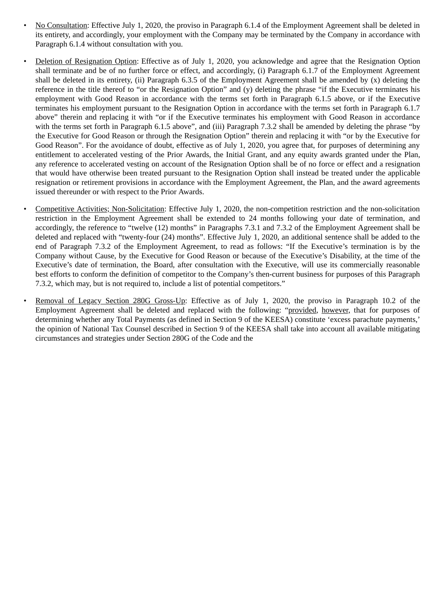- No Consultation: Effective July 1, 2020, the proviso in Paragraph 6.1.4 of the Employment Agreement shall be deleted in its entirety, and accordingly, your employment with the Company may be terminated by the Company in accordance with Paragraph 6.1.4 without consultation with you.
- Deletion of Resignation Option: Effective as of July 1, 2020, you acknowledge and agree that the Resignation Option shall terminate and be of no further force or effect, and accordingly, (i) Paragraph 6.1.7 of the Employment Agreement shall be deleted in its entirety, (ii) Paragraph 6.3.5 of the Employment Agreement shall be amended by (x) deleting the reference in the title thereof to "or the Resignation Option" and (y) deleting the phrase "if the Executive terminates his employment with Good Reason in accordance with the terms set forth in Paragraph 6.1.5 above, or if the Executive terminates his employment pursuant to the Resignation Option in accordance with the terms set forth in Paragraph 6.1.7 above" therein and replacing it with "or if the Executive terminates his employment with Good Reason in accordance with the terms set forth in Paragraph 6.1.5 above", and (iii) Paragraph 7.3.2 shall be amended by deleting the phrase "by the Executive for Good Reason or through the Resignation Option" therein and replacing it with "or by the Executive for Good Reason". For the avoidance of doubt, effective as of July 1, 2020, you agree that, for purposes of determining any entitlement to accelerated vesting of the Prior Awards, the Initial Grant, and any equity awards granted under the Plan, any reference to accelerated vesting on account of the Resignation Option shall be of no force or effect and a resignation that would have otherwise been treated pursuant to the Resignation Option shall instead be treated under the applicable resignation or retirement provisions in accordance with the Employment Agreement, the Plan, and the award agreements issued thereunder or with respect to the Prior Awards.
- Competitive Activities; Non-Solicitation: Effective July 1, 2020, the non-competition restriction and the non-solicitation restriction in the Employment Agreement shall be extended to 24 months following your date of termination, and accordingly, the reference to "twelve (12) months" in Paragraphs 7.3.1 and 7.3.2 of the Employment Agreement shall be deleted and replaced with "twenty-four (24) months". Effective July 1, 2020, an additional sentence shall be added to the end of Paragraph 7.3.2 of the Employment Agreement, to read as follows: "If the Executive's termination is by the Company without Cause, by the Executive for Good Reason or because of the Executive's Disability, at the time of the Executive's date of termination, the Board, after consultation with the Executive, will use its commercially reasonable best efforts to conform the definition of competitor to the Company's then-current business for purposes of this Paragraph 7.3.2, which may, but is not required to, include a list of potential competitors."
- Removal of Legacy Section 280G Gross-Up: Effective as of July 1, 2020, the proviso in Paragraph 10.2 of the Employment Agreement shall be deleted and replaced with the following: "provided, however, that for purposes of determining whether any Total Payments (as defined in Section 9 of the KEESA) constitute 'excess parachute payments,' the opinion of National Tax Counsel described in Section 9 of the KEESA shall take into account all available mitigating circumstances and strategies under Section 280G of the Code and the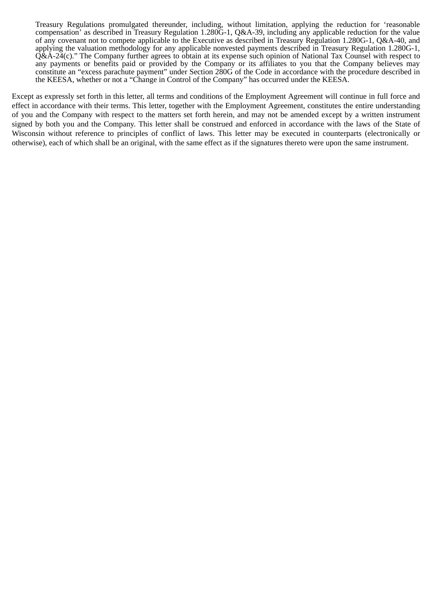Treasury Regulations promulgated thereunder, including, without limitation, applying the reduction for 'reasonable compensation' as described in Treasury Regulation 1.280G-1, Q&A-39, including any applicable reduction for the value of any covenant not to compete applicable to the Executive as described in Treasury Regulation 1.280G-1, Q&A-40, and applying the valuation methodology for any applicable nonvested payments described in Treasury Regulation 1.280G-1, Q&A-24(c)." The Company further agrees to obtain at its expense such opinion of National Tax Counsel with respect to any payments or benefits paid or provided by the Company or its affiliates to you that the Company believes may constitute an "excess parachute payment" under Section 280G of the Code in accordance with the procedure described in the KEESA, whether or not a "Change in Control of the Company" has occurred under the KEESA.

Except as expressly set forth in this letter, all terms and conditions of the Employment Agreement will continue in full force and effect in accordance with their terms. This letter, together with the Employment Agreement, constitutes the entire understanding of you and the Company with respect to the matters set forth herein, and may not be amended except by a written instrument signed by both you and the Company. This letter shall be construed and enforced in accordance with the laws of the State of Wisconsin without reference to principles of conflict of laws. This letter may be executed in counterparts (electronically or otherwise), each of which shall be an original, with the same effect as if the signatures thereto were upon the same instrument.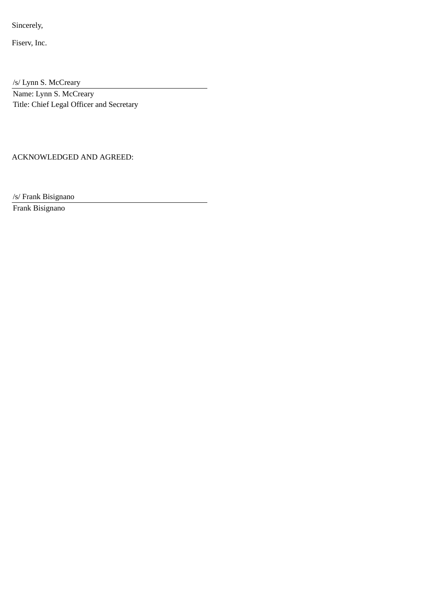Sincerely,

Fiserv, Inc.

/s/ Lynn S. McCreary

Name: Lynn S. McCreary Title: Chief Legal Officer and Secretary

ACKNOWLEDGED AND AGREED:

/s/ Frank Bisignano

Frank Bisignano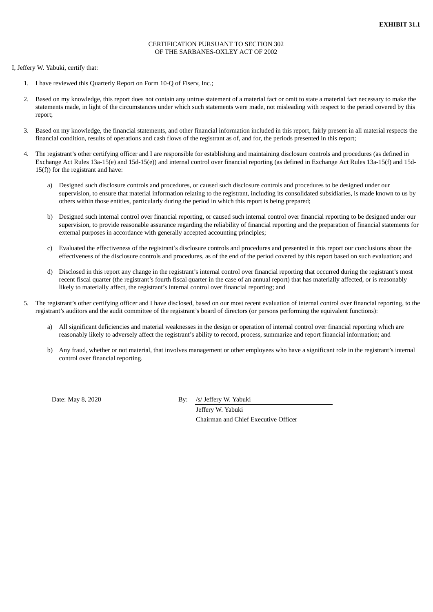#### CERTIFICATION PURSUANT TO SECTION 302 OF THE SARBANES-OXLEY ACT OF 2002

<span id="page-66-0"></span>I, Jeffery W. Yabuki, certify that:

- 1. I have reviewed this Quarterly Report on Form 10-Q of Fiserv, Inc.;
- 2. Based on my knowledge, this report does not contain any untrue statement of a material fact or omit to state a material fact necessary to make the statements made, in light of the circumstances under which such statements were made, not misleading with respect to the period covered by this report;
- 3. Based on my knowledge, the financial statements, and other financial information included in this report, fairly present in all material respects the financial condition, results of operations and cash flows of the registrant as of, and for, the periods presented in this report;
- 4. The registrant's other certifying officer and I are responsible for establishing and maintaining disclosure controls and procedures (as defined in Exchange Act Rules 13a-15(e) and 15d-15(e)) and internal control over financial reporting (as defined in Exchange Act Rules 13a-15(f) and 15d-15(f)) for the registrant and have:
	- a) Designed such disclosure controls and procedures, or caused such disclosure controls and procedures to be designed under our supervision, to ensure that material information relating to the registrant, including its consolidated subsidiaries, is made known to us by others within those entities, particularly during the period in which this report is being prepared;
	- b) Designed such internal control over financial reporting, or caused such internal control over financial reporting to be designed under our supervision, to provide reasonable assurance regarding the reliability of financial reporting and the preparation of financial statements for external purposes in accordance with generally accepted accounting principles;
	- c) Evaluated the effectiveness of the registrant's disclosure controls and procedures and presented in this report our conclusions about the effectiveness of the disclosure controls and procedures, as of the end of the period covered by this report based on such evaluation; and
	- d) Disclosed in this report any change in the registrant's internal control over financial reporting that occurred during the registrant's most recent fiscal quarter (the registrant's fourth fiscal quarter in the case of an annual report) that has materially affected, or is reasonably likely to materially affect, the registrant's internal control over financial reporting; and
- 5. The registrant's other certifying officer and I have disclosed, based on our most recent evaluation of internal control over financial reporting, to the registrant's auditors and the audit committee of the registrant's board of directors (or persons performing the equivalent functions):
	- a) All significant deficiencies and material weaknesses in the design or operation of internal control over financial reporting which are reasonably likely to adversely affect the registrant's ability to record, process, summarize and report financial information; and
	- b) Any fraud, whether or not material, that involves management or other employees who have a significant role in the registrant's internal control over financial reporting.

Date: May 8, 2020 By: /s/ Jeffery W. Yabuki

Jeffery W. Yabuki Chairman and Chief Executive Officer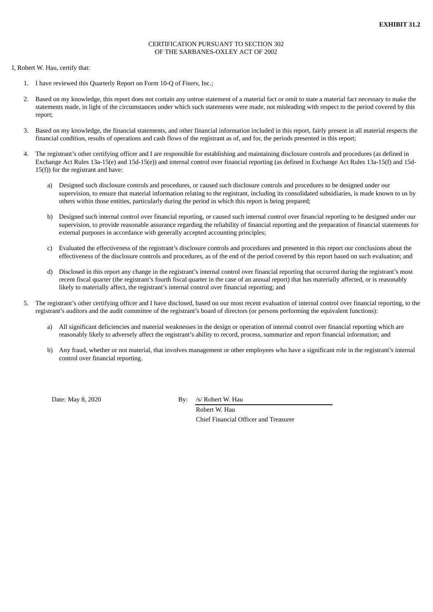#### CERTIFICATION PURSUANT TO SECTION 302 OF THE SARBANES-OXLEY ACT OF 2002

<span id="page-67-0"></span>I, Robert W. Hau, certify that:

- 1. I have reviewed this Quarterly Report on Form 10-Q of Fiserv, Inc.;
- 2. Based on my knowledge, this report does not contain any untrue statement of a material fact or omit to state a material fact necessary to make the statements made, in light of the circumstances under which such statements were made, not misleading with respect to the period covered by this report;
- 3. Based on my knowledge, the financial statements, and other financial information included in this report, fairly present in all material respects the financial condition, results of operations and cash flows of the registrant as of, and for, the periods presented in this report;
- 4. The registrant's other certifying officer and I are responsible for establishing and maintaining disclosure controls and procedures (as defined in Exchange Act Rules 13a-15(e) and 15d-15(e)) and internal control over financial reporting (as defined in Exchange Act Rules 13a-15(f) and 15d-15(f)) for the registrant and have:
	- a) Designed such disclosure controls and procedures, or caused such disclosure controls and procedures to be designed under our supervision, to ensure that material information relating to the registrant, including its consolidated subsidiaries, is made known to us by others within those entities, particularly during the period in which this report is being prepared;
	- b) Designed such internal control over financial reporting, or caused such internal control over financial reporting to be designed under our supervision, to provide reasonable assurance regarding the reliability of financial reporting and the preparation of financial statements for external purposes in accordance with generally accepted accounting principles;
	- c) Evaluated the effectiveness of the registrant's disclosure controls and procedures and presented in this report our conclusions about the effectiveness of the disclosure controls and procedures, as of the end of the period covered by this report based on such evaluation; and
	- d) Disclosed in this report any change in the registrant's internal control over financial reporting that occurred during the registrant's most recent fiscal quarter (the registrant's fourth fiscal quarter in the case of an annual report) that has materially affected, or is reasonably likely to materially affect, the registrant's internal control over financial reporting; and
- 5. The registrant's other certifying officer and I have disclosed, based on our most recent evaluation of internal control over financial reporting, to the registrant's auditors and the audit committee of the registrant's board of directors (or persons performing the equivalent functions):
	- a) All significant deficiencies and material weaknesses in the design or operation of internal control over financial reporting which are reasonably likely to adversely affect the registrant's ability to record, process, summarize and report financial information; and
	- b) Any fraud, whether or not material, that involves management or other employees who have a significant role in the registrant's internal control over financial reporting.

Date: May 8, 2020 By: /s/ Robert W. Hau

Robert W. Hau Chief Financial Officer and Treasurer